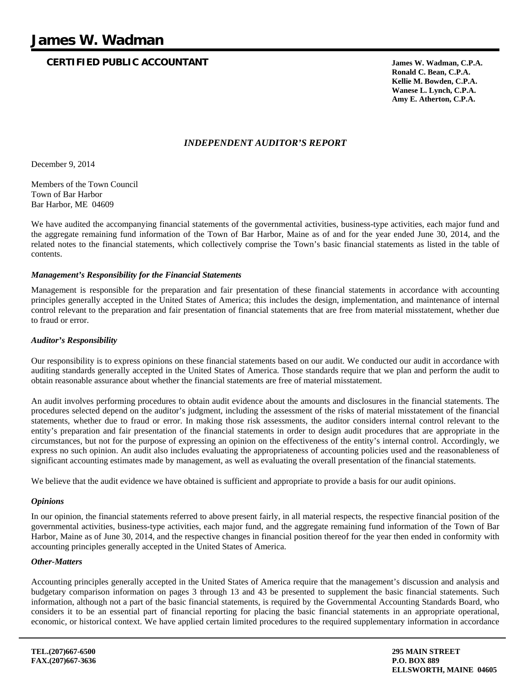## **CERTIFIED PUBLIC ACCOUNTANT James W. Wadman, C.P.A.**

 **Ronald C. Bean, C.P.A. Kellie M. Bowden, C.P.A. Wanese L. Lynch, C.P.A. Amy E. Atherton, C.P.A.**

### *INDEPENDENT AUDITOR'S REPORT*

December 9, 2014

Members of the Town Council Town of Bar Harbor Bar Harbor, ME 04609

We have audited the accompanying financial statements of the governmental activities, business-type activities, each major fund and the aggregate remaining fund information of the Town of Bar Harbor, Maine as of and for the year ended June 30, 2014, and the related notes to the financial statements, which collectively comprise the Town's basic financial statements as listed in the table of contents.

#### *Management's Responsibility for the Financial Statements*

Management is responsible for the preparation and fair presentation of these financial statements in accordance with accounting principles generally accepted in the United States of America; this includes the design, implementation, and maintenance of internal control relevant to the preparation and fair presentation of financial statements that are free from material misstatement, whether due to fraud or error.

#### *Auditor's Responsibility*

Our responsibility is to express opinions on these financial statements based on our audit. We conducted our audit in accordance with auditing standards generally accepted in the United States of America. Those standards require that we plan and perform the audit to obtain reasonable assurance about whether the financial statements are free of material misstatement.

An audit involves performing procedures to obtain audit evidence about the amounts and disclosures in the financial statements. The procedures selected depend on the auditor's judgment, including the assessment of the risks of material misstatement of the financial statements, whether due to fraud or error. In making those risk assessments, the auditor considers internal control relevant to the entity's preparation and fair presentation of the financial statements in order to design audit procedures that are appropriate in the circumstances, but not for the purpose of expressing an opinion on the effectiveness of the entity's internal control. Accordingly, we express no such opinion. An audit also includes evaluating the appropriateness of accounting policies used and the reasonableness of significant accounting estimates made by management, as well as evaluating the overall presentation of the financial statements.

We believe that the audit evidence we have obtained is sufficient and appropriate to provide a basis for our audit opinions.

#### *Opinions*

In our opinion, the financial statements referred to above present fairly, in all material respects, the respective financial position of the governmental activities, business-type activities, each major fund, and the aggregate remaining fund information of the Town of Bar Harbor, Maine as of June 30, 2014, and the respective changes in financial position thereof for the year then ended in conformity with accounting principles generally accepted in the United States of America.

#### *Other-Matters*

Accounting principles generally accepted in the United States of America require that the management's discussion and analysis and budgetary comparison information on pages 3 through 13 and 43 be presented to supplement the basic financial statements. Such information, although not a part of the basic financial statements, is required by the Governmental Accounting Standards Board, who considers it to be an essential part of financial reporting for placing the basic financial statements in an appropriate operational, economic, or historical context. We have applied certain limited procedures to the required supplementary information in accordance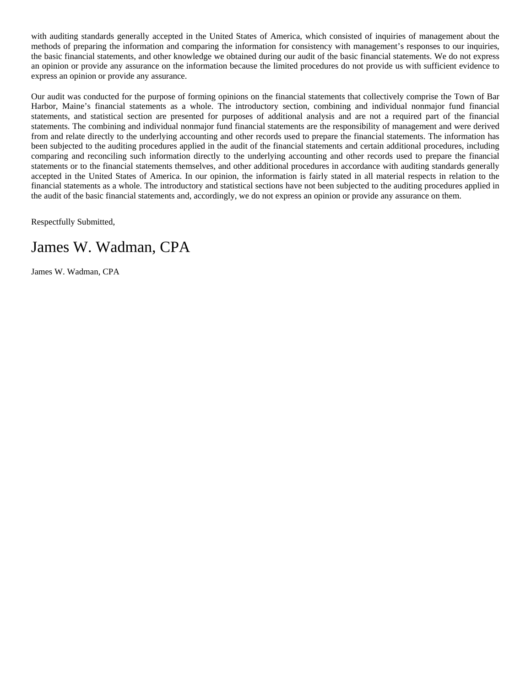with auditing standards generally accepted in the United States of America, which consisted of inquiries of management about the methods of preparing the information and comparing the information for consistency with management's responses to our inquiries, the basic financial statements, and other knowledge we obtained during our audit of the basic financial statements. We do not express an opinion or provide any assurance on the information because the limited procedures do not provide us with sufficient evidence to express an opinion or provide any assurance.

Our audit was conducted for the purpose of forming opinions on the financial statements that collectively comprise the Town of Bar Harbor, Maine's financial statements as a whole. The introductory section, combining and individual nonmajor fund financial statements, and statistical section are presented for purposes of additional analysis and are not a required part of the financial statements. The combining and individual nonmajor fund financial statements are the responsibility of management and were derived from and relate directly to the underlying accounting and other records used to prepare the financial statements. The information has been subjected to the auditing procedures applied in the audit of the financial statements and certain additional procedures, including comparing and reconciling such information directly to the underlying accounting and other records used to prepare the financial statements or to the financial statements themselves, and other additional procedures in accordance with auditing standards generally accepted in the United States of America. In our opinion, the information is fairly stated in all material respects in relation to the financial statements as a whole. The introductory and statistical sections have not been subjected to the auditing procedures applied in the audit of the basic financial statements and, accordingly, we do not express an opinion or provide any assurance on them.

Respectfully Submitted,

# James W. Wadman, CPA

James W. Wadman, CPA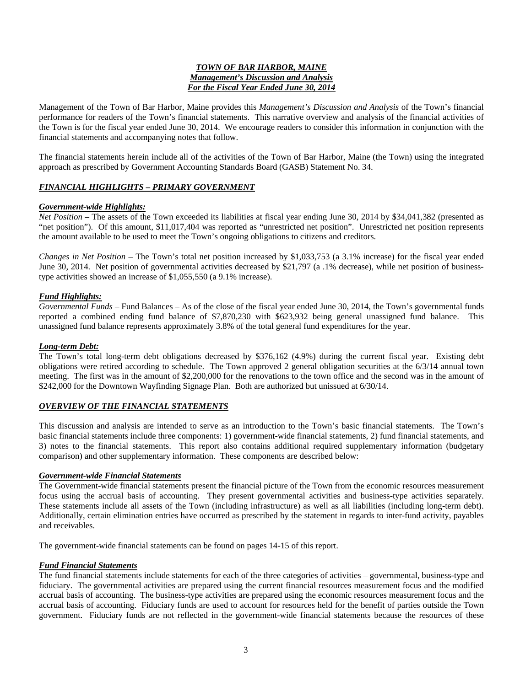#### *TOWN OF BAR HARBOR, MAINE Management's Discussion and Analysis For the Fiscal Year Ended June 30, 2014*

Management of the Town of Bar Harbor, Maine provides this *Management's Discussion and Analysis* of the Town's financial performance for readers of the Town's financial statements. This narrative overview and analysis of the financial activities of the Town is for the fiscal year ended June 30, 2014. We encourage readers to consider this information in conjunction with the financial statements and accompanying notes that follow.

The financial statements herein include all of the activities of the Town of Bar Harbor, Maine (the Town) using the integrated approach as prescribed by Government Accounting Standards Board (GASB) Statement No. 34.

#### *FINANCIAL HIGHLIGHTS – PRIMARY GOVERNMENT*

#### *Government-wide Highlights:*

*Net Position –* The assets of the Town exceeded its liabilities at fiscal year ending June 30, 2014 by \$34,041,382 (presented as "net position"). Of this amount, \$11,017,404 was reported as "unrestricted net position". Unrestricted net position represents the amount available to be used to meet the Town's ongoing obligations to citizens and creditors.

*Changes in Net Position –* The Town's total net position increased by \$1,033,753 (a 3.1% increase) for the fiscal year ended June 30, 2014. Net position of governmental activities decreased by \$21,797 (a .1% decrease), while net position of businesstype activities showed an increase of \$1,055,550 (a 9.1% increase).

#### *Fund Highlights:*

*Governmental Funds –* Fund Balances – As of the close of the fiscal year ended June 30, 2014, the Town's governmental funds reported a combined ending fund balance of \$7,870,230 with \$623,932 being general unassigned fund balance. This unassigned fund balance represents approximately 3.8% of the total general fund expenditures for the year.

#### *Long-term Debt:*

The Town's total long-term debt obligations decreased by \$376,162 (4.9%) during the current fiscal year. Existing debt obligations were retired according to schedule. The Town approved 2 general obligation securities at the 6/3/14 annual town meeting. The first was in the amount of \$2,200,000 for the renovations to the town office and the second was in the amount of \$242,000 for the Downtown Wayfinding Signage Plan. Both are authorized but unissued at 6/30/14.

#### *OVERVIEW OF THE FINANCIAL STATEMENTS*

This discussion and analysis are intended to serve as an introduction to the Town's basic financial statements. The Town's basic financial statements include three components: 1) government-wide financial statements, 2) fund financial statements, and 3) notes to the financial statements. This report also contains additional required supplementary information (budgetary comparison) and other supplementary information. These components are described below:

#### *Government-wide Financial Statements*

The Government-wide financial statements present the financial picture of the Town from the economic resources measurement focus using the accrual basis of accounting. They present governmental activities and business-type activities separately. These statements include all assets of the Town (including infrastructure) as well as all liabilities (including long-term debt). Additionally, certain elimination entries have occurred as prescribed by the statement in regards to inter-fund activity, payables and receivables.

The government-wide financial statements can be found on pages 14-15 of this report.

#### *Fund Financial Statements*

The fund financial statements include statements for each of the three categories of activities – governmental, business-type and fiduciary. The governmental activities are prepared using the current financial resources measurement focus and the modified accrual basis of accounting. The business-type activities are prepared using the economic resources measurement focus and the accrual basis of accounting. Fiduciary funds are used to account for resources held for the benefit of parties outside the Town government. Fiduciary funds are not reflected in the government-wide financial statements because the resources of these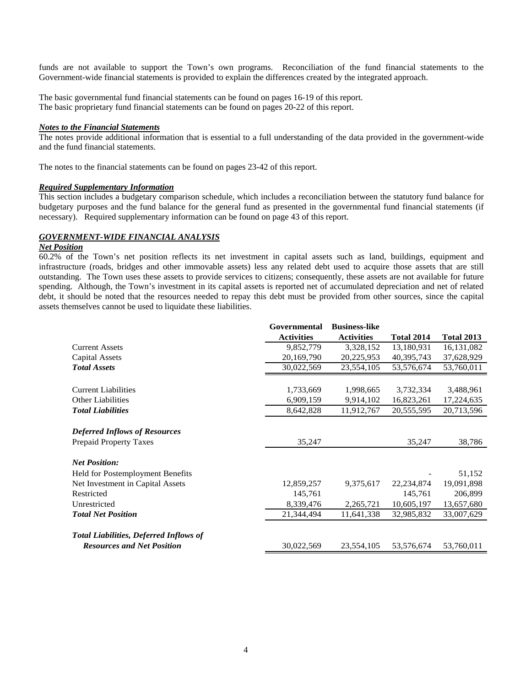funds are not available to support the Town's own programs. Reconciliation of the fund financial statements to the Government-wide financial statements is provided to explain the differences created by the integrated approach.

The basic governmental fund financial statements can be found on pages 16-19 of this report. The basic proprietary fund financial statements can be found on pages 20-22 of this report.

#### *Notes to the Financial Statements*

The notes provide additional information that is essential to a full understanding of the data provided in the government-wide and the fund financial statements.

The notes to the financial statements can be found on pages 23-42 of this report.

#### *Required Supplementary Information*

This section includes a budgetary comparison schedule, which includes a reconciliation between the statutory fund balance for budgetary purposes and the fund balance for the general fund as presented in the governmental fund financial statements (if necessary). Required supplementary information can be found on page 43 of this report.

#### *GOVERNMENT-WIDE FINANCIAL ANALYSIS*

#### *Net Position*

60.2% of the Town's net position reflects its net investment in capital assets such as land, buildings, equipment and infrastructure (roads, bridges and other immovable assets) less any related debt used to acquire those assets that are still outstanding. The Town uses these assets to provide services to citizens; consequently, these assets are not available for future spending. Although, the Town's investment in its capital assets is reported net of accumulated depreciation and net of related debt, it should be noted that the resources needed to repay this debt must be provided from other sources, since the capital assets themselves cannot be used to liquidate these liabilities.

|                                               | Governmental      | <b>Business-like</b> |                   |                   |
|-----------------------------------------------|-------------------|----------------------|-------------------|-------------------|
|                                               | <b>Activities</b> | <b>Activities</b>    | <b>Total 2014</b> | <b>Total 2013</b> |
| <b>Current Assets</b>                         | 9,852,779         | 3,328,152            | 13,180,931        | 16, 131, 082      |
| <b>Capital Assets</b>                         | 20,169,790        | 20,225,953           | 40,395,743        | 37,628,929        |
| <b>Total Assets</b>                           | 30,022,569        | 23,554,105           | 53,576,674        | 53,760,011        |
|                                               |                   |                      |                   |                   |
| <b>Current Liabilities</b>                    | 1,733,669         | 1,998,665            | 3,732,334         | 3,488,961         |
| <b>Other Liabilities</b>                      | 6,909,159         | 9,914,102            | 16,823,261        | 17,224,635        |
| <b>Total Liabilities</b>                      | 8,642,828         | 11,912,767           | 20,555,595        | 20,713,596        |
|                                               |                   |                      |                   |                   |
| <b>Deferred Inflows of Resources</b>          |                   |                      |                   |                   |
| <b>Prepaid Property Taxes</b>                 | 35,247            |                      | 35,247            | 38,786            |
| <b>Net Position:</b>                          |                   |                      |                   |                   |
| Held for Postemployment Benefits              |                   |                      |                   | 51,152            |
| Net Investment in Capital Assets              | 12,859,257        | 9,375,617            | 22, 234, 874      | 19,091,898        |
| Restricted                                    | 145,761           |                      | 145,761           | 206,899           |
| Unrestricted                                  | 8,339,476         | 2,265,721            | 10,605,197        | 13,657,680        |
| <b>Total Net Position</b>                     | 21,344,494        | 11,641,338           | 32,985,832        | 33,007,629        |
|                                               |                   |                      |                   |                   |
| <b>Total Liabilities, Deferred Inflows of</b> |                   |                      |                   |                   |
| <b>Resources and Net Position</b>             | 30,022,569        | 23,554,105           | 53,576,674        | 53,760,011        |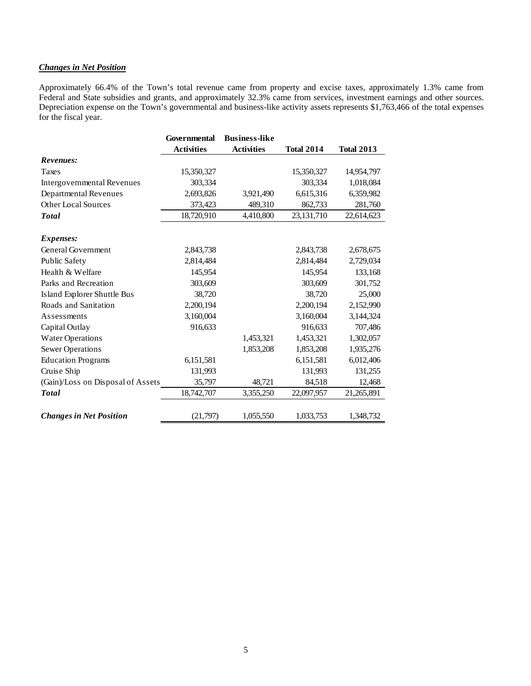### *Changes in Net Position*

Approximately 66.4% of the Town's total revenue came from property and excise taxes, approximately 1.3% came from Federal and State subsidies and grants, and approximately 32.3% came from services, investment earnings and other sources. Depreciation expense on the Town's governmental and business-like activity assets represents \$1,763,466 of the total expenses for the fiscal year.

|                                   | Governmental      | <b>Business-like</b> |                   |                   |
|-----------------------------------|-------------------|----------------------|-------------------|-------------------|
|                                   | <b>Activities</b> | <b>Activities</b>    | <b>Total 2014</b> | <b>Total 2013</b> |
| Revenues:                         |                   |                      |                   |                   |
| Taxes                             | 15,350,327        |                      | 15,350,327        | 14,954,797        |
| Intergovernmental Revenues        | 303,334           |                      | 303,334           | 1,018,084         |
| Departmental Revenues             | 2,693,826         | 3,921,490            | 6,615,316         | 6,359,982         |
| <b>Other Local Sources</b>        | 373,423           | 489,310              | 862,733           | 281,760           |
| <b>Total</b>                      | 18,720,910        | 4,410,800            | 23, 131, 710      | 22,614,623        |
| <i>Expenses:</i>                  |                   |                      |                   |                   |
| General Government                | 2,843,738         |                      | 2,843,738         | 2,678,675         |
| Public Safety                     | 2,814,484         |                      | 2,814,484         | 2,729,034         |
| Health & Welfare                  | 145,954           |                      | 145,954           | 133,168           |
| Parks and Recreation              | 303,609           |                      | 303,609           | 301,752           |
| Island Explorer Shuttle Bus       | 38,720            |                      | 38,720            | 25,000            |
| Roads and Sanitation              | 2,200,194         |                      | 2,200,194         | 2,152,990         |
| Assessments                       | 3,160,004         |                      | 3,160,004         | 3,144,324         |
| Capital Outlay                    | 916,633           |                      | 916,633           | 707,486           |
| <b>Water Operations</b>           |                   | 1,453,321            | 1,453,321         | 1,302,057         |
| <b>Sewer Operations</b>           |                   | 1,853,208            | 1,853,208         | 1,935,276         |
| <b>Education Programs</b>         | 6,151,581         |                      | 6,151,581         | 6,012,406         |
| Cruise Ship                       | 131,993           |                      | 131,993           | 131,255           |
| (Gain)/Loss on Disposal of Assets | 35,797            | 48,721               | 84,518            | 12,468            |
| <b>Total</b>                      | 18,742,707        | 3,355,250            | 22,097,957        | 21,265,891        |
| <b>Changes in Net Position</b>    | (21,797)          | 1,055,550            | 1,033,753         | 1,348,732         |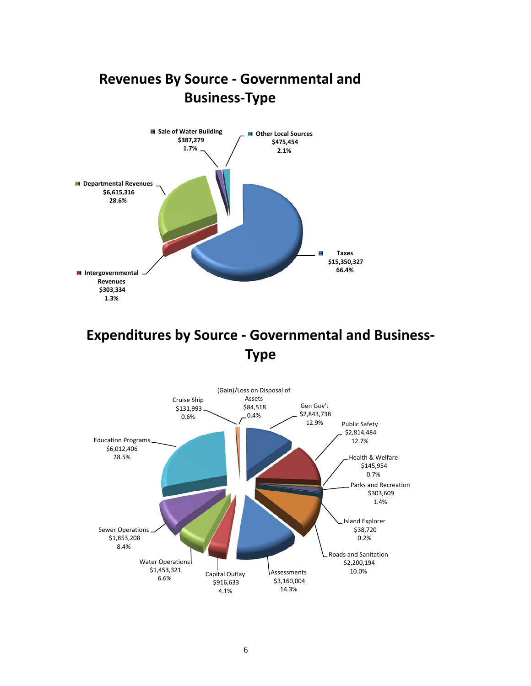

# **Expenditures by Source ‐ Governmental and Business‐ Type**

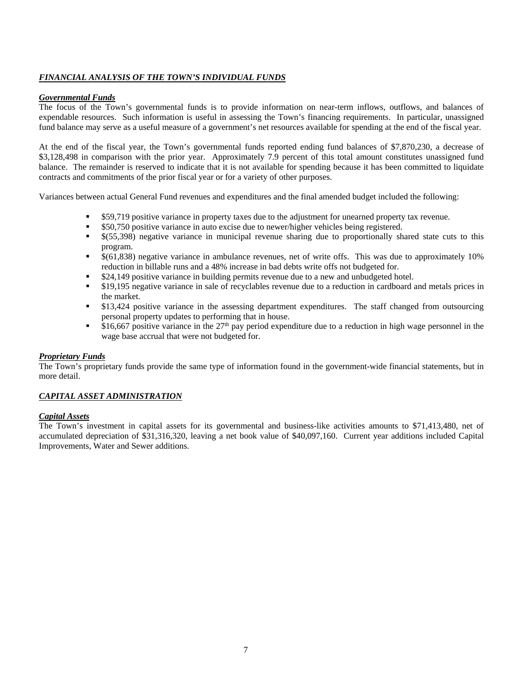#### *FINANCIAL ANALYSIS OF THE TOWN'S INDIVIDUAL FUNDS*

#### *Governmental Funds*

The focus of the Town's governmental funds is to provide information on near-term inflows, outflows, and balances of expendable resources. Such information is useful in assessing the Town's financing requirements. In particular, unassigned fund balance may serve as a useful measure of a government's net resources available for spending at the end of the fiscal year.

At the end of the fiscal year, the Town's governmental funds reported ending fund balances of \$7,870,230, a decrease of \$3,128,498 in comparison with the prior year. Approximately 7.9 percent of this total amount constitutes unassigned fund balance. The remainder is reserved to indicate that it is not available for spending because it has been committed to liquidate contracts and commitments of the prior fiscal year or for a variety of other purposes.

Variances between actual General Fund revenues and expenditures and the final amended budget included the following:

- \$59,719 positive variance in property taxes due to the adjustment for unearned property tax revenue.
- \$50,750 positive variance in auto excise due to newer/higher vehicles being registered.
- \$(55,398) negative variance in municipal revenue sharing due to proportionally shared state cuts to this program.
- \$(61,838) negative variance in ambulance revenues, net of write offs. This was due to approximately 10% reduction in billable runs and a 48% increase in bad debts write offs not budgeted for.
- \$24,149 positive variance in building permits revenue due to a new and unbudgeted hotel.
- \$19,195 negative variance in sale of recyclables revenue due to a reduction in cardboard and metals prices in the market.
- \$13,424 positive variance in the assessing department expenditures. The staff changed from outsourcing personal property updates to performing that in house.
- \$16,667 positive variance in the  $27<sup>th</sup>$  pay period expenditure due to a reduction in high wage personnel in the wage base accrual that were not budgeted for.

#### *Proprietary Funds*

The Town's proprietary funds provide the same type of information found in the government-wide financial statements, but in more detail.

#### *CAPITAL ASSET ADMINISTRATION*

#### *Capital Assets*

The Town's investment in capital assets for its governmental and business-like activities amounts to \$71,413,480, net of accumulated depreciation of \$31,316,320, leaving a net book value of \$40,097,160. Current year additions included Capital Improvements, Water and Sewer additions.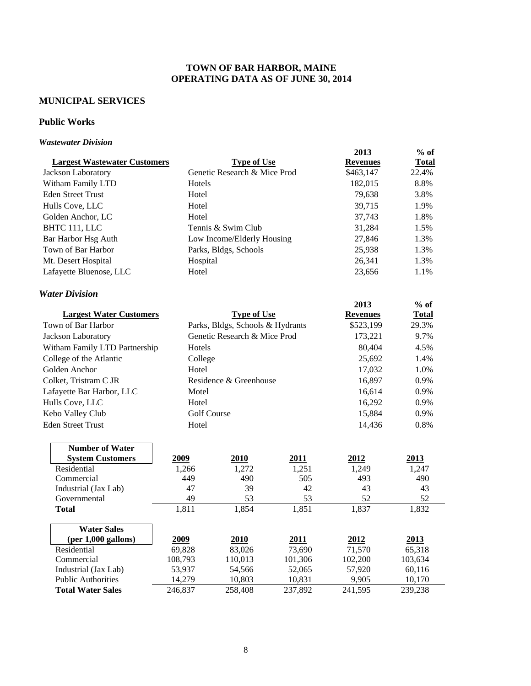### **TOWN OF BAR HARBOR, MAINE OPERATING DATA AS OF JUNE 30, 2014**

### **MUNICIPAL SERVICES**

### **Public Works**

#### *Wastewater Division*

|                                     |                    |                                  |         | 2013            | $%$ of       |
|-------------------------------------|--------------------|----------------------------------|---------|-----------------|--------------|
| <b>Largest Wastewater Customers</b> |                    | <b>Type of Use</b>               |         | <b>Revenues</b> | <b>Total</b> |
| Jackson Laboratory                  |                    | Genetic Research & Mice Prod     |         | \$463,147       | 22.4%        |
| Witham Family LTD                   | Hotels             |                                  |         | 182,015         | 8.8%         |
| <b>Eden Street Trust</b>            | Hotel              |                                  |         | 79,638          | 3.8%         |
| Hulls Cove, LLC                     | Hotel              |                                  |         | 39,715          | 1.9%         |
| Golden Anchor, LC                   | Hotel              |                                  |         | 37,743          | 1.8%         |
| BHTC 111, LLC                       |                    | Tennis & Swim Club               |         | 31,284          | 1.5%         |
| Bar Harbor Hsg Auth                 |                    | Low Income/Elderly Housing       |         | 27,846          | 1.3%         |
| Town of Bar Harbor                  |                    | Parks, Bldgs, Schools            |         | 25,938          | 1.3%         |
| Mt. Desert Hospital                 | Hospital           |                                  |         | 26,341          | 1.3%         |
| Lafayette Bluenose, LLC             | Hotel              |                                  |         | 23,656          | 1.1%         |
| <b>Water Division</b>               |                    |                                  |         |                 |              |
|                                     |                    |                                  |         | 2013            | $%$ of       |
| <b>Largest Water Customers</b>      |                    | <b>Type of Use</b>               |         | <b>Revenues</b> | <b>Total</b> |
| Town of Bar Harbor                  |                    | Parks, Bldgs, Schools & Hydrants |         | \$523,199       | 29.3%        |
| Jackson Laboratory                  |                    | Genetic Research & Mice Prod     |         | 173,221         | 9.7%         |
| Witham Family LTD Partnership       | Hotels             |                                  |         | 80,404          | 4.5%         |
| College of the Atlantic             |                    | College                          |         |                 | 1.4%         |
| Golden Anchor                       | Hotel              |                                  |         | 17,032          | 1.0%         |
| Colket, Tristram C JR               |                    | Residence & Greenhouse           |         | 16,897          | 0.9%         |
| Lafayette Bar Harbor, LLC           | Motel              |                                  |         | 16,614          | 0.9%         |
| Hulls Cove, LLC                     | Hotel              |                                  |         | 16,292          | 0.9%         |
| Kebo Valley Club                    | <b>Golf Course</b> |                                  |         | 15,884          | 0.9%         |
| <b>Eden Street Trust</b>            | Hotel              |                                  |         | 14,436          | 0.8%         |
| <b>Number of Water</b>              |                    |                                  |         |                 |              |
| <b>System Customers</b>             | 2009               | 2010                             | 2011    | 2012            | 2013         |
| Residential                         | 1,266              | 1,272                            | 1,251   | 1,249           | 1,247        |
| Commercial                          | 449                | 490                              | 505     | 493             | 490          |
| Industrial (Jax Lab)                | 47                 | 39                               | 42      | 43              | 43           |
| Governmental                        | 49                 | 53                               | 53      | 52              | 52           |
| Total                               | 1,811              | 1,854                            | 1,851   | 1,837           | 1,832        |
| <b>Water Sales</b>                  |                    |                                  |         |                 |              |
| $(per 1,000$ gallons)               | 2009               | 2010                             | 2011    | 2012            | 2013         |
| Residential                         | 69,828             | 83,026                           | 73,690  | 71,570          | 65,318       |
| Commercial                          | 108,793            | 110,013                          | 101,306 | 102,200         | 103,634      |
| Industrial (Jax Lab)                | 53,937             | 54,566                           | 52,065  | 57,920          | 60,116       |
| <b>Public Authorities</b>           | 14,279             | 10,803                           | 10,831  | 9,905           | 10,170       |
| <b>Total Water Sales</b>            | 246,837            | 258,408                          | 237,892 | 241,595         | 239,238      |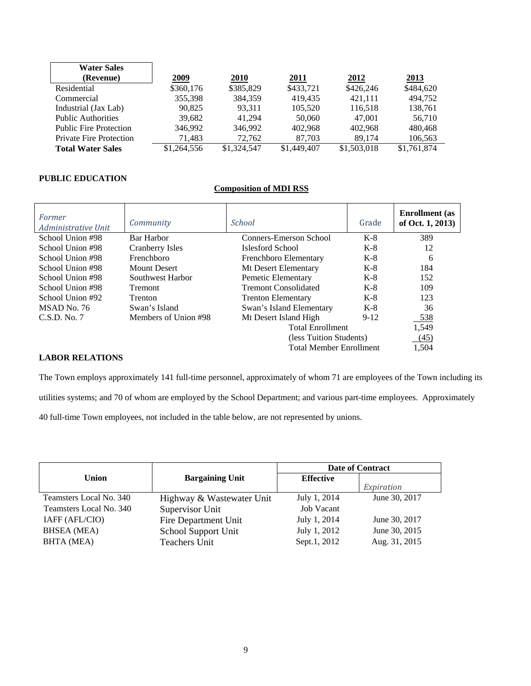| <b>Water Sales</b>             |             |             |             |             |             |
|--------------------------------|-------------|-------------|-------------|-------------|-------------|
| (Revenue)                      | 2009        | <b>2010</b> | 2011        | 2012        | <u>2013</u> |
| Residential                    | \$360,176   | \$385,829   | \$433,721   | \$426,246   | \$484,620   |
| Commercial                     | 355,398     | 384.359     | 419.435     | 421.111     | 494,752     |
| Industrial (Jax Lab)           | 90.825      | 93.311      | 105,520     | 116,518     | 138,761     |
| <b>Public Authorities</b>      | 39,682      | 41.294      | 50,060      | 47,001      | 56,710      |
| <b>Public Fire Protection</b>  | 346.992     | 346.992     | 402.968     | 402.968     | 480,468     |
| <b>Private Fire Protection</b> | 71,483      | 72.762      | 87,703      | 89.174      | 106,563     |
| <b>Total Water Sales</b>       | \$1,264,556 | \$1,324,547 | \$1,449,407 | \$1,503,018 | \$1,761,874 |

#### **PUBLIC EDUCATION**

#### **Composition of MDI RSS**

| Former<br>Administrative Unit | Community            | <b>School</b>                  | Grade  | <b>Enrollment</b> (as<br>of Oct. 1, 2013) |
|-------------------------------|----------------------|--------------------------------|--------|-------------------------------------------|
| School Union #98              | Bar Harbor           | Conners-Emerson School         | $K-8$  | 389                                       |
| School Union #98              | Cranberry Isles      | Islesford School               | $K-8$  | 12                                        |
| School Union #98              | Frenchboro           | Frenchboro Elementary          | $K-8$  | 6                                         |
| School Union #98              | <b>Mount Desert</b>  | Mt Desert Elementary           | $K-8$  | 184                                       |
| School Union #98              | Southwest Harbor     | Pemetic Elementary             | $K-8$  | 152                                       |
| School Union #98              | <b>Tremont</b>       | <b>Tremont Consolidated</b>    | $K-8$  | 109                                       |
| School Union #92              | <b>Trenton</b>       | <b>Trenton Elementary</b>      | $K-8$  | 123                                       |
| MSAD No. 76                   | Swan's Island        | Swan's Island Elementary       | $K-8$  | 36                                        |
| C.S.D. No. 7                  | Members of Union #98 | Mt Desert Island High          | $9-12$ | 538                                       |
|                               |                      | <b>Total Enrollment</b>        |        | 1,549                                     |
|                               |                      | (less Tuition Students)        |        | (45)                                      |
|                               |                      | <b>Total Member Enrollment</b> | 1,504  |                                           |

### **LABOR RELATIONS**

The Town employs approximately 141 full-time personnel, approximately of whom 71 are employees of the Town including its utilities systems; and 70 of whom are employed by the School Department; and various part-time employees. Approximately 40 full-time Town employees, not included in the table below, are not represented by unions.

|                         |                           |                   | <b>Date of Contract</b> |  |
|-------------------------|---------------------------|-------------------|-------------------------|--|
| Union                   | <b>Bargaining Unit</b>    | <b>Effective</b>  |                         |  |
|                         |                           |                   | Expiration              |  |
| Teamsters Local No. 340 | Highway & Wastewater Unit | July 1, 2014      | June 30, 2017           |  |
| Teamsters Local No. 340 | Supervisor Unit           | <b>Job Vacant</b> |                         |  |
| IAFF (AFL/CIO)          | Fire Department Unit      | July 1, 2014      | June 30, 2017           |  |
| <b>BHSEA</b> (MEA)      | School Support Unit       | July 1, 2012      | June 30, 2015           |  |
| <b>BHTA</b> (MEA)       | Teachers Unit             | Sept.1, 2012      | Aug. 31, 2015           |  |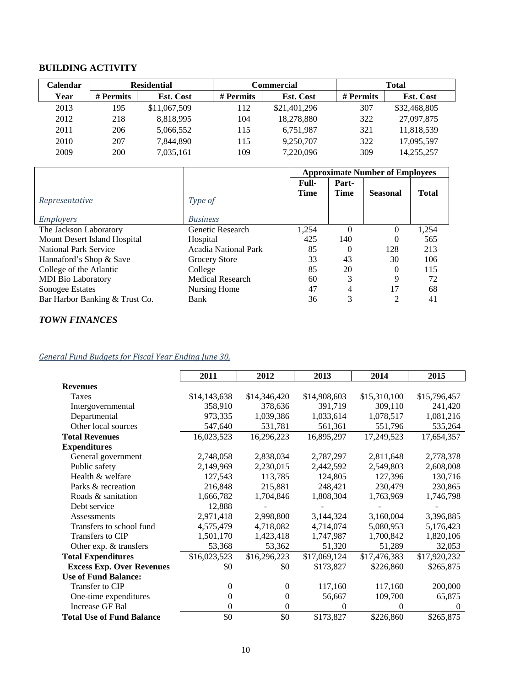## **BUILDING ACTIVITY**

| Calendar |           | <b>Residential</b><br>Commercial<br><b>Total</b> |           |                  |           |                  |
|----------|-----------|--------------------------------------------------|-----------|------------------|-----------|------------------|
| Year     | # Permits | <b>Est. Cost</b>                                 | # Permits | <b>Est. Cost</b> | # Permits | <b>Est. Cost</b> |
| 2013     | 195       | \$11,067,509                                     | 112       | \$21,401,296     | 307       | \$32,468,805     |
| 2012     | 218       | 8,818,995                                        | 104       | 18,278,880       | 322       | 27,097,875       |
| 2011     | 206       | 5,066,552                                        | 115       | 6,751,987        | 321       | 11,818,539       |
| 2010     | 207       | 7.844.890                                        | 115       | 9.250.707        | 322       | 17,095,597       |
| 2009     | 200       | 7,035,161                                        | 109       | 7,220,096        | 309       | 14,255,257       |

|                                |                         | <b>Approximate Number of Employees</b> |                      |                 |              |
|--------------------------------|-------------------------|----------------------------------------|----------------------|-----------------|--------------|
| Representative                 | Type of                 | Full-<br><b>Time</b>                   | Part-<br><b>Time</b> | <b>Seasonal</b> | <b>Total</b> |
| <i>Employers</i>               | <b>Business</b>         |                                        |                      |                 |              |
| The Jackson Laboratory         | Genetic Research        | 1,254                                  | $\Omega$             | 0               | 1,254        |
| Mount Desert Island Hospital   | Hospital                | 425                                    | 140                  | $\theta$        | 565          |
| National Park Service          | Acadia National Park    | 85                                     | 0                    | 128             | 213          |
| Hannaford's Shop & Save        | Grocery Store           | 33                                     | 43                   | 30              | 106          |
| College of the Atlantic        | College                 | 85                                     | 20                   | 0               | 115          |
| <b>MDI</b> Bio Laboratory      | <b>Medical Research</b> | 60                                     | 3                    | 9               | 72           |
| Sonogee Estates                | Nursing Home            | 47                                     | 4                    | 17              | 68           |
| Bar Harbor Banking & Trust Co. | Bank                    | 36                                     | 3                    | 2               | 41           |

## *TOWN FINANCES*

### *General Fund Budgets for Fiscal Year Ending June 30,*

|                                  | 2011         | 2012             | 2013         | 2014         | 2015         |
|----------------------------------|--------------|------------------|--------------|--------------|--------------|
| <b>Revenues</b>                  |              |                  |              |              |              |
| Taxes                            | \$14,143,638 | \$14,346,420     | \$14,908,603 | \$15,310,100 | \$15,796,457 |
| Intergovernmental                | 358,910      | 378,636          | 391,719      | 309,110      | 241,420      |
| Departmental                     | 973,335      | 1,039,386        | 1,033,614    | 1,078,517    | 1,081,216    |
| Other local sources              | 547,640      | 531,781          | 561,361      | 551,796      | 535,264      |
| <b>Total Revenues</b>            | 16,023,523   | 16,296,223       | 16,895,297   | 17,249,523   | 17,654,357   |
| <b>Expenditures</b>              |              |                  |              |              |              |
| General government               | 2,748,058    | 2,838,034        | 2,787,297    | 2,811,648    | 2,778,378    |
| Public safety                    | 2,149,969    | 2,230,015        | 2,442,592    | 2,549,803    | 2,608,008    |
| Health & welfare                 | 127,543      | 113,785          | 124,805      | 127,396      | 130,716      |
| Parks & recreation               | 216,848      | 215,881          | 248,421      | 230,479      | 230,865      |
| Roads & sanitation               | 1,666,782    | 1,704,846        | 1,808,304    | 1,763,969    | 1,746,798    |
| Debt service                     | 12,888       |                  |              |              |              |
| Assessments                      | 2,971,418    | 2,998,800        | 3,144,324    | 3,160,004    | 3,396,885    |
| Transfers to school fund         | 4,575,479    | 4,718,082        | 4,714,074    | 5,080,953    | 5,176,423    |
| Transfers to CIP                 | 1,501,170    | 1,423,418        | 1,747,987    | 1,700,842    | 1,820,106    |
| Other exp. & transfers           | 53,368       | 53,362           | 51,320       | 51,289       | 32,053       |
| <b>Total Expenditures</b>        | \$16,023,523 | \$16,296,223     | \$17,069,124 | \$17,476,383 | \$17,920,232 |
| <b>Excess Exp. Over Revenues</b> | \$0          | \$0              | \$173,827    | \$226,860    | \$265,875    |
| <b>Use of Fund Balance:</b>      |              |                  |              |              |              |
| Transfer to CIP                  | $\theta$     | $\mathbf{0}$     | 117,160      | 117,160      | 200,000      |
| One-time expenditures            | 0            | $\boldsymbol{0}$ | 56,667       | 109,700      | 65,875       |
| <b>Increase GF Bal</b>           | 0            | $\mathbf{0}$     | $\theta$     | $\Omega$     | $\Omega$     |
| <b>Total Use of Fund Balance</b> | \$0          | \$0              | \$173,827    | \$226,860    | \$265,875    |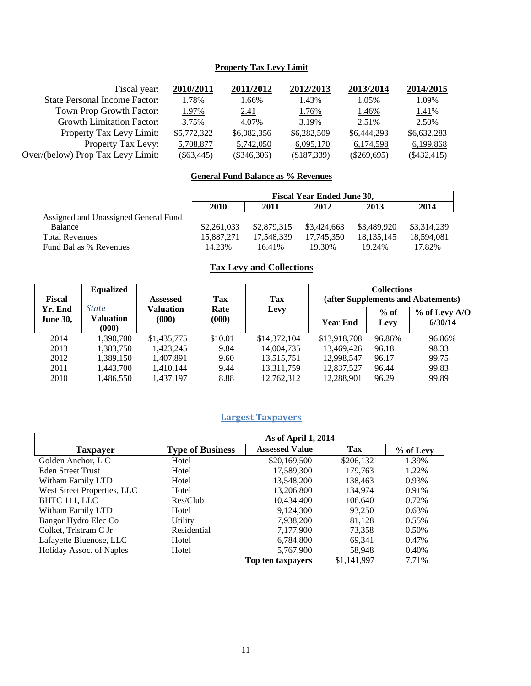### **Property Tax Levy Limit**

| Fiscal year:                         | 2010/2011    | 2011/2012     | 2012/2013   | 2013/2014     | 2014/2015     |
|--------------------------------------|--------------|---------------|-------------|---------------|---------------|
| <b>State Personal Income Factor:</b> | 1.78%        | 1.66%         | 1.43%       | 1.05%         | 1.09%         |
| Town Prop Growth Factor:             | 1.97%        | 2.41          | 1.76%       | 1.46%         | 1.41%         |
| <b>Growth Limitation Factor:</b>     | 3.75%        | 4.07%         | 3.19%       | 2.51%         | 2.50%         |
| Property Tax Levy Limit:             | \$5,772,322  | \$6,082,356   | \$6,282,509 | \$6,444,293   | \$6,632,283   |
| Property Tax Levy:                   | 5,708,877    | 5,742,050     | 6,095,170   | 6,174,598     | 6,199,868     |
| Over/(below) Prop Tax Levy Limit:    | $(\$63,445)$ | $(\$346,306)$ | (\$187,339) | $(\$269,695)$ | $(\$432,415)$ |

### **General Fund Balance as % Revenues**

|                                      | <b>Fiscal Year Ended June 30,</b> |             |             |              |             |  |  |
|--------------------------------------|-----------------------------------|-------------|-------------|--------------|-------------|--|--|
|                                      | 2010                              | 2011        | 2012        | 2013         | 2014        |  |  |
| Assigned and Unassigned General Fund |                                   |             |             |              |             |  |  |
| <b>Balance</b>                       | \$2,261,033                       | \$2,879,315 | \$3,424,663 | \$3,489,920  | \$3,314,239 |  |  |
| <b>Total Revenues</b>                | 15,887,271                        | 17.548.339  | 17.745.350  | 18, 135, 145 | 18.594.081  |  |  |
| Fund Bal as % Revenues               | 14.23%                            | 16.41%      | 19.30%      | 19.24%       | 17.82%      |  |  |

## **Tax Levy and Collections**

| <b>Fiscal</b>              | <b>Equalized</b>                   | <b>Assessed</b>    | <b>Tax</b>    | Tax          | <b>Collections</b><br>(after Supplements and Abatements) |                |                            |
|----------------------------|------------------------------------|--------------------|---------------|--------------|----------------------------------------------------------|----------------|----------------------------|
| Yr. End<br><b>June 30,</b> | <b>State</b><br>Valuation<br>(000) | Valuation<br>(000) | Rate<br>(000) | Levy         | <b>Year End</b>                                          | $%$ of<br>Levy | $%$ of Levy A/O<br>6/30/14 |
| 2014                       | 1,390,700                          | \$1,435,775        | \$10.01       | \$14,372,104 | \$13,918,708                                             | 96.86%         | 96.86%                     |
| 2013                       | 1.383.750                          | 1.423.245          | 9.84          | 14,004,735   | 13,469,426                                               | 96.18          | 98.33                      |
| 2012                       | 1,389,150                          | 1,407,891          | 9.60          | 13,515,751   | 12.998.547                                               | 96.17          | 99.75                      |
| 2011                       | 1.443.700                          | 1.410.144          | 9.44          | 13,311,759   | 12,837,527                                               | 96.44          | 99.83                      |
| 2010                       | 1.486.550                          | 1,437,197          | 8.88          | 12,762,312   | 12,288,901                                               | 96.29          | 99.89                      |

### **Largest Taxpayers**

|                             |                         | As of April 1, 2014   |             |           |
|-----------------------------|-------------------------|-----------------------|-------------|-----------|
| <b>Taxpayer</b>             | <b>Type of Business</b> | <b>Assessed Value</b> | Tax         | % of Levy |
| Golden Anchor, L C          | Hotel                   | \$20,169,500          | \$206,132   | 1.39%     |
| <b>Eden Street Trust</b>    | Hotel                   | 17,589,300            | 179,763     | 1.22%     |
| Witham Family LTD           | Hotel                   | 13,548,200            | 138,463     | 0.93%     |
| West Street Properties, LLC | Hotel                   | 13,206,800            | 134,974     | 0.91%     |
| BHTC 111, LLC               | Res/Club                | 10,434,400            | 106,640     | 0.72%     |
| Witham Family LTD           | Hotel                   | 9,124,300             | 93.250      | 0.63%     |
| Bangor Hydro Elec Co        | Utility                 | 7,938,200             | 81,128      | 0.55%     |
| Colket, Tristram C Jr       | Residential             | 7,177,900             | 73.358      | 0.50%     |
| Lafayette Bluenose, LLC     | Hotel                   | 6,784,800             | 69,341      | 0.47%     |
| Holiday Assoc. of Naples    | Hotel                   | 5,767,900             | 58,948      | 0.40%     |
|                             |                         | Top ten taxpayers     | \$1,141,997 | 7.71%     |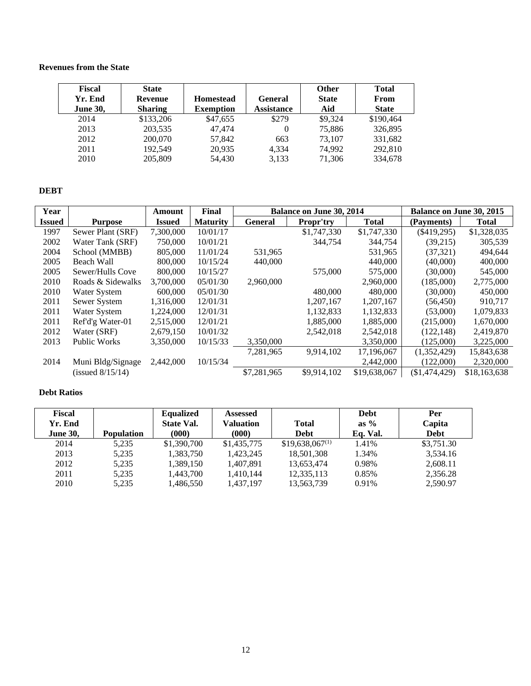### **Revenues from the State**

| Fiscal<br>Yr. End<br><b>June 30,</b> | <b>State</b><br><b>Revenue</b><br><b>Sharing</b> | <b>Homestead</b><br><b>Exemption</b> | General<br><b>Assistance</b> | <b>Other</b><br><b>State</b><br>Aid | <b>Total</b><br>From<br><b>State</b> |
|--------------------------------------|--------------------------------------------------|--------------------------------------|------------------------------|-------------------------------------|--------------------------------------|
| 2014                                 | \$133,206                                        | \$47,655                             | \$279                        | \$9.324                             | \$190,464                            |
| 2013                                 | 203,535                                          | 47.474                               | 0                            | 75,886                              | 326,895                              |
| 2012                                 | 200,070                                          | 57,842                               | 663                          | 73.107                              | 331,682                              |
| 2011                                 | 192.549                                          | 20,935                               | 4.334                        | 74.992                              | 292,810                              |
| 2010                                 | 205,809                                          | 54,430                               | 3,133                        | 71,306                              | 334,678                              |

#### **DEBT**

| Year          |                       | Amount        | Final           |                | <b>Balance on June 30, 2014</b> |              | Balance on June 30, 2015 |              |
|---------------|-----------------------|---------------|-----------------|----------------|---------------------------------|--------------|--------------------------|--------------|
| <b>Issued</b> | <b>Purpose</b>        | <b>Issued</b> | <b>Maturity</b> | <b>General</b> | <b>Propr'try</b>                | <b>Total</b> | (Payments)               | <b>Total</b> |
| 1997          | Sewer Plant (SRF)     | 7,300,000     | 10/01/17        |                | \$1,747,330                     | \$1,747,330  | $(\$419,295)$            | \$1,328,035  |
| 2002          | Water Tank (SRF)      | 750,000       | 10/01/21        |                | 344,754                         | 344,754      | (39,215)                 | 305,539      |
| 2004          | School (MMBB)         | 805,000       | 11/01/24        | 531,965        |                                 | 531,965      | (37, 321)                | 494,644      |
| 2005          | Beach Wall            | 800,000       | 10/15/24        | 440,000        |                                 | 440,000      | (40,000)                 | 400,000      |
| 2005          | Sewer/Hulls Cove      | 800,000       | 10/15/27        |                | 575,000                         | 575,000      | (30,000)                 | 545,000      |
| 2010          | Roads & Sidewalks     | 3.700,000     | 05/01/30        | 2,960,000      |                                 | 2,960,000    | (185,000)                | 2,775,000    |
| 2010          | Water System          | 600,000       | 05/01/30        |                | 480,000                         | 480,000      | (30,000)                 | 450,000      |
| 2011          | Sewer System          | 1.316.000     | 12/01/31        |                | 1.207.167                       | 1,207,167    | (56, 450)                | 910.717      |
| 2011          | Water System          | 1.224,000     | 12/01/31        |                | 1,132,833                       | 1,132,833    | (53,000)                 | 1,079,833    |
| 2011          | Ref'd'g Water-01      | 2,515,000     | 12/01/21        |                | 1,885,000                       | 1,885,000    | (215,000)                | 1,670,000    |
| 2012          | Water (SRF)           | 2,679,150     | 10/01/32        |                | 2,542,018                       | 2,542,018    | (122, 148)               | 2,419,870    |
| 2013          | <b>Public Works</b>   | 3,350,000     | 10/15/33        | 3,350,000      |                                 | 3,350,000    | (125,000)                | 3,225,000    |
|               |                       |               |                 | 7,281,965      | 9,914,102                       | 17,196,067   | (1,352,429)              | 15,843,638   |
| 2014          | Muni Bldg/Signage     | 2,442,000     | 10/15/34        |                |                                 | 2,442,000    | (122,000)                | 2,320,000    |
|               | $($ issued $8/15/14)$ |               |                 | \$7,281,965    | \$9,914,102                     | \$19,638,067 | (\$1,474,429)            | \$18,163,638 |

### **Debt Ratios**

| <b>Fiscal</b>   |                   | <b>Equalized</b>  | <b>Assessed</b> |                     | <b>Debt</b> | Per         |
|-----------------|-------------------|-------------------|-----------------|---------------------|-------------|-------------|
| Yr. End         |                   | <b>State Val.</b> | Valuation       | <b>Total</b>        | as $\%$     | Capita      |
| <b>June 30,</b> | <b>Population</b> | (000)             | (000)           | <b>Debt</b>         | Eq. Val.    | <b>Debt</b> |
| 2014            | 5,235             | \$1,390,700       | \$1,435,775     | $$19,638,067^{(1)}$ | 1.41%       | \$3,751.30  |
| 2013            | 5.235             | 1.383.750         | 1.423.245       | 18,501,308          | 1.34%       | 3.534.16    |
| 2012            | 5,235             | 1,389,150         | 1.407.891       | 13,653,474          | 0.98%       | 2,608.11    |
| 2011            | 5,235             | 1,443,700         | 1.410.144       | 12,335,113          | 0.85%       | 2,356.28    |
| 2010            | 5,235             | 1,486,550         | 1,437,197       | 13,563,739          | 0.91%       | 2.590.97    |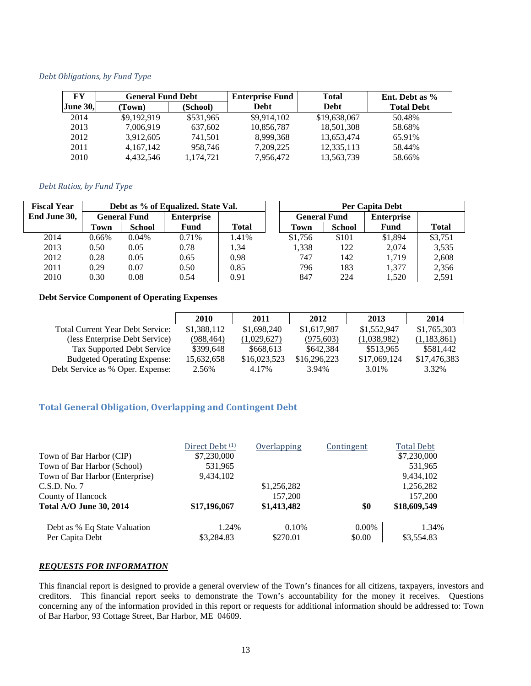#### *Debt Obligations, by Fund Type*

| FY              | <b>General Fund Debt</b> |           | <b>Enterprise Fund</b> |              |                   | <b>Total</b> | Ent. Debt as % |  |
|-----------------|--------------------------|-----------|------------------------|--------------|-------------------|--------------|----------------|--|
| <b>June 30,</b> | (Town)                   | (School)  | <b>Debt</b>            | <b>Debt</b>  | <b>Total Debt</b> |              |                |  |
| 2014            | \$9,192,919              | \$531,965 | \$9,914,102            | \$19,638,067 | 50.48%            |              |                |  |
| 2013            | 7,006,919                | 637,602   | 10,856,787             | 18,501,308   | 58.68%            |              |                |  |
| 2012            | 3,912,605                | 741.501   | 8.999.368              | 13.653.474   | 65.91%            |              |                |  |
| 2011            | 4, 167, 142              | 958.746   | 7,209,225              | 12,335,113   | 58.44%            |              |                |  |
| 2010            | 4.432.546                | 1,174,721 | 7,956,472              | 13,563,739   | 58.66%            |              |                |  |

#### *Debt Ratios, by Fund Type*

| <b>Fiscal Year</b> | Debt as % of Equalized. State Val. |               |       |              |                   |               | <b>Per Capita Debt</b> |              |                   |  |
|--------------------|------------------------------------|---------------|-------|--------------|-------------------|---------------|------------------------|--------------|-------------------|--|
| End June 30,       | <b>General Fund</b>                |               |       |              | <b>Enterprise</b> |               | <b>General Fund</b>    |              | <b>Enterprise</b> |  |
|                    | Town                               | <b>School</b> | Fund  | <b>Total</b> | Town              | <b>School</b> | Fund                   | <b>Total</b> |                   |  |
| 2014               | $0.66\%$                           | $0.04\%$      | 0.71% | 1.41%        | \$1,756           | \$101         | \$1,894                | \$3,751      |                   |  |
| 2013               | 0.50                               | 0.05          | 0.78  | 1.34         | 1.338             | 122           | 2.074                  | 3,535        |                   |  |
| 2012               | 0.28                               | 0.05          | 0.65  | 0.98         | 747               | 142           | 1.719                  | 2,608        |                   |  |
| 2011               | 0.29                               | 0.07          | 0.50  | 0.85         | 796               | 183           | 1.377                  | 2,356        |                   |  |
| 2010               | 0.30                               | 0.08          | 0.54  | 0.91         | 847               | 224           | 1,520                  | 2,591        |                   |  |

#### **Debt Service Component of Operating Expenses**

|                                         | 2010        | 2011         | 2012         | 2013         | 2014         |
|-----------------------------------------|-------------|--------------|--------------|--------------|--------------|
| <b>Total Current Year Debt Service:</b> | \$1,388,112 | \$1,698,240  | \$1,617,987  | \$1,552,947  | \$1,765,303  |
| (less Enterprise Debt Service)          | (988, 464)  | (1,029,627)  | (975, 603)   | (1,038,982)  | (1,183,861)  |
| Tax Supported Debt Service              | \$399.648   | \$668,613    | \$642,384    | \$513,965    | \$581,442    |
| <b>Budgeted Operating Expense:</b>      | 15,632,658  | \$16,023,523 | \$16,296,223 | \$17,069,124 | \$17,476,383 |
| Debt Service as % Oper. Expense:        | 2.56%       | 4.17%        | 3.94%        | 3.01%        | 3.32%        |

### **Total General Obligation, Overlapping and Contingent Debt**

|                                 | Direct Debt <sup>(1)</sup> | Overlapping | Contingent | <b>Total Debt</b> |
|---------------------------------|----------------------------|-------------|------------|-------------------|
| Town of Bar Harbor (CIP)        | \$7,230,000                |             |            | \$7,230,000       |
| Town of Bar Harbor (School)     | 531,965                    |             |            | 531,965           |
| Town of Bar Harbor (Enterprise) | 9,434,102                  |             |            | 9,434,102         |
| C.S.D. No. 7                    |                            | \$1,256,282 |            | 1,256,282         |
| County of Hancock               |                            | 157,200     |            | 157,200           |
| <b>Total A/O June 30, 2014</b>  | \$17,196,067               | \$1,413,482 | \$0        | \$18,609,549      |
| Debt as % Eq State Valuation    | 1.24%                      | 0.10%       | $0.00\%$   | 1.34%             |
| Per Capita Debt                 | \$3,284.83                 | \$270.01    | \$0.00     | \$3,554.83        |

#### *REQUESTS FOR INFORMATION*

This financial report is designed to provide a general overview of the Town's finances for all citizens, taxpayers, investors and creditors. This financial report seeks to demonstrate the Town's accountability for the money it receives. Questions concerning any of the information provided in this report or requests for additional information should be addressed to: Town of Bar Harbor, 93 Cottage Street, Bar Harbor, ME 04609.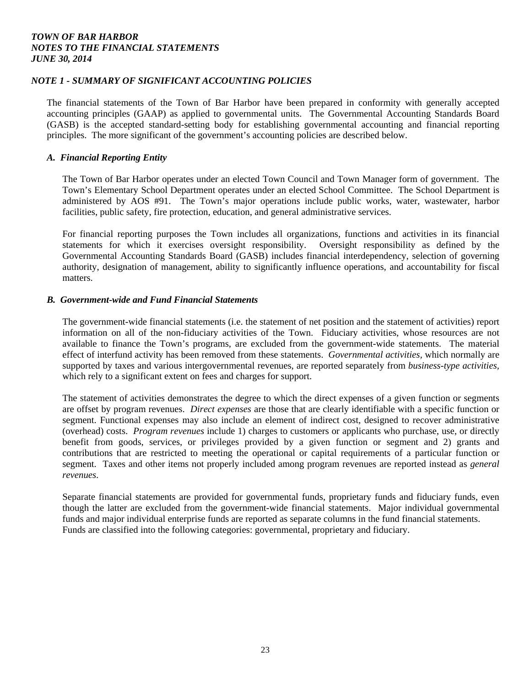### *NOTE 1 - SUMMARY OF SIGNIFICANT ACCOUNTING POLICIES*

The financial statements of the Town of Bar Harbor have been prepared in conformity with generally accepted accounting principles (GAAP) as applied to governmental units. The Governmental Accounting Standards Board (GASB) is the accepted standard-setting body for establishing governmental accounting and financial reporting principles. The more significant of the government's accounting policies are described below.

#### *A. Financial Reporting Entity*

The Town of Bar Harbor operates under an elected Town Council and Town Manager form of government. The Town's Elementary School Department operates under an elected School Committee. The School Department is administered by AOS #91. The Town's major operations include public works, water, wastewater, harbor facilities, public safety, fire protection, education, and general administrative services.

For financial reporting purposes the Town includes all organizations, functions and activities in its financial statements for which it exercises oversight responsibility. Oversight responsibility as defined by the Governmental Accounting Standards Board (GASB) includes financial interdependency, selection of governing authority, designation of management, ability to significantly influence operations, and accountability for fiscal matters.

#### *B. Government-wide and Fund Financial Statements*

 The government-wide financial statements (i.e. the statement of net position and the statement of activities) report information on all of the non-fiduciary activities of the Town. Fiduciary activities, whose resources are not available to finance the Town's programs, are excluded from the government-wide statements. The material effect of interfund activity has been removed from these statements. *Governmental activities,* which normally are supported by taxes and various intergovernmental revenues, are reported separately from *business-type activities,*  which rely to a significant extent on fees and charges for support.

 The statement of activities demonstrates the degree to which the direct expenses of a given function or segments are offset by program revenues. *Direct expenses* are those that are clearly identifiable with a specific function or segment. Functional expenses may also include an element of indirect cost, designed to recover administrative (overhead) costs. *Program revenues* include 1) charges to customers or applicants who purchase, use, or directly benefit from goods, services, or privileges provided by a given function or segment and 2) grants and contributions that are restricted to meeting the operational or capital requirements of a particular function or segment. Taxes and other items not properly included among program revenues are reported instead as *general revenues*.

 Separate financial statements are provided for governmental funds, proprietary funds and fiduciary funds, even though the latter are excluded from the government-wide financial statements. Major individual governmental funds and major individual enterprise funds are reported as separate columns in the fund financial statements. Funds are classified into the following categories: governmental, proprietary and fiduciary.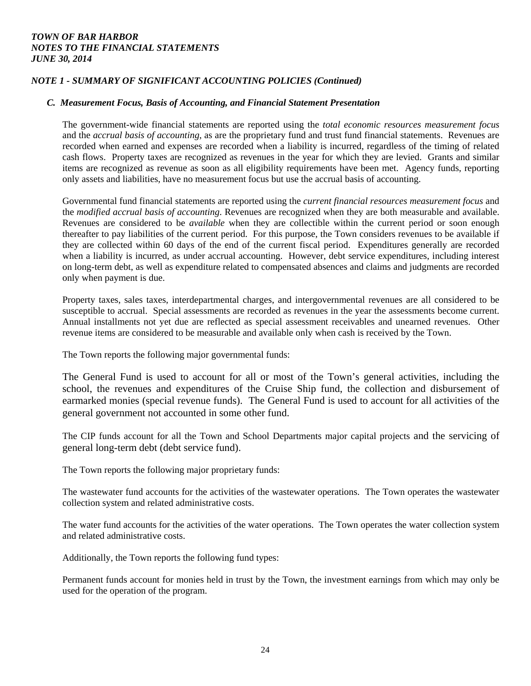### *NOTE 1 - SUMMARY OF SIGNIFICANT ACCOUNTING POLICIES (Continued)*

### *C. Measurement Focus, Basis of Accounting, and Financial Statement Presentation*

 The government-wide financial statements are reported using the *total economic resources measurement focus* and the *accrual basis of accounting*, as are the proprietary fund and trust fund financial statements. Revenues are recorded when earned and expenses are recorded when a liability is incurred, regardless of the timing of related cash flows. Property taxes are recognized as revenues in the year for which they are levied. Grants and similar items are recognized as revenue as soon as all eligibility requirements have been met. Agency funds, reporting only assets and liabilities, have no measurement focus but use the accrual basis of accounting.

Governmental fund financial statements are reported using the *current financial resources measurement focus* and the *modified accrual basis of accounting*. Revenues are recognized when they are both measurable and available. Revenues are considered to be *available* when they are collectible within the current period or soon enough thereafter to pay liabilities of the current period. For this purpose, the Town considers revenues to be available if they are collected within 60 days of the end of the current fiscal period. Expenditures generally are recorded when a liability is incurred, as under accrual accounting. However, debt service expenditures, including interest on long-term debt, as well as expenditure related to compensated absences and claims and judgments are recorded only when payment is due.

Property taxes, sales taxes, interdepartmental charges, and intergovernmental revenues are all considered to be susceptible to accrual. Special assessments are recorded as revenues in the year the assessments become current. Annual installments not yet due are reflected as special assessment receivables and unearned revenues. Other revenue items are considered to be measurable and available only when cash is received by the Town.

The Town reports the following major governmental funds:

The General Fund is used to account for all or most of the Town's general activities, including the school, the revenues and expenditures of the Cruise Ship fund, the collection and disbursement of earmarked monies (special revenue funds). The General Fund is used to account for all activities of the general government not accounted in some other fund.

 The CIP funds account for all the Town and School Departments major capital projects and the servicing of general long-term debt (debt service fund).

The Town reports the following major proprietary funds:

 The wastewater fund accounts for the activities of the wastewater operations. The Town operates the wastewater collection system and related administrative costs.

 The water fund accounts for the activities of the water operations. The Town operates the water collection system and related administrative costs.

Additionally, the Town reports the following fund types:

 Permanent funds account for monies held in trust by the Town, the investment earnings from which may only be used for the operation of the program.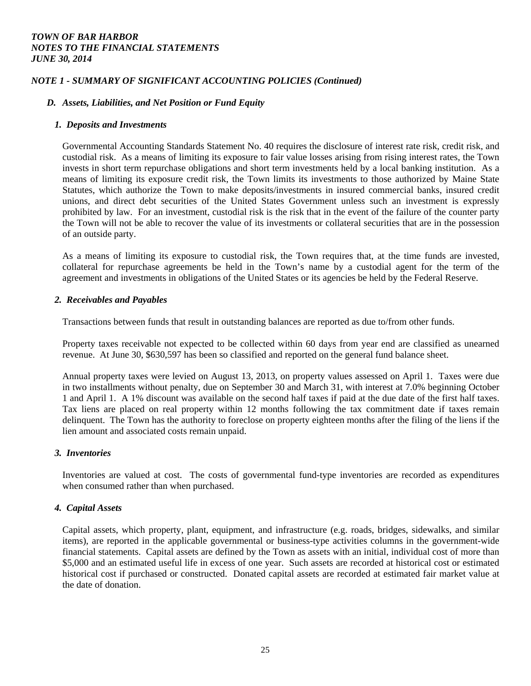### *NOTE 1 - SUMMARY OF SIGNIFICANT ACCOUNTING POLICIES (Continued)*

### *D. Assets, Liabilities, and Net Position or Fund Equity*

#### *1. Deposits and Investments*

Governmental Accounting Standards Statement No. 40 requires the disclosure of interest rate risk, credit risk, and custodial risk. As a means of limiting its exposure to fair value losses arising from rising interest rates, the Town invests in short term repurchase obligations and short term investments held by a local banking institution. As a means of limiting its exposure credit risk, the Town limits its investments to those authorized by Maine State Statutes, which authorize the Town to make deposits/investments in insured commercial banks, insured credit unions, and direct debt securities of the United States Government unless such an investment is expressly prohibited by law. For an investment, custodial risk is the risk that in the event of the failure of the counter party the Town will not be able to recover the value of its investments or collateral securities that are in the possession of an outside party.

As a means of limiting its exposure to custodial risk, the Town requires that, at the time funds are invested, collateral for repurchase agreements be held in the Town's name by a custodial agent for the term of the agreement and investments in obligations of the United States or its agencies be held by the Federal Reserve.

#### *2. Receivables and Payables*

Transactions between funds that result in outstanding balances are reported as due to/from other funds.

Property taxes receivable not expected to be collected within 60 days from year end are classified as unearned revenue. At June 30, \$630,597 has been so classified and reported on the general fund balance sheet.

Annual property taxes were levied on August 13, 2013, on property values assessed on April 1. Taxes were due in two installments without penalty, due on September 30 and March 31, with interest at 7.0% beginning October 1 and April 1. A 1% discount was available on the second half taxes if paid at the due date of the first half taxes. Tax liens are placed on real property within 12 months following the tax commitment date if taxes remain delinquent. The Town has the authority to foreclose on property eighteen months after the filing of the liens if the lien amount and associated costs remain unpaid.

### *3. Inventories*

Inventories are valued at cost. The costs of governmental fund-type inventories are recorded as expenditures when consumed rather than when purchased.

### *4. Capital Assets*

Capital assets, which property, plant, equipment, and infrastructure (e.g. roads, bridges, sidewalks, and similar items), are reported in the applicable governmental or business-type activities columns in the government-wide financial statements. Capital assets are defined by the Town as assets with an initial, individual cost of more than \$5,000 and an estimated useful life in excess of one year. Such assets are recorded at historical cost or estimated historical cost if purchased or constructed. Donated capital assets are recorded at estimated fair market value at the date of donation.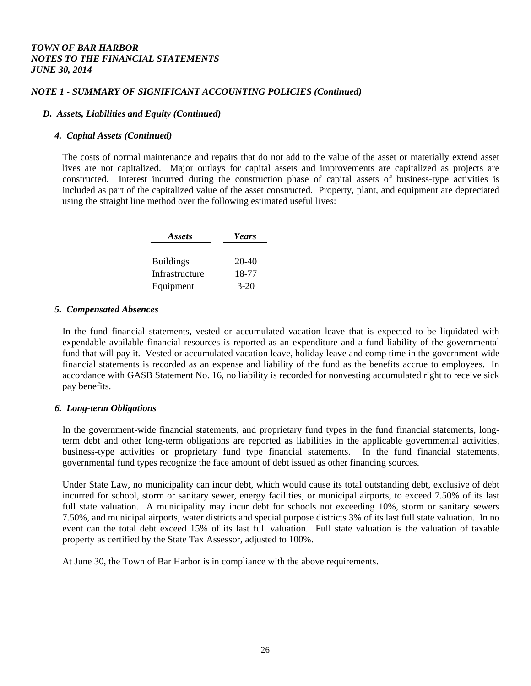### *NOTE 1 - SUMMARY OF SIGNIFICANT ACCOUNTING POLICIES (Continued)*

### *D. Assets, Liabilities and Equity (Continued)*

#### *4. Capital Assets (Continued)*

The costs of normal maintenance and repairs that do not add to the value of the asset or materially extend asset lives are not capitalized. Major outlays for capital assets and improvements are capitalized as projects are constructed. Interest incurred during the construction phase of capital assets of business-type activities is included as part of the capitalized value of the asset constructed. Property, plant, and equipment are depreciated using the straight line method over the following estimated useful lives:

| Assets           | Years   |
|------------------|---------|
|                  |         |
| <b>Buildings</b> | $20-40$ |
| Infrastructure   | 18-77   |
| Equipment        | $3-20$  |

#### *5. Compensated Absences*

In the fund financial statements, vested or accumulated vacation leave that is expected to be liquidated with expendable available financial resources is reported as an expenditure and a fund liability of the governmental fund that will pay it. Vested or accumulated vacation leave, holiday leave and comp time in the government-wide financial statements is recorded as an expense and liability of the fund as the benefits accrue to employees. In accordance with GASB Statement No. 16, no liability is recorded for nonvesting accumulated right to receive sick pay benefits.

#### *6. Long-term Obligations*

In the government-wide financial statements, and proprietary fund types in the fund financial statements, longterm debt and other long-term obligations are reported as liabilities in the applicable governmental activities, business-type activities or proprietary fund type financial statements. In the fund financial statements, governmental fund types recognize the face amount of debt issued as other financing sources.

Under State Law, no municipality can incur debt, which would cause its total outstanding debt, exclusive of debt incurred for school, storm or sanitary sewer, energy facilities, or municipal airports, to exceed 7.50% of its last full state valuation. A municipality may incur debt for schools not exceeding 10%, storm or sanitary sewers 7.50%, and municipal airports, water districts and special purpose districts 3% of its last full state valuation. In no event can the total debt exceed 15% of its last full valuation. Full state valuation is the valuation of taxable property as certified by the State Tax Assessor, adjusted to 100%.

At June 30, the Town of Bar Harbor is in compliance with the above requirements.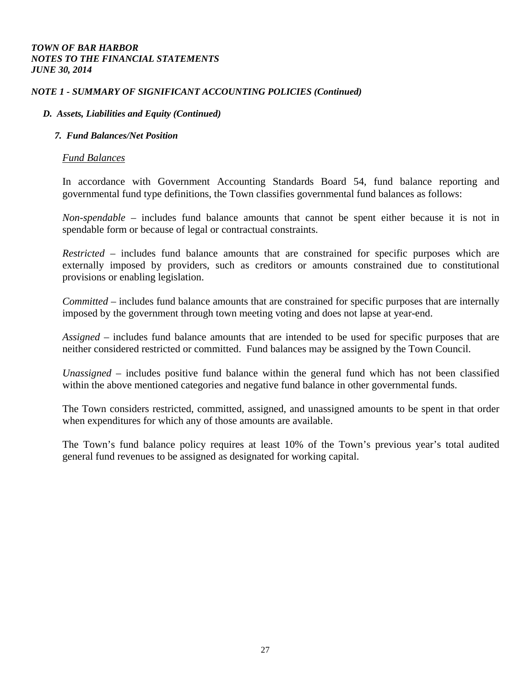### *NOTE 1 - SUMMARY OF SIGNIFICANT ACCOUNTING POLICIES (Continued)*

### *D. Assets, Liabilities and Equity (Continued)*

### *7. Fund Balances/Net Position*

### *Fund Balances*

In accordance with Government Accounting Standards Board 54, fund balance reporting and governmental fund type definitions, the Town classifies governmental fund balances as follows:

*Non-spendable –* includes fund balance amounts that cannot be spent either because it is not in spendable form or because of legal or contractual constraints.

*Restricted –* includes fund balance amounts that are constrained for specific purposes which are externally imposed by providers, such as creditors or amounts constrained due to constitutional provisions or enabling legislation.

*Committed –* includes fund balance amounts that are constrained for specific purposes that are internally imposed by the government through town meeting voting and does not lapse at year-end.

*Assigned –* includes fund balance amounts that are intended to be used for specific purposes that are neither considered restricted or committed. Fund balances may be assigned by the Town Council.

*Unassigned –* includes positive fund balance within the general fund which has not been classified within the above mentioned categories and negative fund balance in other governmental funds.

The Town considers restricted, committed, assigned, and unassigned amounts to be spent in that order when expenditures for which any of those amounts are available.

The Town's fund balance policy requires at least 10% of the Town's previous year's total audited general fund revenues to be assigned as designated for working capital.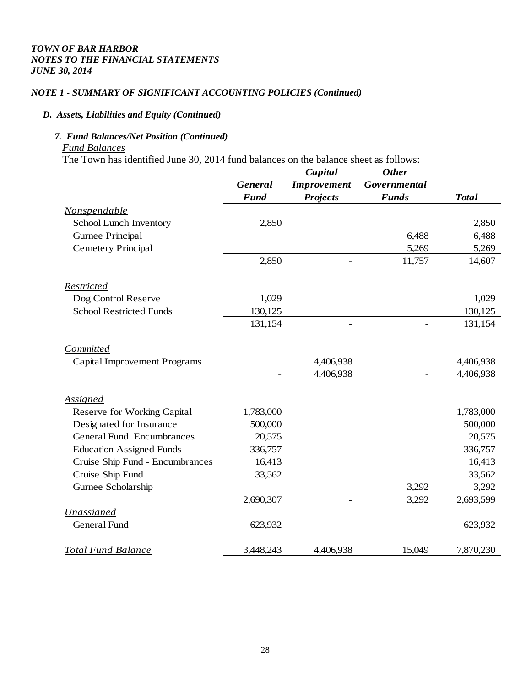## *NOTE 1 - SUMMARY OF SIGNIFICANT ACCOUNTING POLICIES (Continued)*

### *D. Assets, Liabilities and Equity (Continued)*

## *7. Fund Balances/Net Position (Continued)*

### *Fund Balances*

The Town has identified June 30, 2014 fund balances on the balance sheet as follows:

|                                     |                | Capital            | <b>Other</b>        |              |
|-------------------------------------|----------------|--------------------|---------------------|--------------|
|                                     | <b>General</b> | <b>Improvement</b> | <b>Governmental</b> |              |
|                                     | <b>Fund</b>    | <b>Projects</b>    | <b>Funds</b>        | <b>Total</b> |
| Nonspendable                        |                |                    |                     |              |
| School Lunch Inventory              | 2,850          |                    |                     | 2,850        |
| Gurnee Principal                    |                |                    | 6,488               | 6,488        |
| <b>Cemetery Principal</b>           |                |                    | 5,269               | 5,269        |
|                                     | 2,850          |                    | 11,757              | 14,607       |
| Restricted                          |                |                    |                     |              |
| Dog Control Reserve                 | 1,029          |                    |                     | 1,029        |
| <b>School Restricted Funds</b>      | 130,125        |                    |                     | 130,125      |
|                                     | 131,154        |                    |                     | 131,154      |
| <b>Committed</b>                    |                |                    |                     |              |
| <b>Capital Improvement Programs</b> |                | 4,406,938          |                     | 4,406,938    |
|                                     |                | 4,406,938          |                     | 4,406,938    |
| <b>Assigned</b>                     |                |                    |                     |              |
| Reserve for Working Capital         | 1,783,000      |                    |                     | 1,783,000    |
| Designated for Insurance            | 500,000        |                    |                     | 500,000      |
| <b>General Fund Encumbrances</b>    | 20,575         |                    |                     | 20,575       |
| <b>Education Assigned Funds</b>     | 336,757        |                    |                     | 336,757      |
| Cruise Ship Fund - Encumbrances     | 16,413         |                    |                     | 16,413       |
| Cruise Ship Fund                    | 33,562         |                    |                     | 33,562       |
| Gurnee Scholarship                  |                |                    | 3,292               | 3,292        |
|                                     | 2,690,307      |                    | 3,292               | 2,693,599    |
| <b>Unassigned</b>                   |                |                    |                     |              |
| General Fund                        | 623,932        |                    |                     | 623,932      |
| <b>Total Fund Balance</b>           | 3,448,243      | 4,406,938          | 15,049              | 7,870,230    |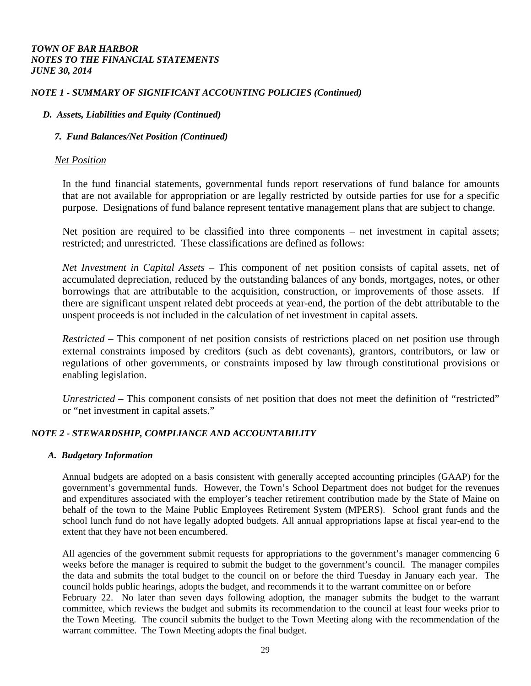### *NOTE 1 - SUMMARY OF SIGNIFICANT ACCOUNTING POLICIES (Continued)*

### *D. Assets, Liabilities and Equity (Continued)*

### *7. Fund Balances/Net Position (Continued)*

### *Net Position*

In the fund financial statements, governmental funds report reservations of fund balance for amounts that are not available for appropriation or are legally restricted by outside parties for use for a specific purpose. Designations of fund balance represent tentative management plans that are subject to change.

Net position are required to be classified into three components – net investment in capital assets; restricted; and unrestricted. These classifications are defined as follows:

*Net Investment in Capital Assets –* This component of net position consists of capital assets, net of accumulated depreciation, reduced by the outstanding balances of any bonds, mortgages, notes, or other borrowings that are attributable to the acquisition, construction, or improvements of those assets. If there are significant unspent related debt proceeds at year-end, the portion of the debt attributable to the unspent proceeds is not included in the calculation of net investment in capital assets.

*Restricted –* This component of net position consists of restrictions placed on net position use through external constraints imposed by creditors (such as debt covenants), grantors, contributors, or law or regulations of other governments, or constraints imposed by law through constitutional provisions or enabling legislation.

*Unrestricted –* This component consists of net position that does not meet the definition of "restricted" or "net investment in capital assets."

### *NOTE 2 - STEWARDSHIP, COMPLIANCE AND ACCOUNTABILITY*

### *A. Budgetary Information*

 Annual budgets are adopted on a basis consistent with generally accepted accounting principles (GAAP) for the government's governmental funds. However, the Town's School Department does not budget for the revenues and expenditures associated with the employer's teacher retirement contribution made by the State of Maine on behalf of the town to the Maine Public Employees Retirement System (MPERS). School grant funds and the school lunch fund do not have legally adopted budgets. All annual appropriations lapse at fiscal year-end to the extent that they have not been encumbered.

All agencies of the government submit requests for appropriations to the government's manager commencing 6 weeks before the manager is required to submit the budget to the government's council. The manager compiles the data and submits the total budget to the council on or before the third Tuesday in January each year. The council holds public hearings, adopts the budget, and recommends it to the warrant committee on or before February 22. No later than seven days following adoption, the manager submits the budget to the warrant committee, which reviews the budget and submits its recommendation to the council at least four weeks prior to the Town Meeting. The council submits the budget to the Town Meeting along with the recommendation of the warrant committee. The Town Meeting adopts the final budget.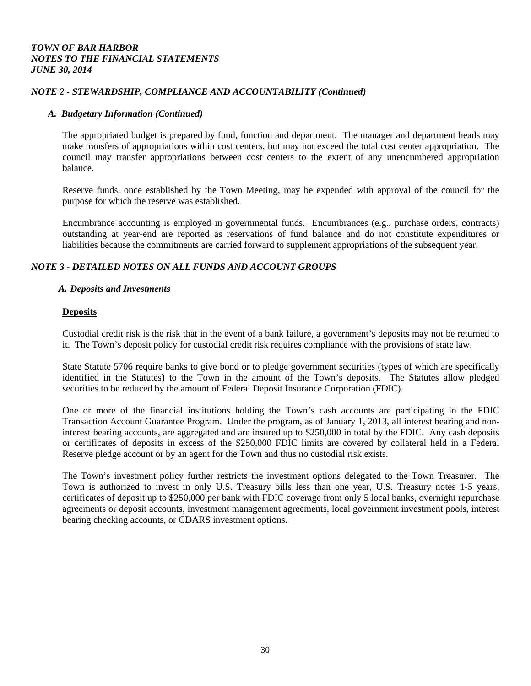### *NOTE 2 - STEWARDSHIP, COMPLIANCE AND ACCOUNTABILITY (Continued)*

#### *A. Budgetary Information (Continued)*

The appropriated budget is prepared by fund, function and department. The manager and department heads may make transfers of appropriations within cost centers, but may not exceed the total cost center appropriation. The council may transfer appropriations between cost centers to the extent of any unencumbered appropriation balance.

Reserve funds, once established by the Town Meeting, may be expended with approval of the council for the purpose for which the reserve was established.

Encumbrance accounting is employed in governmental funds. Encumbrances (e.g., purchase orders, contracts) outstanding at year-end are reported as reservations of fund balance and do not constitute expenditures or liabilities because the commitments are carried forward to supplement appropriations of the subsequent year.

### *NOTE 3 - DETAILED NOTES ON ALL FUNDS AND ACCOUNT GROUPS*

#### *A. Deposits and Investments*

#### **Deposits**

Custodial credit risk is the risk that in the event of a bank failure, a government's deposits may not be returned to it. The Town's deposit policy for custodial credit risk requires compliance with the provisions of state law.

State Statute 5706 require banks to give bond or to pledge government securities (types of which are specifically identified in the Statutes) to the Town in the amount of the Town's deposits. The Statutes allow pledged securities to be reduced by the amount of Federal Deposit Insurance Corporation (FDIC).

One or more of the financial institutions holding the Town's cash accounts are participating in the FDIC Transaction Account Guarantee Program. Under the program, as of January 1, 2013, all interest bearing and noninterest bearing accounts, are aggregated and are insured up to \$250,000 in total by the FDIC. Any cash deposits or certificates of deposits in excess of the \$250,000 FDIC limits are covered by collateral held in a Federal Reserve pledge account or by an agent for the Town and thus no custodial risk exists.

The Town's investment policy further restricts the investment options delegated to the Town Treasurer. The Town is authorized to invest in only U.S. Treasury bills less than one year, U.S. Treasury notes 1-5 years, certificates of deposit up to \$250,000 per bank with FDIC coverage from only 5 local banks, overnight repurchase agreements or deposit accounts, investment management agreements, local government investment pools, interest bearing checking accounts, or CDARS investment options.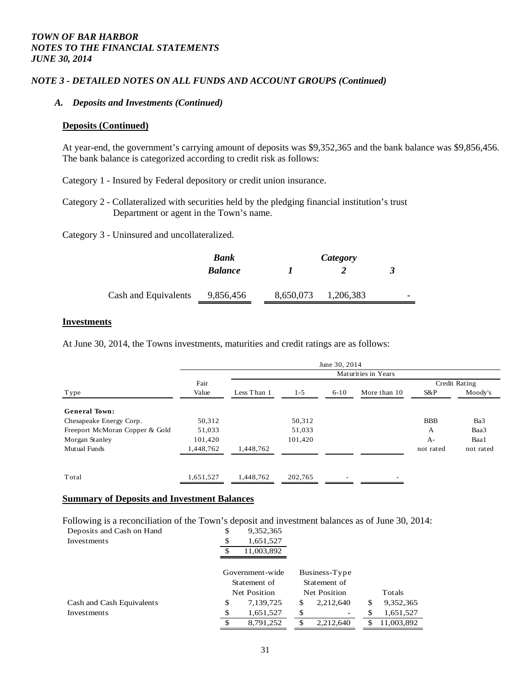### *NOTE 3 - DETAILED NOTES ON ALL FUNDS AND ACCOUNT GROUPS (Continued)*

#### *A. Deposits and Investments (Continued)*

#### **Deposits (Continued)**

At year-end, the government's carrying amount of deposits was \$9,352,365 and the bank balance was \$9,856,456. The bank balance is categorized according to credit risk as follows:

Category 1 - Insured by Federal depository or credit union insurance.

Category 2 - Collateralized with securities held by the pledging financial institution's trust Department or agent in the Town's name.

Category 3 - Uninsured and uncollateralized.

|                      | Bank           |           | Category  |   |
|----------------------|----------------|-----------|-----------|---|
|                      | <b>Balance</b> |           |           | ≺ |
| Cash and Equivalents | 9,856,456      | 8,650,073 | 1,206,383 |   |

#### **Investments**

At June 30, 2014, the Towns investments, maturities and credit ratings are as follows:

|                                |           |                     |         | June 30, 2014 |              |            |               |  |  |
|--------------------------------|-----------|---------------------|---------|---------------|--------------|------------|---------------|--|--|
|                                |           | Maturities in Years |         |               |              |            |               |  |  |
|                                | Fair      |                     |         |               |              |            | Credit Rating |  |  |
| Type                           | Value     | Less Than 1         | $1 - 5$ | $6 - 10$      | More than 10 | S&P        | Moody's       |  |  |
| <b>General Town:</b>           |           |                     |         |               |              |            |               |  |  |
| Chesapeake Energy Corp.        | 50,312    |                     | 50,312  |               |              | <b>BBB</b> | Ba3           |  |  |
| Freeport McMoran Copper & Gold | 51,033    |                     | 51,033  |               |              | A          | Baa3          |  |  |
| Morgan Stanley                 | 101,420   |                     | 101,420 |               |              | $A-$       | Baa1          |  |  |
| Mutual Funds                   | 1,448,762 | 1,448,762           |         |               |              | not rated  | not rated     |  |  |
|                                |           |                     |         |               |              |            |               |  |  |
| Total                          | 1,651,527 | 1,448,762           | 202,765 |               |              |            |               |  |  |

#### **Summary of Deposits and Investment Balances**

Following is a reconciliation of the Town's deposit and investment balances as of June 30, 2014:

| Deposits and Cash on Hand | \$<br>9,352,365 |    |               |    |            |
|---------------------------|-----------------|----|---------------|----|------------|
| Investments               | \$<br>1,651,527 |    |               |    |            |
|                           | 11,003,892      |    |               |    |            |
|                           | Government-wide |    | Business-Type |    |            |
|                           | Statement of    |    | Statement of  |    |            |
|                           | Net Position    |    | Net Position  |    | Totals     |
| Cash and Cash Equivalents | \$<br>7,139,725 | S  | 2,212,640     | \$ | 9,352,365  |
| Investments               | \$<br>1,651,527 | \$ | -             | S  | 1,651,527  |
|                           | \$<br>8.791.252 | S  | 2.212.640     | S  | 11.003.892 |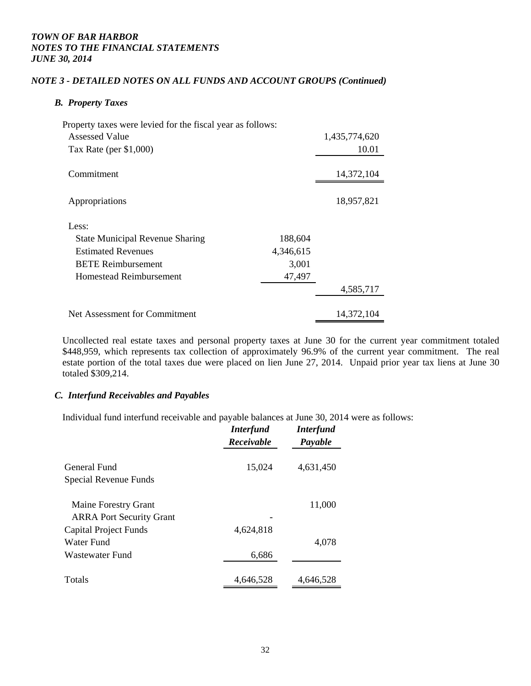### *NOTE 3 - DETAILED NOTES ON ALL FUNDS AND ACCOUNT GROUPS (Continued)*

### *B. Property Taxes*

| Property taxes were levied for the fiscal year as follows: |               |
|------------------------------------------------------------|---------------|
| Assessed Value                                             | 1,435,774,620 |
| Tax Rate (per $$1,000$ )                                   | 10.01         |
| Commitment                                                 | 14,372,104    |
| Appropriations                                             | 18,957,821    |
| Less:                                                      |               |
| 188,604<br><b>State Municipal Revenue Sharing</b>          |               |
| <b>Estimated Revenues</b><br>4,346,615                     |               |
| <b>BETE Reimbursement</b>                                  | 3,001         |
| Homestead Reimbursement                                    | 47,497        |
|                                                            | 4,585,717     |
| Net Assessment for Commitment                              | 14,372,104    |

Uncollected real estate taxes and personal property taxes at June 30 for the current year commitment totaled \$448,959, which represents tax collection of approximately 96.9% of the current year commitment. The real estate portion of the total taxes due were placed on lien June 27, 2014. Unpaid prior year tax liens at June 30 totaled \$309,214.

#### *C. Interfund Receivables and Payables*

Individual fund interfund receivable and payable balances at June 30, 2014 were as follows:

|                                 | <b>Interfund</b><br>Receivable | <b>Interfund</b><br>Payable |
|---------------------------------|--------------------------------|-----------------------------|
| General Fund                    | 15,024                         | 4,631,450                   |
| Special Revenue Funds           |                                |                             |
| Maine Forestry Grant            |                                | 11,000                      |
| <b>ARRA Port Security Grant</b> |                                |                             |
| Capital Project Funds           | 4,624,818                      |                             |
| Water Fund                      |                                | 4,078                       |
| Wastewater Fund                 | 6,686                          |                             |
| <b>Totals</b>                   | 4,646,528                      | 4,646,528                   |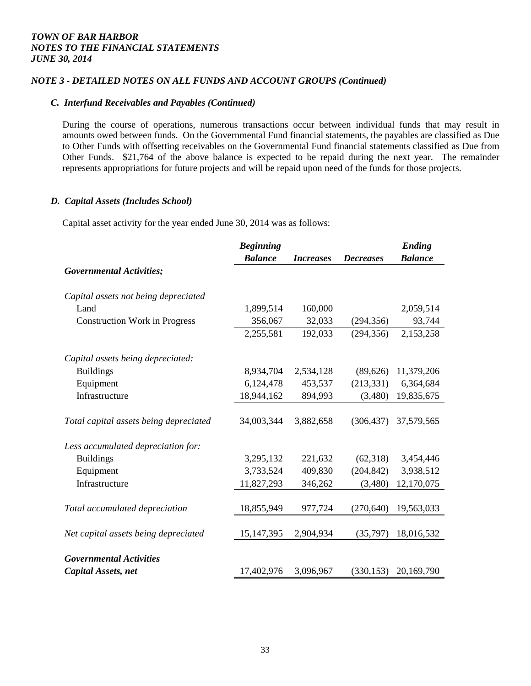### *NOTE 3 - DETAILED NOTES ON ALL FUNDS AND ACCOUNT GROUPS (Continued)*

### *C. Interfund Receivables and Payables (Continued)*

During the course of operations, numerous transactions occur between individual funds that may result in amounts owed between funds. On the Governmental Fund financial statements, the payables are classified as Due to Other Funds with offsetting receivables on the Governmental Fund financial statements classified as Due from Other Funds. \$21,764 of the above balance is expected to be repaid during the next year. The remainder represents appropriations for future projects and will be repaid upon need of the funds for those projects.

#### *D. Capital Assets (Includes School)*

Capital asset activity for the year ended June 30, 2014 was as follows:

|                                        | <b>Beginning</b> |                  |                  | <b>Ending</b>  |
|----------------------------------------|------------------|------------------|------------------|----------------|
|                                        | <b>Balance</b>   | <b>Increases</b> | <b>Decreases</b> | <b>Balance</b> |
| <b>Governmental Activities;</b>        |                  |                  |                  |                |
| Capital assets not being depreciated   |                  |                  |                  |                |
| Land                                   | 1,899,514        | 160,000          |                  | 2,059,514      |
| <b>Construction Work in Progress</b>   | 356,067          | 32,033           | (294, 356)       | 93,744         |
|                                        | 2,255,581        | 192,033          | (294, 356)       | 2,153,258      |
| Capital assets being depreciated:      |                  |                  |                  |                |
| <b>Buildings</b>                       | 8,934,704        | 2,534,128        | (89,626)         | 11,379,206     |
| Equipment                              | 6,124,478        | 453,537          | (213, 331)       | 6,364,684      |
| Infrastructure                         | 18,944,162       | 894,993          | (3,480)          | 19,835,675     |
| Total capital assets being depreciated | 34,003,344       | 3,882,658        | (306, 437)       | 37,579,565     |
| Less accumulated depreciation for:     |                  |                  |                  |                |
| <b>Buildings</b>                       | 3,295,132        | 221,632          | (62,318)         | 3,454,446      |
| Equipment                              | 3,733,524        | 409,830          | (204, 842)       | 3,938,512      |
| Infrastructure                         | 11,827,293       | 346,262          | (3,480)          | 12,170,075     |
| Total accumulated depreciation         | 18,855,949       | 977,724          | (270, 640)       | 19,563,033     |
| Net capital assets being depreciated   | 15, 147, 395     | 2,904,934        | (35,797)         | 18,016,532     |
| <b>Governmental Activities</b>         |                  |                  |                  |                |
| Capital Assets, net                    | 17,402,976       | 3,096,967        | (330, 153)       | 20,169,790     |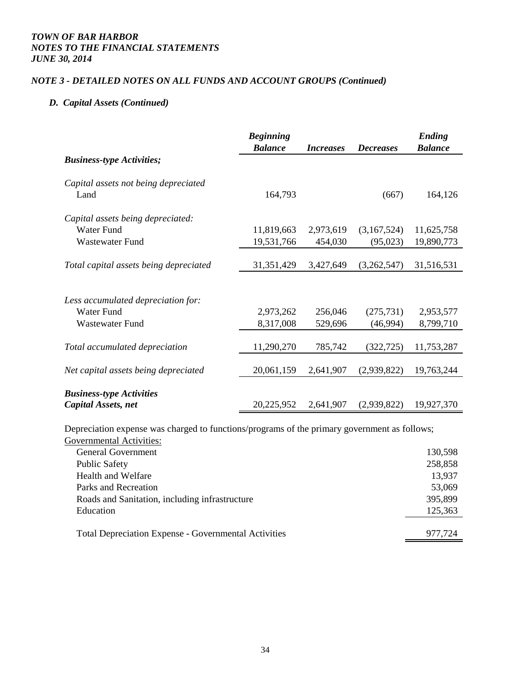### *NOTE 3 - DETAILED NOTES ON ALL FUNDS AND ACCOUNT GROUPS (Continued)*

## *D. Capital Assets (Continued)*

|                                                        | <b>Beginning</b><br><b>Balance</b> | <i>Increases</i> | <b>Decreases</b> | Ending<br><b>Balance</b> |
|--------------------------------------------------------|------------------------------------|------------------|------------------|--------------------------|
| <b>Business-type Activities;</b>                       |                                    |                  |                  |                          |
| Capital assets not being depreciated<br>Land           | 164,793                            |                  | (667)            | 164,126                  |
|                                                        |                                    |                  |                  |                          |
| Capital assets being depreciated:                      |                                    |                  |                  |                          |
| <b>Water Fund</b>                                      | 11,819,663                         | 2,973,619        | (3,167,524)      | 11,625,758               |
| <b>Wastewater Fund</b>                                 | 19,531,766                         | 454,030          | (95,023)         | 19,890,773               |
|                                                        |                                    |                  |                  |                          |
| Total capital assets being depreciated                 | 31, 351, 429                       | 3,427,649        | (3,262,547)      | 31,516,531               |
|                                                        |                                    |                  |                  |                          |
| Less accumulated depreciation for:                     |                                    |                  |                  |                          |
| Water Fund                                             | 2,973,262                          | 256,046          | (275, 731)       | 2,953,577                |
| Wastewater Fund                                        | 8,317,008                          | 529,696          | (46,994)         | 8,799,710                |
|                                                        |                                    |                  |                  |                          |
| Total accumulated depreciation                         | 11,290,270                         | 785,742          | (322, 725)       | 11,753,287               |
|                                                        |                                    |                  |                  |                          |
| Net capital assets being depreciated                   | 20,061,159                         | 2,641,907        | (2,939,822)      | 19,763,244               |
|                                                        |                                    |                  |                  |                          |
| <b>Business-type Activities</b><br>Capital Assets, net | 20,225,952                         | 2,641,907        | (2,939,822)      | 19,927,370               |

Depreciation expense was charged to functions/programs of the primary government as follows;

| <b>Governmental Activities:</b>                             |         |
|-------------------------------------------------------------|---------|
| <b>General Government</b>                                   | 130,598 |
| <b>Public Safety</b>                                        | 258,858 |
| Health and Welfare                                          | 13,937  |
| Parks and Recreation                                        | 53,069  |
| Roads and Sanitation, including infrastructure              | 395,899 |
| Education                                                   | 125,363 |
|                                                             |         |
| <b>Total Depreciation Expense - Governmental Activities</b> | 977.724 |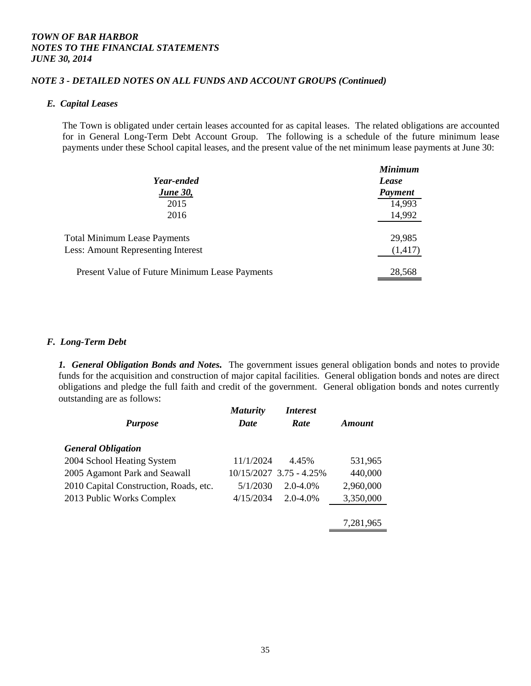### *NOTE 3 - DETAILED NOTES ON ALL FUNDS AND ACCOUNT GROUPS (Continued)*

#### *E. Capital Leases*

The Town is obligated under certain leases accounted for as capital leases. The related obligations are accounted for in General Long-Term Debt Account Group. The following is a schedule of the future minimum lease payments under these School capital leases, and the present value of the net minimum lease payments at June 30:

| Year-ended<br><b>June 30,</b>                  | <b>Minimum</b><br>Lease<br><b>Payment</b> |
|------------------------------------------------|-------------------------------------------|
| 2015                                           | 14,993                                    |
| 2016                                           | 14,992                                    |
| <b>Total Minimum Lease Payments</b>            | 29,985                                    |
| <b>Less: Amount Representing Interest</b>      | (1, 417)                                  |
| Present Value of Future Minimum Lease Payments | 28,568                                    |

#### *F. Long-Term Debt*

*1. General Obligation Bonds and Notes.* The government issues general obligation bonds and notes to provide funds for the acquisition and construction of major capital facilities. General obligation bonds and notes are direct obligations and pledge the full faith and credit of the government. General obligation bonds and notes currently outstanding are as follows:

| <b>Maturity</b><br><b>Date</b> | <i><b>Interest</b></i><br>Rate | Amount                  |
|--------------------------------|--------------------------------|-------------------------|
|                                |                                |                         |
| 11/1/2024                      | 4.45%                          | 531,965                 |
|                                |                                | 440,000                 |
| 5/1/2030                       | $2.0 - 4.0\%$                  | 2,960,000               |
| 4/15/2034                      | $2.0 - 4.0\%$                  | 3,350,000               |
|                                |                                |                         |
|                                |                                | 7,281,965               |
|                                |                                | 10/15/2027 3.75 - 4.25% |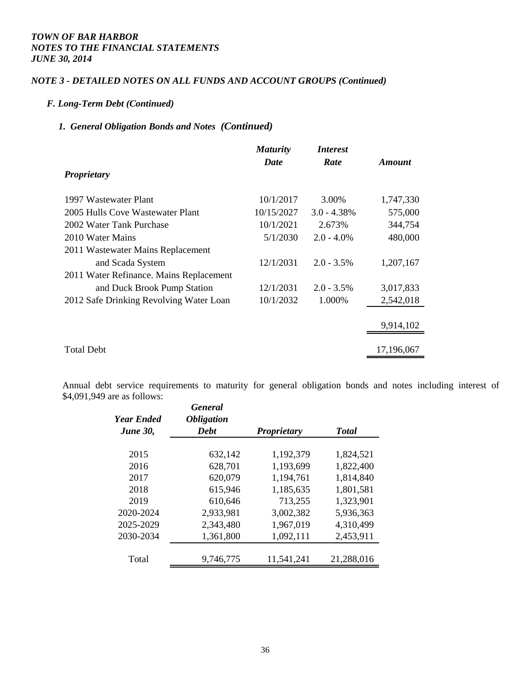### *NOTE 3 - DETAILED NOTES ON ALL FUNDS AND ACCOUNT GROUPS (Continued)*

#### *F. Long-Term Debt (Continued)*

## *1. General Obligation Bonds and Notes (Continued)*

|                                         | <b>Maturity</b> | <i>Interest</i> |            |
|-----------------------------------------|-----------------|-----------------|------------|
| <b>Proprietary</b>                      | Date            | Rate            | Amount     |
| 1997 Wastewater Plant                   | 10/1/2017       | 3.00%           | 1,747,330  |
| 2005 Hulls Cove Wastewater Plant        | 10/15/2027      | $3.0 - 4.38\%$  | 575,000    |
| 2002 Water Tank Purchase                | 10/1/2021       | 2.673%          | 344,754    |
| 2010 Water Mains                        | 5/1/2030        | $2.0 - 4.0\%$   | 480,000    |
| 2011 Wastewater Mains Replacement       |                 |                 |            |
| and Scada System                        | 12/1/2031       | $2.0 - 3.5\%$   | 1,207,167  |
| 2011 Water Refinance. Mains Replacement |                 |                 |            |
| and Duck Brook Pump Station             | 12/1/2031       | $2.0 - 3.5\%$   | 3,017,833  |
| 2012 Safe Drinking Revolving Water Loan | 10/1/2032       | 1.000%          | 2,542,018  |
|                                         |                 |                 |            |
|                                         |                 |                 | 9,914,102  |
| <b>Total Debt</b>                       |                 |                 | 17,196,067 |

Annual debt service requirements to maturity for general obligation bonds and notes including interest of \$4,091,949 are as follows:

| Year Ended<br><b>June 30,</b> | <b>General</b><br><i><b>Obligation</b></i><br><b>Debt</b> | <b>Proprietary</b> | <b>Total</b> |
|-------------------------------|-----------------------------------------------------------|--------------------|--------------|
| 2015                          | 632,142                                                   | 1,192,379          | 1,824,521    |
| 2016                          | 628,701                                                   | 1,193,699          | 1,822,400    |
| 2017                          | 620,079                                                   | 1,194,761          | 1,814,840    |
| 2018                          | 615,946                                                   | 1,185,635          | 1,801,581    |
| 2019                          | 610,646                                                   | 713,255            | 1,323,901    |
| 2020-2024                     | 2,933,981                                                 | 3,002,382          | 5,936,363    |
| 2025-2029                     | 2,343,480                                                 | 1,967,019          | 4,310,499    |
| 2030-2034                     | 1,361,800                                                 | 1,092,111          | 2,453,911    |
| Total                         | 9,746,775                                                 | 11,541,241         | 21,288,016   |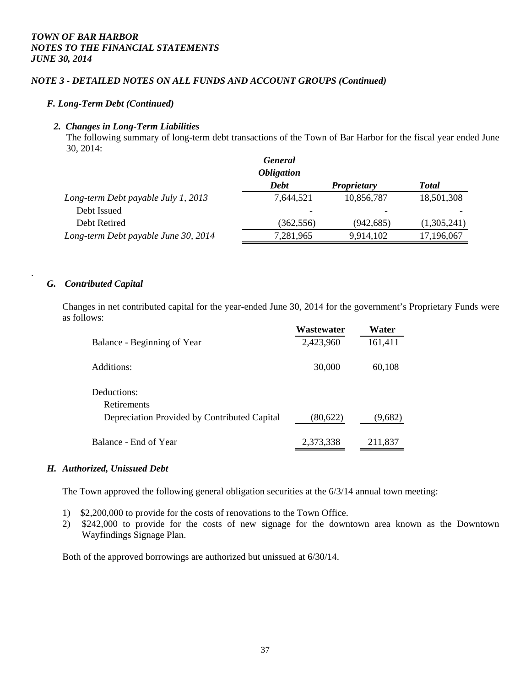### *NOTE 3 - DETAILED NOTES ON ALL FUNDS AND ACCOUNT GROUPS (Continued)*

### *F. Long-Term Debt (Continued)*

#### *2. Changes in Long-Term Liabilities*

The following summary of long-term debt transactions of the Town of Bar Harbor for the fiscal year ended June 30, 2014:

|                                      | <b>General</b><br><i><b>Obligation</b></i> |                    |              |
|--------------------------------------|--------------------------------------------|--------------------|--------------|
|                                      | <b>Debt</b>                                | <b>Proprietary</b> | <b>Total</b> |
| Long-term Debt payable July 1, 2013  | 7,644,521                                  | 10,856,787         | 18,501,308   |
| Debt Issued                          |                                            |                    |              |
| Debt Retired                         | (362, 556)                                 | (942, 685)         | (1,305,241)  |
| Long-term Debt payable June 30, 2014 | 7,281,965                                  | 9,914,102          | 17,196,067   |

#### *G. Contributed Capital*

.

Changes in net contributed capital for the year-ended June 30, 2014 for the government's Proprietary Funds were as follows:

|                                              | Wastewater | Water   |
|----------------------------------------------|------------|---------|
| Balance - Beginning of Year                  | 2,423,960  | 161,411 |
| Additions:                                   | 30,000     | 60,108  |
| Deductions:<br><b>Retirements</b>            |            |         |
| Depreciation Provided by Contributed Capital | (80,622)   | (9,682) |
| Balance - End of Year                        | 2,373,338  | 211,837 |

#### *H. Authorized, Unissued Debt*

The Town approved the following general obligation securities at the 6/3/14 annual town meeting:

- 1) \$2,200,000 to provide for the costs of renovations to the Town Office.
- 2) \$242,000 to provide for the costs of new signage for the downtown area known as the Downtown Wayfindings Signage Plan.

Both of the approved borrowings are authorized but unissued at 6/30/14.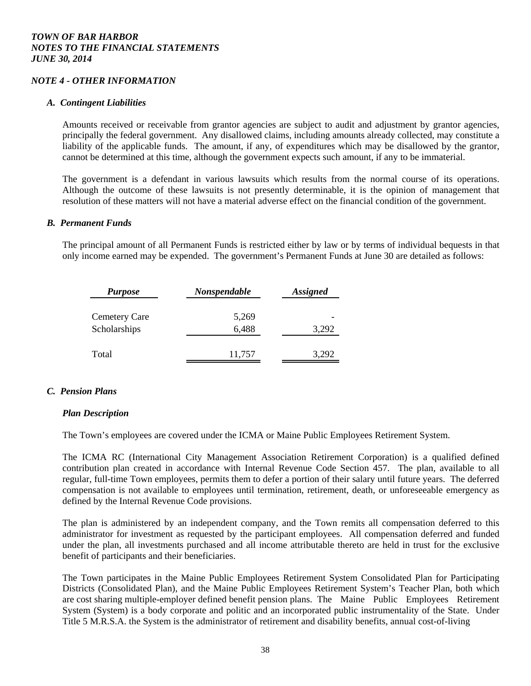#### *NOTE 4 - OTHER INFORMATION*

#### *A. Contingent Liabilities*

Amounts received or receivable from grantor agencies are subject to audit and adjustment by grantor agencies, principally the federal government. Any disallowed claims, including amounts already collected, may constitute a liability of the applicable funds. The amount, if any, of expenditures which may be disallowed by the grantor, cannot be determined at this time, although the government expects such amount, if any to be immaterial.

The government is a defendant in various lawsuits which results from the normal course of its operations. Although the outcome of these lawsuits is not presently determinable, it is the opinion of management that resolution of these matters will not have a material adverse effect on the financial condition of the government.

#### *B. Permanent Funds*

The principal amount of all Permanent Funds is restricted either by law or by terms of individual bequests in that only income earned may be expended. The government's Permanent Funds at June 30 are detailed as follows:

| <b>Purpose</b>       | Nonspendable | <b>Assigned</b> |
|----------------------|--------------|-----------------|
| <b>Cemetery Care</b> | 5,269        |                 |
| Scholarships         | 6,488        | 3,292           |
| Total                | 11,757       | 3,292           |

### *C. Pension Plans*

#### *Plan Description*

The Town's employees are covered under the ICMA or Maine Public Employees Retirement System.

 The ICMA RC (International City Management Association Retirement Corporation) is a qualified defined contribution plan created in accordance with Internal Revenue Code Section 457. The plan, available to all regular, full-time Town employees, permits them to defer a portion of their salary until future years. The deferred compensation is not available to employees until termination, retirement, death, or unforeseeable emergency as defined by the Internal Revenue Code provisions.

 The plan is administered by an independent company, and the Town remits all compensation deferred to this administrator for investment as requested by the participant employees. All compensation deferred and funded under the plan, all investments purchased and all income attributable thereto are held in trust for the exclusive benefit of participants and their beneficiaries.

 The Town participates in the Maine Public Employees Retirement System Consolidated Plan for Participating Districts (Consolidated Plan), and the Maine Public Employees Retirement System's Teacher Plan, both which are cost sharing multiple-employer defined benefit pension plans. The Maine Public Employees Retirement System (System) is a body corporate and politic and an incorporated public instrumentality of the State. Under Title 5 M.R.S.A. the System is the administrator of retirement and disability benefits, annual cost-of-living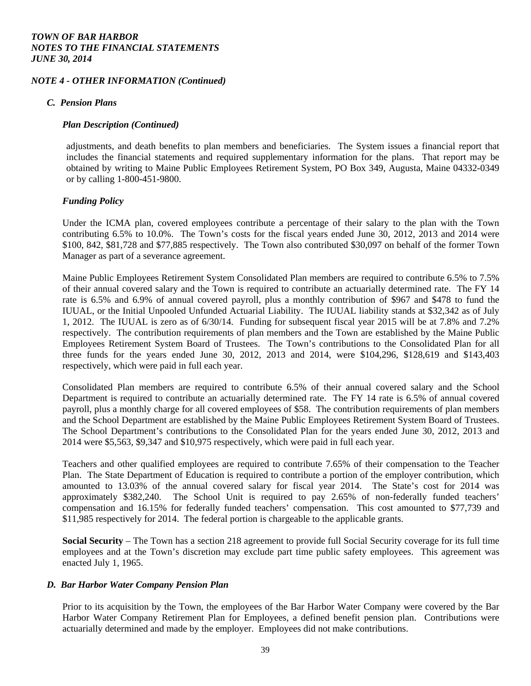#### *NOTE 4 - OTHER INFORMATION (Continued)*

#### *C. Pension Plans*

#### *Plan Description (Continued)*

adjustments, and death benefits to plan members and beneficiaries. The System issues a financial report that includes the financial statements and required supplementary information for the plans. That report may be obtained by writing to Maine Public Employees Retirement System, PO Box 349, Augusta, Maine 04332-0349 or by calling 1-800-451-9800.

#### *Funding Policy*

Under the ICMA plan, covered employees contribute a percentage of their salary to the plan with the Town contributing 6.5% to 10.0%. The Town's costs for the fiscal years ended June 30, 2012, 2013 and 2014 were \$100, 842, \$81,728 and \$77,885 respectively. The Town also contributed \$30,097 on behalf of the former Town Manager as part of a severance agreement.

Maine Public Employees Retirement System Consolidated Plan members are required to contribute 6.5% to 7.5% of their annual covered salary and the Town is required to contribute an actuarially determined rate. The FY 14 rate is 6.5% and 6.9% of annual covered payroll, plus a monthly contribution of \$967 and \$478 to fund the IUUAL, or the Initial Unpooled Unfunded Actuarial Liability. The IUUAL liability stands at \$32,342 as of July 1, 2012. The IUUAL is zero as of 6/30/14. Funding for subsequent fiscal year 2015 will be at 7.8% and 7.2% respectively. The contribution requirements of plan members and the Town are established by the Maine Public Employees Retirement System Board of Trustees. The Town's contributions to the Consolidated Plan for all three funds for the years ended June 30, 2012, 2013 and 2014, were \$104,296, \$128,619 and \$143,403 respectively, which were paid in full each year.

 Consolidated Plan members are required to contribute 6.5% of their annual covered salary and the School Department is required to contribute an actuarially determined rate. The FY 14 rate is 6.5% of annual covered payroll, plus a monthly charge for all covered employees of \$58. The contribution requirements of plan members and the School Department are established by the Maine Public Employees Retirement System Board of Trustees. The School Department's contributions to the Consolidated Plan for the years ended June 30, 2012, 2013 and 2014 were \$5,563, \$9,347 and \$10,975 respectively, which were paid in full each year.

 Teachers and other qualified employees are required to contribute 7.65% of their compensation to the Teacher Plan. The State Department of Education is required to contribute a portion of the employer contribution, which amounted to 13.03% of the annual covered salary for fiscal year 2014. The State's cost for 2014 was approximately \$382,240. The School Unit is required to pay 2.65% of non-federally funded teachers' compensation and 16.15% for federally funded teachers' compensation. This cost amounted to \$77,739 and \$11,985 respectively for 2014. The federal portion is chargeable to the applicable grants.

**Social Security** – The Town has a section 218 agreement to provide full Social Security coverage for its full time employees and at the Town's discretion may exclude part time public safety employees. This agreement was enacted July 1, 1965.

#### *D. Bar Harbor Water Company Pension Plan*

 Prior to its acquisition by the Town, the employees of the Bar Harbor Water Company were covered by the Bar Harbor Water Company Retirement Plan for Employees, a defined benefit pension plan. Contributions were actuarially determined and made by the employer. Employees did not make contributions.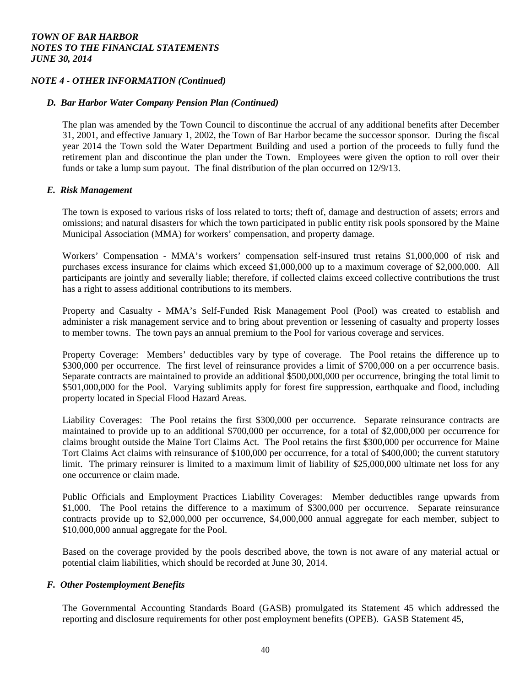### *NOTE 4 - OTHER INFORMATION (Continued)*

### *D. Bar Harbor Water Company Pension Plan (Continued)*

The plan was amended by the Town Council to discontinue the accrual of any additional benefits after December 31, 2001, and effective January 1, 2002, the Town of Bar Harbor became the successor sponsor. During the fiscal year 2014 the Town sold the Water Department Building and used a portion of the proceeds to fully fund the retirement plan and discontinue the plan under the Town. Employees were given the option to roll over their funds or take a lump sum payout. The final distribution of the plan occurred on 12/9/13.

### *E. Risk Management*

The town is exposed to various risks of loss related to torts; theft of, damage and destruction of assets; errors and omissions; and natural disasters for which the town participated in public entity risk pools sponsored by the Maine Municipal Association (MMA) for workers' compensation, and property damage.

 Workers' Compensation - MMA's workers' compensation self-insured trust retains \$1,000,000 of risk and purchases excess insurance for claims which exceed \$1,000,000 up to a maximum coverage of \$2,000,000. All participants are jointly and severally liable; therefore, if collected claims exceed collective contributions the trust has a right to assess additional contributions to its members.

 Property and Casualty - MMA's Self-Funded Risk Management Pool (Pool) was created to establish and administer a risk management service and to bring about prevention or lessening of casualty and property losses to member towns. The town pays an annual premium to the Pool for various coverage and services.

Property Coverage: Members' deductibles vary by type of coverage. The Pool retains the difference up to \$300,000 per occurrence. The first level of reinsurance provides a limit of \$700,000 on a per occurrence basis. Separate contracts are maintained to provide an additional \$500,000,000 per occurrence, bringing the total limit to \$501,000,000 for the Pool. Varying sublimits apply for forest fire suppression, earthquake and flood, including property located in Special Flood Hazard Areas.

Liability Coverages: The Pool retains the first \$300,000 per occurrence. Separate reinsurance contracts are maintained to provide up to an additional \$700,000 per occurrence, for a total of \$2,000,000 per occurrence for claims brought outside the Maine Tort Claims Act. The Pool retains the first \$300,000 per occurrence for Maine Tort Claims Act claims with reinsurance of \$100,000 per occurrence, for a total of \$400,000; the current statutory limit. The primary reinsurer is limited to a maximum limit of liability of \$25,000,000 ultimate net loss for any one occurrence or claim made.

Public Officials and Employment Practices Liability Coverages: Member deductibles range upwards from \$1,000. The Pool retains the difference to a maximum of \$300,000 per occurrence. Separate reinsurance contracts provide up to \$2,000,000 per occurrence, \$4,000,000 annual aggregate for each member, subject to \$10,000,000 annual aggregate for the Pool.

Based on the coverage provided by the pools described above, the town is not aware of any material actual or potential claim liabilities, which should be recorded at June 30, 2014.

#### *F. Other Postemployment Benefits*

The Governmental Accounting Standards Board (GASB) promulgated its Statement 45 which addressed the reporting and disclosure requirements for other post employment benefits (OPEB). GASB Statement 45,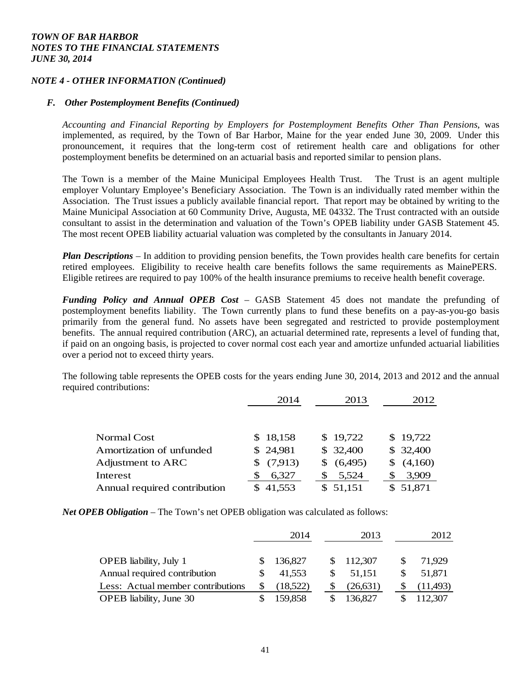### *NOTE 4 - OTHER INFORMATION (Continued)*

#### *F. Other Postemployment Benefits (Continued)*

*Accounting and Financial Reporting by Employers for Postemployment Benefits Other Than Pensions*, was implemented, as required, by the Town of Bar Harbor, Maine for the year ended June 30, 2009. Under this pronouncement, it requires that the long-term cost of retirement health care and obligations for other postemployment benefits be determined on an actuarial basis and reported similar to pension plans.

The Town is a member of the Maine Municipal Employees Health Trust. The Trust is an agent multiple employer Voluntary Employee's Beneficiary Association. The Town is an individually rated member within the Association. The Trust issues a publicly available financial report. That report may be obtained by writing to the Maine Municipal Association at 60 Community Drive, Augusta, ME 04332. The Trust contracted with an outside consultant to assist in the determination and valuation of the Town's OPEB liability under GASB Statement 45. The most recent OPEB liability actuarial valuation was completed by the consultants in January 2014.

*Plan Descriptions* – In addition to providing pension benefits, the Town provides health care benefits for certain retired employees. Eligibility to receive health care benefits follows the same requirements as MainePERS. Eligible retirees are required to pay 100% of the health insurance premiums to receive health benefit coverage.

*Funding Policy and Annual OPEB Cost* – GASB Statement 45 does not mandate the prefunding of postemployment benefits liability. The Town currently plans to fund these benefits on a pay-as-you-go basis primarily from the general fund. No assets have been segregated and restricted to provide postemployment benefits. The annual required contribution (ARC), an actuarial determined rate, represents a level of funding that, if paid on an ongoing basis, is projected to cover normal cost each year and amortize unfunded actuarial liabilities over a period not to exceed thirty years.

The following table represents the OPEB costs for the years ending June 30, 2014, 2013 and 2012 and the annual required contributions:

|                              | 2014     | 2013           | 2012         |
|------------------------------|----------|----------------|--------------|
|                              |          |                |              |
| Normal Cost                  | \$18,158 | \$19,722       | \$19,722     |
| Amortization of unfunded     | \$24,981 | \$32,400       | \$32,400     |
| Adjustment to ARC            | (7,913)  | (6,495)<br>SS. | (4,160)<br>S |
| Interest                     | 6,327    | 5,524          | 3,909        |
| Annual required contribution | 41,553   | \$51,151       | \$51,871     |

*Net OPEB Obligation* – The Town's net OPEB obligation was calculated as follows:

|                                   |          | 2014     |    | 2013      | 2012      |
|-----------------------------------|----------|----------|----|-----------|-----------|
|                                   |          |          |    |           |           |
| <b>OPEB</b> liability, July 1     |          | 136,827  |    | \$112,307 | 71,929    |
| Annual required contribution      | <b>S</b> | 41,553   | S. | 51,151    | 51,871    |
| Less: Actual member contributions |          | (18,522) |    | (26,631)  | (11, 493) |
| <b>OPEB</b> liability, June 30    |          | 159,858  |    | 136,827   | 112,307   |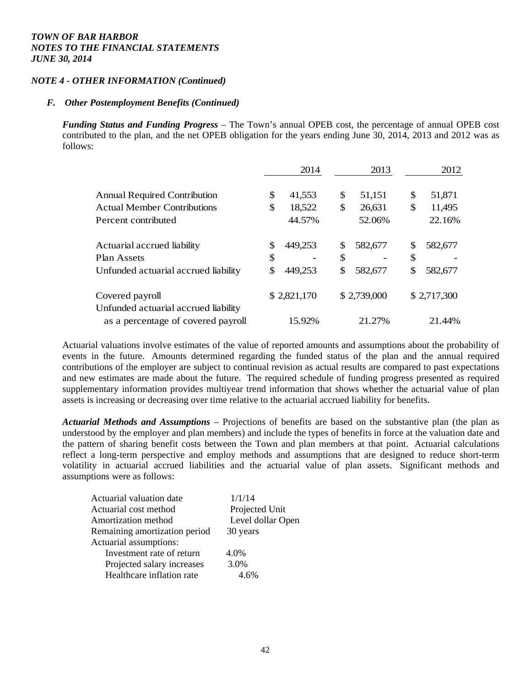### *NOTE 4 - OTHER INFORMATION (Continued)*

#### *F. Other Postemployment Benefits (Continued)*

*Funding Status and Funding Progress* – The Town's annual OPEB cost, the percentage of annual OPEB cost contributed to the plan, and the net OPEB obligation for the years ending June 30, 2014, 2013 and 2012 was as follows:

|                                      | 2014          | 2013          | 2012          |
|--------------------------------------|---------------|---------------|---------------|
| <b>Annual Required Contribution</b>  | \$<br>41,553  | \$<br>51,151  | \$<br>51,871  |
| <b>Actual Member Contributions</b>   | \$<br>18,522  | \$<br>26,631  | \$<br>11,495  |
| Percent contributed                  | 44.57%        | 52.06%        | 22.16%        |
| Actuarial accrued liability          | \$<br>449,253 | \$<br>582,677 | \$<br>582,677 |
| Plan Assets                          | \$            | \$            | \$            |
| Unfunded actuarial accrued liability | \$<br>449,253 | \$<br>582,677 | \$<br>582,677 |
| Covered payroll                      | \$2,821,170   | \$2,739,000   | \$2,717,300   |
| Unfunded actuarial accrued liability |               |               |               |
| as a percentage of covered payroll   | 15.92%        | 21.27%        | 21.44%        |

Actuarial valuations involve estimates of the value of reported amounts and assumptions about the probability of events in the future. Amounts determined regarding the funded status of the plan and the annual required contributions of the employer are subject to continual revision as actual results are compared to past expectations and new estimates are made about the future. The required schedule of funding progress presented as required supplementary information provides multiyear trend information that shows whether the actuarial value of plan assets is increasing or decreasing over time relative to the actuarial accrued liability for benefits.

*Actuarial Methods and Assumptions* – Projections of benefits are based on the substantive plan (the plan as understood by the employer and plan members) and include the types of benefits in force at the valuation date and the pattern of sharing benefit costs between the Town and plan members at that point. Actuarial calculations reflect a long-term perspective and employ methods and assumptions that are designed to reduce short-term volatility in actuarial accrued liabilities and the actuarial value of plan assets. Significant methods and assumptions were as follows:

| Actuarial valuation date      | 1/1/14            |
|-------------------------------|-------------------|
| Actuarial cost method         | Projected Unit    |
| Amortization method           | Level dollar Open |
| Remaining amortization period | 30 years          |
| Actuarial assumptions:        |                   |
| Investment rate of return     | 4.0%              |
| Projected salary increases    | 3.0%              |
| Healthcare inflation rate     |                   |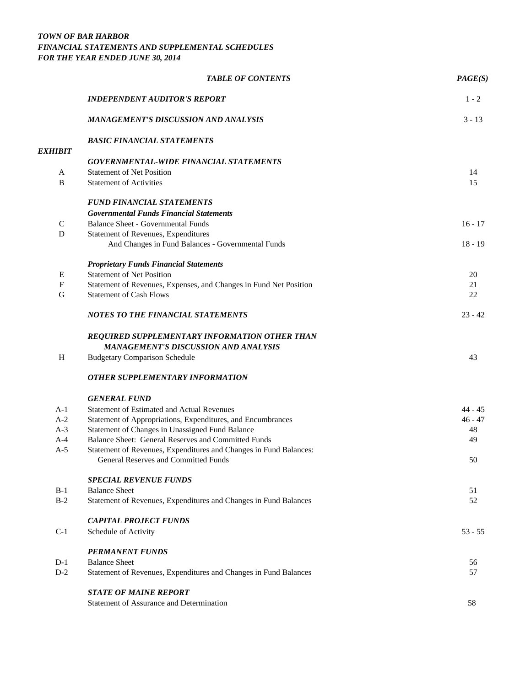### *TOWN OF BAR HARBOR FINANCIAL STATEMENTS AND SUPPLEMENTAL SCHEDULES FOR THE YEAR ENDED JUNE 30, 2014*

|                | <b>TABLE OF CONTENTS</b>                                                                                  | PAGE(S)   |
|----------------|-----------------------------------------------------------------------------------------------------------|-----------|
|                | <b>INDEPENDENT AUDITOR'S REPORT</b>                                                                       | $1 - 2$   |
|                | <b>MANAGEMENT'S DISCUSSION AND ANALYSIS</b>                                                               | $3 - 13$  |
| <b>EXHIBIT</b> | <b>BASIC FINANCIAL STATEMENTS</b>                                                                         |           |
|                | <b>GOVERNMENTAL-WIDE FINANCIAL STATEMENTS</b>                                                             |           |
| A              | <b>Statement of Net Position</b>                                                                          | 14        |
| $\bf{B}$       | <b>Statement of Activities</b>                                                                            | 15        |
|                | <b>FUND FINANCIAL STATEMENTS</b>                                                                          |           |
|                | <b>Governmental Funds Financial Statements</b>                                                            |           |
| $\mathbf C$    | <b>Balance Sheet - Governmental Funds</b>                                                                 | $16 - 17$ |
| $\mathbf D$    | Statement of Revenues, Expenditures                                                                       |           |
|                | And Changes in Fund Balances - Governmental Funds                                                         | $18 - 19$ |
|                | <b>Proprietary Funds Financial Statements</b>                                                             |           |
| E              | <b>Statement of Net Position</b>                                                                          | 20        |
| F              | Statement of Revenues, Expenses, and Changes in Fund Net Position                                         | 21        |
| G              | <b>Statement of Cash Flows</b>                                                                            | 22        |
|                | <b>NOTES TO THE FINANCIAL STATEMENTS</b>                                                                  | $23 - 42$ |
|                | REQUIRED SUPPLEMENTARY INFORMATION OTHER THAN<br><b>MANAGEMENT'S DISCUSSION AND ANALYSIS</b>              |           |
| H              | <b>Budgetary Comparison Schedule</b>                                                                      | 43        |
|                | <b>OTHER SUPPLEMENTARY INFORMATION</b>                                                                    |           |
|                | <b>GENERAL FUND</b>                                                                                       |           |
| $A-1$          | <b>Statement of Estimated and Actual Revenues</b>                                                         | $44 - 45$ |
| $A-2$          | Statement of Appropriations, Expenditures, and Encumbrances                                               | $46 - 47$ |
| $A-3$          | Statement of Changes in Unassigned Fund Balance                                                           | 48        |
| $A-4$          | <b>Balance Sheet: General Reserves and Committed Funds</b>                                                | 49        |
| $A-5$          | Statement of Revenues, Expenditures and Changes in Fund Balances:<br>General Reserves and Committed Funds | 50        |
|                | <b>SPECIAL REVENUE FUNDS</b>                                                                              |           |
| $B-1$          | <b>Balance Sheet</b>                                                                                      | 51        |
| $B-2$          | Statement of Revenues, Expenditures and Changes in Fund Balances                                          | 52        |
|                | <b>CAPITAL PROJECT FUNDS</b>                                                                              |           |
| $C-1$          | Schedule of Activity                                                                                      | $53 - 55$ |
|                | <b>PERMANENT FUNDS</b>                                                                                    |           |
| $D-1$          | <b>Balance Sheet</b>                                                                                      | 56        |
| $D-2$          | Statement of Revenues, Expenditures and Changes in Fund Balances                                          | 57        |
|                | <b>STATE OF MAINE REPORT</b>                                                                              |           |
|                | Statement of Assurance and Determination                                                                  | 58        |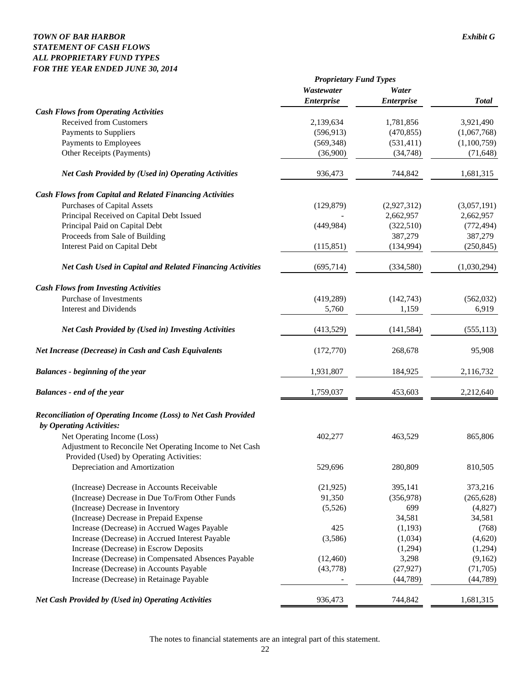### *TOWN OF BAR HARBOR Exhibit G STATEMENT OF CASH FLOWS ALL PROPRIETARY FUND TYPES FOR THE YEAR ENDED JUNE 30, 2014*

|                                                                       | <b>Proprietary Fund Types</b> |                   |              |
|-----------------------------------------------------------------------|-------------------------------|-------------------|--------------|
|                                                                       | Wastewater                    | Water             |              |
|                                                                       | <i><b>Enterprise</b></i>      | <b>Enterprise</b> | <b>Total</b> |
| <b>Cash Flows from Operating Activities</b>                           |                               |                   |              |
| <b>Received from Customers</b>                                        | 2,139,634                     | 1,781,856         | 3,921,490    |
| Payments to Suppliers                                                 | (596, 913)                    | (470, 855)        | (1,067,768)  |
| Payments to Employees                                                 | (569, 348)                    | (531, 411)        | (1,100,759)  |
| Other Receipts (Payments)                                             | (36,900)                      | (34,748)          | (71, 648)    |
| Net Cash Provided by (Used in) Operating Activities                   | 936,473                       | 744,842           | 1,681,315    |
| <b>Cash Flows from Capital and Related Financing Activities</b>       |                               |                   |              |
| <b>Purchases of Capital Assets</b>                                    | (129, 879)                    | (2,927,312)       | (3,057,191)  |
| Principal Received on Capital Debt Issued                             |                               | 2,662,957         | 2,662,957    |
| Principal Paid on Capital Debt                                        | (449, 984)                    | (322, 510)        | (772, 494)   |
| Proceeds from Sale of Building                                        |                               | 387,279           | 387,279      |
| <b>Interest Paid on Capital Debt</b>                                  | (115, 851)                    | (134,994)         | (250, 845)   |
| <b>Net Cash Used in Capital and Related Financing Activities</b>      | (695, 714)                    | (334,580)         | (1,030,294)  |
| <b>Cash Flows from Investing Activities</b>                           |                               |                   |              |
| Purchase of Investments                                               | (419, 289)                    | (142, 743)        | (562, 032)   |
| <b>Interest and Dividends</b>                                         | 5,760                         | 1,159             | 6,919        |
| <b>Net Cash Provided by (Used in) Investing Activities</b>            | (413,529)                     | (141, 584)        | (555, 113)   |
| <b>Net Increase (Decrease) in Cash and Cash Equivalents</b>           | (172,770)                     | 268,678           | 95,908       |
| <b>Balances</b> - beginning of the year                               | 1,931,807                     | 184,925           | 2,116,732    |
| <b>Balances</b> - end of the year                                     | 1,759,037                     | 453,603           | 2,212,640    |
| <b>Reconciliation of Operating Income (Loss) to Net Cash Provided</b> |                               |                   |              |
| by Operating Activities:                                              |                               |                   |              |
| Net Operating Income (Loss)                                           | 402,277                       | 463,529           | 865,806      |
| Adjustment to Reconcile Net Operating Income to Net Cash              |                               |                   |              |
| Provided (Used) by Operating Activities:                              |                               |                   |              |
| Depreciation and Amortization                                         | 529,696                       | 280,809           | 810,505      |
| (Increase) Decrease in Accounts Receivable                            | (21, 925)                     | 395,141           | 373,216      |
| (Increase) Decrease in Due To/From Other Funds                        | 91,350                        | (356,978)         | (265, 628)   |
| (Increase) Decrease in Inventory                                      | (5,526)                       | 699               | (4,827)      |
| (Increase) Decrease in Prepaid Expense                                |                               | 34,581            | 34,581       |
| Increase (Decrease) in Accrued Wages Payable                          | 425                           | (1,193)           | (768)        |
| Increase (Decrease) in Accrued Interest Payable                       | (3,586)                       | (1,034)           | (4,620)      |
| Increase (Decrease) in Escrow Deposits                                |                               | (1,294)           | (1,294)      |
| Increase (Decrease) in Compensated Absences Payable                   | (12, 460)                     | 3,298             | (9,162)      |
| Increase (Decrease) in Accounts Payable                               | (43,778)                      | (27, 927)         | (71, 705)    |
| Increase (Decrease) in Retainage Payable                              |                               | (44, 789)         | (44, 789)    |
| Net Cash Provided by (Used in) Operating Activities                   | 936,473                       | 744,842           | 1,681,315    |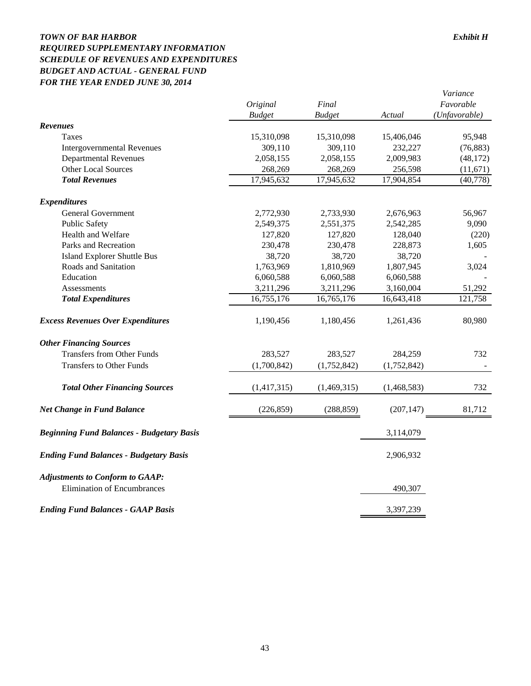### *TOWN OF BAR HARBOR Exhibit H REQUIRED SUPPLEMENTARY INFORMATION SCHEDULE OF REVENUES AND EXPENDITURES BUDGET AND ACTUAL - GENERAL FUND FOR THE YEAR ENDED JUNE 30, 2014*

|                                                  |               |               |             | Variance      |
|--------------------------------------------------|---------------|---------------|-------------|---------------|
|                                                  | Original      | Final         |             | Favorable     |
|                                                  | <b>Budget</b> | <b>Budget</b> | Actual      | (Unfavorable) |
| <b>Revenues</b>                                  |               |               |             |               |
| <b>Taxes</b>                                     | 15,310,098    | 15,310,098    | 15,406,046  | 95,948        |
| <b>Intergovernmental Revenues</b>                | 309,110       | 309,110       | 232,227     | (76, 883)     |
| <b>Departmental Revenues</b>                     | 2,058,155     | 2,058,155     | 2,009,983   | (48, 172)     |
| <b>Other Local Sources</b>                       | 268,269       | 268,269       | 256,598     | (11,671)      |
| <b>Total Revenues</b>                            | 17,945,632    | 17,945,632    | 17,904,854  | (40, 778)     |
| <b>Expenditures</b>                              |               |               |             |               |
| <b>General Government</b>                        | 2,772,930     | 2,733,930     | 2,676,963   | 56,967        |
| <b>Public Safety</b>                             | 2,549,375     | 2,551,375     | 2,542,285   | 9,090         |
| Health and Welfare                               | 127,820       | 127,820       | 128,040     | (220)         |
| Parks and Recreation                             | 230,478       | 230,478       | 228,873     | 1,605         |
| <b>Island Explorer Shuttle Bus</b>               | 38,720        | 38,720        | 38,720      |               |
| Roads and Sanitation                             | 1,763,969     | 1,810,969     | 1,807,945   | 3,024         |
| Education                                        | 6,060,588     | 6,060,588     | 6,060,588   |               |
| Assessments                                      | 3,211,296     | 3,211,296     | 3,160,004   | 51,292        |
| <b>Total Expenditures</b>                        | 16,755,176    | 16,765,176    | 16,643,418  | 121,758       |
| <b>Excess Revenues Over Expenditures</b>         | 1,190,456     | 1,180,456     | 1,261,436   | 80,980        |
| <b>Other Financing Sources</b>                   |               |               |             |               |
| <b>Transfers from Other Funds</b>                | 283,527       | 283,527       | 284,259     | 732           |
| <b>Transfers to Other Funds</b>                  | (1,700,842)   | (1,752,842)   | (1,752,842) |               |
| <b>Total Other Financing Sources</b>             | (1,417,315)   | (1,469,315)   | (1,468,583) | 732           |
| <b>Net Change in Fund Balance</b>                | (226, 859)    | (288, 859)    | (207, 147)  | 81,712        |
| <b>Beginning Fund Balances - Budgetary Basis</b> |               |               | 3,114,079   |               |
| <b>Ending Fund Balances - Budgetary Basis</b>    |               |               | 2,906,932   |               |
| <b>Adjustments to Conform to GAAP:</b>           |               |               |             |               |
| <b>Elimination of Encumbrances</b>               |               |               | 490,307     |               |
| <b>Ending Fund Balances - GAAP Basis</b>         |               |               | 3,397,239   |               |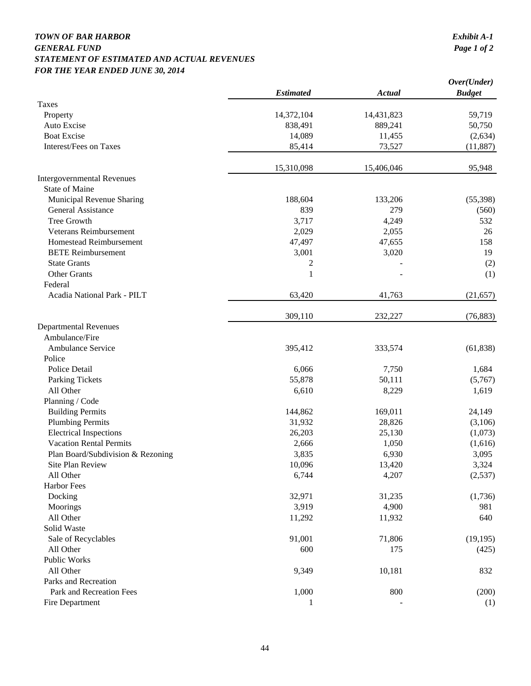### *TOWN OF BAR HARBOR Exhibit A-1 GENERAL FUND STATEMENT OF ESTIMATED AND ACTUAL REVENUES FOR THE YEAR ENDED JUNE 30, 2014*

|                                   |                  |               | Over(Under)   |
|-----------------------------------|------------------|---------------|---------------|
|                                   | <b>Estimated</b> | <b>Actual</b> | <b>Budget</b> |
| <b>Taxes</b>                      |                  |               |               |
| Property                          | 14,372,104       | 14,431,823    | 59,719        |
| Auto Excise                       | 838,491          | 889,241       | 50,750        |
| <b>Boat Excise</b>                | 14,089           | 11,455        | (2,634)       |
| Interest/Fees on Taxes            | 85,414           | 73,527        | (11, 887)     |
|                                   | 15,310,098       | 15,406,046    | 95,948        |
| <b>Intergovernmental Revenues</b> |                  |               |               |
| <b>State of Maine</b>             |                  |               |               |
| Municipal Revenue Sharing         | 188,604          | 133,206       | (55,398)      |
| General Assistance                | 839              | 279           | (560)         |
| Tree Growth                       | 3,717            | 4,249         | 532           |
| Veterans Reimbursement            | 2,029            | 2,055         | 26            |
| Homestead Reimbursement           | 47,497           | 47,655        | 158           |
| <b>BETE</b> Reimbursement         | 3,001            | 3,020         | 19            |
| <b>State Grants</b>               | 2                |               | (2)           |
| <b>Other Grants</b>               | $\mathbf{1}$     |               | (1)           |
| Federal                           |                  |               |               |
| Acadia National Park - PILT       | 63,420           | 41,763        | (21, 657)     |
|                                   | 309,110          | 232,227       | (76, 883)     |
| <b>Departmental Revenues</b>      |                  |               |               |
| Ambulance/Fire                    |                  |               |               |
| Ambulance Service                 | 395,412          | 333,574       | (61, 838)     |
| Police                            |                  |               |               |
| Police Detail                     | 6,066            | 7,750         | 1,684         |
| <b>Parking Tickets</b>            | 55,878           | 50,111        | (5,767)       |
| All Other                         | 6,610            | 8,229         | 1,619         |
| Planning / Code                   |                  |               |               |
| <b>Building Permits</b>           | 144,862          | 169,011       | 24,149        |
| <b>Plumbing Permits</b>           | 31,932           | 28,826        | (3,106)       |
| <b>Electrical Inspections</b>     | 26,203           | 25,130        | (1,073)       |
| <b>Vacation Rental Permits</b>    | 2,666            | 1,050         | (1,616)       |
| Plan Board/Subdivision & Rezoning | 3,835            | 6,930         | 3,095         |
| Site Plan Review                  | 10,096           | 13,420        | 3,324         |
| All Other                         | 6,744            | 4,207         | (2,537)       |
| <b>Harbor Fees</b>                |                  |               |               |
| Docking                           | 32,971           | 31,235        | (1,736)       |
| Moorings                          | 3,919            | 4,900         | 981           |
| All Other                         | 11,292           | 11,932        | 640           |
| Solid Waste                       |                  |               |               |
| Sale of Recyclables               | 91,001           | 71,806        | (19, 195)     |
| All Other                         | 600              | 175           | (425)         |
| Public Works                      |                  |               |               |
| All Other                         | 9,349            | 10,181        | 832           |
| Parks and Recreation              |                  |               |               |
| Park and Recreation Fees          | 1,000            | 800           | (200)         |
| Fire Department                   | 1                |               | (1)           |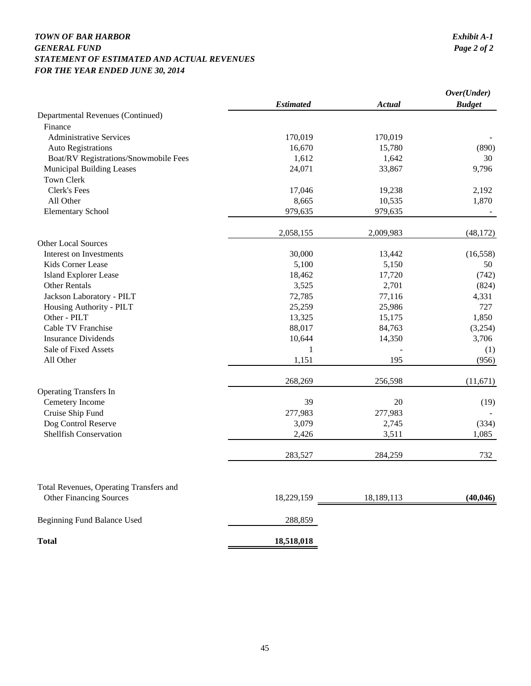### *TOWN OF BAR HARBOR Exhibit A-1 GENERAL FUND STATEMENT OF ESTIMATED AND ACTUAL REVENUES FOR THE YEAR ENDED JUNE 30, 2014*

|                                                  | <b>Estimated</b> | Actual     | Over(Under)<br><b>Budget</b> |
|--------------------------------------------------|------------------|------------|------------------------------|
| Departmental Revenues (Continued)                |                  |            |                              |
| Finance                                          |                  |            |                              |
| <b>Administrative Services</b>                   | 170,019          | 170,019    |                              |
| <b>Auto Registrations</b>                        | 16,670           | 15,780     | (890)                        |
| Boat/RV Registrations/Snowmobile Fees            | 1,612            | 1,642      | 30                           |
| Municipal Building Leases                        | 24,071           | 33,867     | 9,796                        |
| Town Clerk                                       |                  |            |                              |
| Clerk's Fees                                     | 17,046           | 19,238     | 2,192                        |
| All Other                                        | 8,665            | 10,535     | 1,870                        |
| <b>Elementary School</b>                         | 979,635          | 979,635    |                              |
|                                                  | 2,058,155        | 2,009,983  | (48, 172)                    |
| <b>Other Local Sources</b>                       |                  |            |                              |
| Interest on Investments                          | 30,000           | 13,442     | (16, 558)                    |
| Kids Corner Lease                                | 5,100            | 5,150      | 50                           |
| <b>Island Explorer Lease</b>                     | 18,462           | 17,720     | (742)                        |
| <b>Other Rentals</b>                             | 3,525            | 2,701      | (824)                        |
| Jackson Laboratory - PILT                        | 72,785           | 77,116     | 4,331                        |
| Housing Authority - PILT                         | 25,259           | 25,986     | 727                          |
| Other - PILT                                     | 13,325           | 15,175     | 1,850                        |
| Cable TV Franchise                               | 88,017           | 84,763     | (3,254)                      |
| <b>Insurance Dividends</b>                       | 10,644           | 14,350     | 3,706                        |
| Sale of Fixed Assets                             | $\mathbf{1}$     |            | (1)                          |
| All Other                                        | 1,151            | 195        | (956)                        |
|                                                  | 268,269          | 256,598    | (11,671)                     |
| <b>Operating Transfers In</b><br>Cemetery Income | 39               | 20         | (19)                         |
| Cruise Ship Fund                                 | 277,983          | 277,983    |                              |
| Dog Control Reserve                              | 3,079            | 2,745      | (334)                        |
| <b>Shellfish Conservation</b>                    | 2,426            | 3,511      | 1,085                        |
|                                                  | 283,527          | 284,259    | 732                          |
| Total Revenues, Operating Transfers and          |                  |            |                              |
| <b>Other Financing Sources</b>                   | 18,229,159       | 18,189,113 | (40, 046)                    |
| Beginning Fund Balance Used                      | 288,859          |            |                              |
| <b>Total</b>                                     | 18,518,018       |            |                              |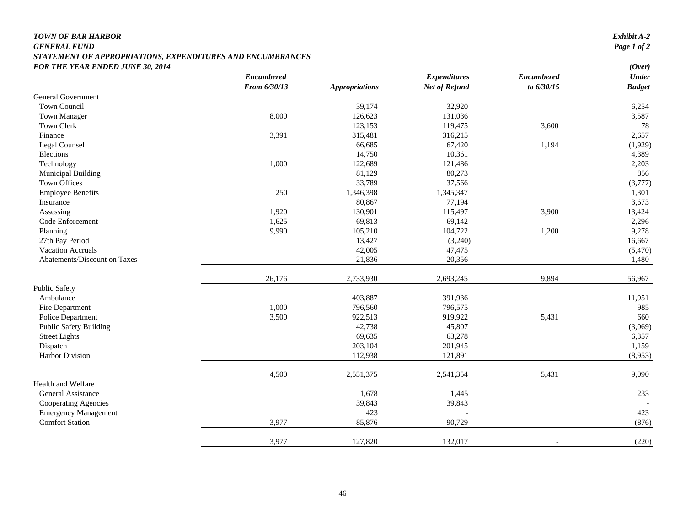## *TOWN OF BAR HARBOR*

#### *GENERAL FUND Page 1 of 2 STATEMENT OF APPROPRIATIONS, EXPENDITURES AND ENCUMBRANCES FOR THE YEAR ENDED JUNE 30, 2014 (Over)*

|                               | <b>Encumbered</b> |                       | <b>Expenditures</b>  | <b>Encumbered</b> | $\sqrt{2}$<br>$\ensuremath{\textit{Under}}$ |
|-------------------------------|-------------------|-----------------------|----------------------|-------------------|---------------------------------------------|
|                               | From 6/30/13      | <b>Appropriations</b> | <b>Net of Refund</b> | to 6/30/15        | <b>Budget</b>                               |
| <b>General Government</b>     |                   |                       |                      |                   |                                             |
| <b>Town Council</b>           |                   | 39,174                | 32,920               |                   | 6,254                                       |
| <b>Town Manager</b>           | 8,000             | 126,623               | 131,036              |                   | 3,587                                       |
| Town Clerk                    |                   | 123,153               | 119,475              | 3,600             | 78                                          |
| Finance                       | 3,391             | 315,481               | 316,215              |                   | 2,657                                       |
| Legal Counsel                 |                   | 66,685                | 67,420               | 1,194             | (1,929)                                     |
| Elections                     |                   | 14,750                | 10,361               |                   | 4,389                                       |
| Technology                    | 1,000             | 122,689               | 121,486              |                   | 2,203                                       |
| <b>Municipal Building</b>     |                   | 81,129                | 80,273               |                   | 856                                         |
| Town Offices                  |                   | 33,789                | 37,566               |                   | (3,777)                                     |
| <b>Employee Benefits</b>      | 250               | 1,346,398             | 1,345,347            |                   | 1,301                                       |
| Insurance                     |                   | 80,867                | 77,194               |                   | 3,673                                       |
| Assessing                     | 1,920             | 130,901               | 115,497              | 3,900             | 13,424                                      |
| Code Enforcement              | 1,625             | 69,813                | 69,142               |                   | 2,296                                       |
| Planning                      | 9,990             | 105,210               | 104,722              | 1,200             | 9,278                                       |
| 27th Pay Period               |                   | 13,427                | (3,240)              |                   | 16,667                                      |
| <b>Vacation Accruals</b>      |                   | 42,005                | 47,475               |                   | (5,470)                                     |
| Abatements/Discount on Taxes  |                   | 21,836                | 20,356               |                   | 1,480                                       |
|                               | 26,176            | 2,733,930             | 2,693,245            | 9,894             | 56,967                                      |
| <b>Public Safety</b>          |                   |                       |                      |                   |                                             |
| Ambulance                     |                   | 403,887               | 391,936              |                   | 11,951                                      |
| Fire Department               | 1,000             | 796,560               | 796,575              |                   | 985                                         |
| Police Department             | 3,500             | 922,513               | 919,922              | 5,431             | 660                                         |
| <b>Public Safety Building</b> |                   | 42,738                | 45,807               |                   | (3,069)                                     |
| <b>Street Lights</b>          |                   | 69,635                | 63,278               |                   | 6,357                                       |
| Dispatch                      |                   | 203,104               | 201,945              |                   | 1,159                                       |
| Harbor Division               |                   | 112,938               | 121,891              |                   | (8,953)                                     |
|                               | 4,500             | 2,551,375             | 2,541,354            | 5,431             | 9,090                                       |
| Health and Welfare            |                   |                       |                      |                   |                                             |
| General Assistance            |                   | 1,678                 | 1,445                |                   | 233                                         |
| Cooperating Agencies          |                   | 39,843                | 39,843               |                   |                                             |
| <b>Emergency Management</b>   |                   | 423                   |                      |                   | 423                                         |
| <b>Comfort Station</b>        | 3,977             | 85,876                | 90,729               |                   | (876)                                       |
|                               | 3,977             | 127,820               | 132,017              |                   | (220)                                       |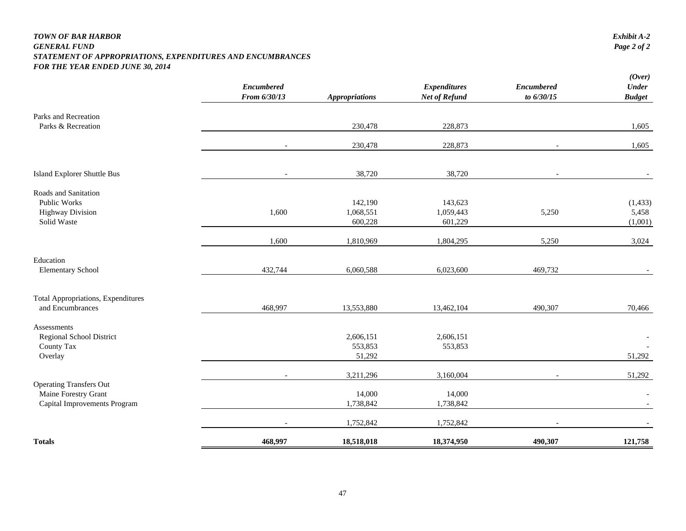#### *TOWN OF BAR HARBOR Exhibit A-2 GENERAL FUND Page 2 of 2 STATEMENT OF APPROPRIATIONS, EXPENDITURES AND ENCUMBRANCES FOR THE YEAR ENDED JUNE 30, 2014*

|                                                        | <b>Encumbered</b><br>From 6/30/13 | <b>Appropriations</b> | <b>Expenditures</b><br>Net of Refund | <b>Encumbered</b><br>to 6/30/15 | (Over)<br>Under<br><b>Budget</b> |
|--------------------------------------------------------|-----------------------------------|-----------------------|--------------------------------------|---------------------------------|----------------------------------|
| Parks and Recreation                                   |                                   |                       |                                      |                                 |                                  |
| Parks & Recreation                                     |                                   | 230,478               | 228,873                              |                                 | 1,605                            |
|                                                        |                                   | 230,478               | 228,873                              |                                 | 1,605                            |
| Island Explorer Shuttle Bus                            |                                   | 38,720                | 38,720                               |                                 |                                  |
| Roads and Sanitation                                   |                                   |                       |                                      |                                 |                                  |
| Public Works                                           |                                   | 142,190               | 143,623                              |                                 | (1, 433)                         |
| <b>Highway Division</b>                                | 1,600                             | 1,068,551             | 1,059,443                            | 5,250                           | 5,458                            |
| Solid Waste                                            |                                   | 600,228               | 601,229                              |                                 | (1,001)                          |
|                                                        | 1,600                             | 1,810,969             | 1,804,295                            | 5,250                           | 3,024                            |
| Education                                              |                                   |                       |                                      |                                 |                                  |
| <b>Elementary School</b>                               | 432,744                           | 6,060,588             | 6,023,600                            | 469,732                         |                                  |
| <b>Total Appropriations, Expenditures</b>              |                                   |                       |                                      |                                 |                                  |
| and Encumbrances                                       | 468,997                           | 13,553,880            | 13,462,104                           | 490,307                         | 70,466                           |
| Assessments                                            |                                   |                       |                                      |                                 |                                  |
| Regional School District                               |                                   | 2,606,151             | 2,606,151                            |                                 |                                  |
| County Tax                                             |                                   | 553,853               | 553,853                              |                                 |                                  |
| Overlay                                                |                                   | 51,292                |                                      |                                 | 51,292                           |
|                                                        |                                   | 3,211,296             | 3,160,004                            |                                 | 51,292                           |
| <b>Operating Transfers Out</b><br>Maine Forestry Grant |                                   | 14,000                | 14,000                               |                                 |                                  |
| Capital Improvements Program                           |                                   | 1,738,842             | 1,738,842                            |                                 |                                  |
|                                                        |                                   | 1,752,842             | 1,752,842                            |                                 |                                  |
| <b>Totals</b>                                          | 468,997                           | 18,518,018            | 18,374,950                           | 490,307                         | 121,758                          |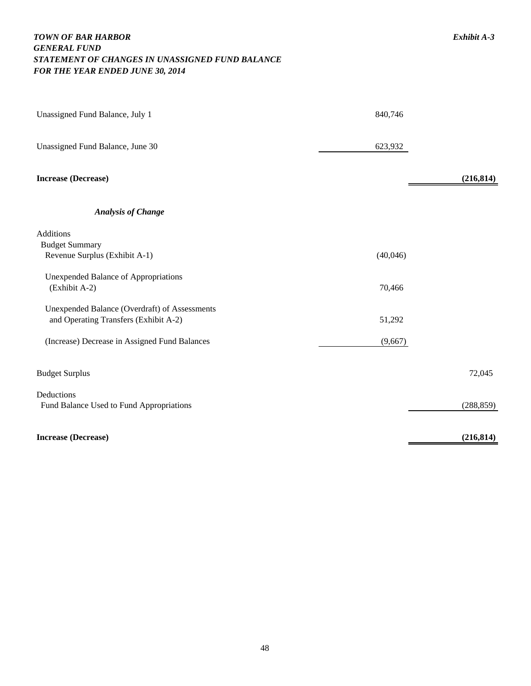### *TOWN OF BAR HARBOR Exhibit A-3 GENERAL FUND STATEMENT OF CHANGES IN UNASSIGNED FUND BALANCE FOR THE YEAR ENDED JUNE 30, 2014*

| Unassigned Fund Balance, July 1                              | 840,746  |            |
|--------------------------------------------------------------|----------|------------|
| Unassigned Fund Balance, June 30                             | 623,932  |            |
| <b>Increase (Decrease)</b>                                   |          | (216, 814) |
| <b>Analysis of Change</b>                                    |          |            |
| Additions                                                    |          |            |
| <b>Budget Summary</b><br>Revenue Surplus (Exhibit A-1)       | (40,046) |            |
|                                                              |          |            |
| <b>Unexpended Balance of Appropriations</b><br>(Exhibit A-2) | 70,466   |            |
| Unexpended Balance (Overdraft) of Assessments                |          |            |
| and Operating Transfers (Exhibit A-2)                        | 51,292   |            |
| (Increase) Decrease in Assigned Fund Balances                | (9,667)  |            |
| <b>Budget Surplus</b>                                        |          | 72,045     |
| Deductions                                                   |          |            |
| Fund Balance Used to Fund Appropriations                     |          | (288, 859) |
| <b>Increase (Decrease)</b>                                   |          | (216, 814) |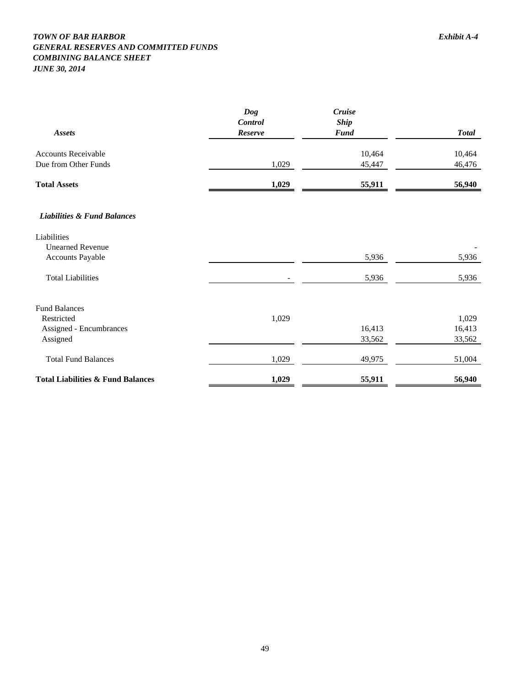#### *TOWN OF BAR HARBOR Exhibit A-4 GENERAL RESERVES AND COMMITTED FUNDS COMBINING BALANCE SHEET JUNE 30, 2014*

| Assets                                 | Dog<br>Control<br>Reserve | Cruise<br><b>Ship</b><br><b>Fund</b> | <b>Total</b> |
|----------------------------------------|---------------------------|--------------------------------------|--------------|
| <b>Accounts Receivable</b>             |                           | 10,464                               | 10,464       |
| Due from Other Funds                   | 1,029                     | 45,447                               | 46,476       |
| <b>Total Assets</b>                    | 1,029                     | 55,911                               | 56,940       |
| <b>Liabilities &amp; Fund Balances</b> |                           |                                      |              |
| Liabilities                            |                           |                                      |              |
| <b>Unearned Revenue</b>                |                           |                                      |              |
| Accounts Payable                       |                           | 5,936                                | 5,936        |
| <b>Total Liabilities</b>               |                           | 5,936                                | 5,936        |
| <b>Fund Balances</b>                   |                           |                                      |              |
| Restricted                             | 1,029                     |                                      | 1,029        |
| Assigned - Encumbrances                |                           | 16,413                               | 16,413       |
| Assigned                               |                           | 33,562                               | 33,562       |
| <b>Total Fund Balances</b>             | 1,029                     | 49,975                               | 51,004       |

**Total Liabilities & Fund Balances** 1,029 55,911 56,940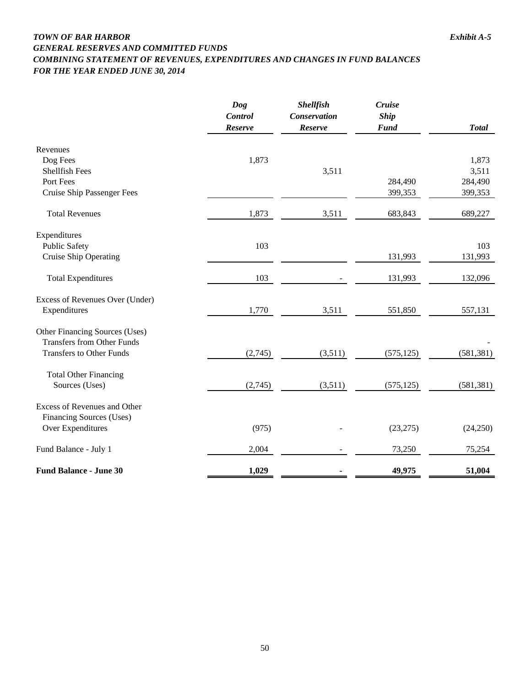### *TOWN OF BAR HARBOR Exhibit A-5 GENERAL RESERVES AND COMMITTED FUNDS COMBINING STATEMENT OF REVENUES, EXPENDITURES AND CHANGES IN FUND BALANCES FOR THE YEAR ENDED JUNE 30, 2014*

|                                                                      | <b>Dog</b><br><b>Control</b><br>Reserve | <b>Shellfish</b><br>Conservation<br>Reserve | <b>Cruise</b><br><b>Ship</b><br><b>Fund</b> | <b>Total</b> |
|----------------------------------------------------------------------|-----------------------------------------|---------------------------------------------|---------------------------------------------|--------------|
| Revenues                                                             |                                         |                                             |                                             |              |
| Dog Fees                                                             | 1,873                                   |                                             |                                             | 1,873        |
| <b>Shellfish Fees</b>                                                |                                         | 3,511                                       |                                             | 3,511        |
| Port Fees                                                            |                                         |                                             | 284,490                                     | 284,490      |
| <b>Cruise Ship Passenger Fees</b>                                    |                                         |                                             | 399,353                                     | 399,353      |
| <b>Total Revenues</b>                                                | 1,873                                   | 3,511                                       | 683,843                                     | 689,227      |
| Expenditures                                                         |                                         |                                             |                                             |              |
| <b>Public Safety</b>                                                 | 103                                     |                                             |                                             | 103          |
| <b>Cruise Ship Operating</b>                                         |                                         |                                             | 131,993                                     | 131,993      |
| <b>Total Expenditures</b>                                            | 103                                     |                                             | 131,993                                     | 132,096      |
| Excess of Revenues Over (Under)                                      |                                         |                                             |                                             |              |
| Expenditures                                                         | 1,770                                   | 3,511                                       | 551,850                                     | 557,131      |
| Other Financing Sources (Uses)                                       |                                         |                                             |                                             |              |
| <b>Transfers from Other Funds</b><br><b>Transfers to Other Funds</b> | (2,745)                                 | (3,511)                                     | (575, 125)                                  | (581, 381)   |
|                                                                      |                                         |                                             |                                             |              |
| <b>Total Other Financing</b><br>Sources (Uses)                       | (2,745)                                 | (3,511)                                     | (575, 125)                                  | (581, 381)   |
|                                                                      |                                         |                                             |                                             |              |
| Excess of Revenues and Other                                         |                                         |                                             |                                             |              |
| <b>Financing Sources (Uses)</b>                                      |                                         |                                             |                                             |              |
| Over Expenditures                                                    | (975)                                   |                                             | (23, 275)                                   | (24,250)     |
| Fund Balance - July 1                                                | 2,004                                   |                                             | 73,250                                      | 75,254       |
| <b>Fund Balance - June 30</b>                                        | 1,029                                   |                                             | 49,975                                      | 51,004       |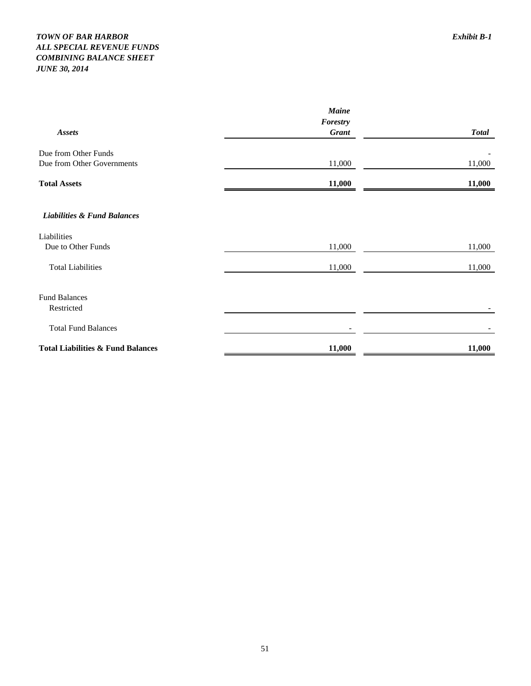### *TOWN OF BAR HARBOR Exhibit B-1 ALL SPECIAL REVENUE FUNDS COMBINING BALANCE SHEET JUNE 30, 2014*

|                                              | <b>Maine</b> |              |  |
|----------------------------------------------|--------------|--------------|--|
|                                              | Forestry     |              |  |
| <b>Assets</b>                                | <b>Grant</b> | <b>Total</b> |  |
| Due from Other Funds                         |              |              |  |
| Due from Other Governments                   | 11,000       | 11,000       |  |
| <b>Total Assets</b>                          | 11,000       | 11,000       |  |
| <b>Liabilities &amp; Fund Balances</b>       |              |              |  |
| Liabilities                                  |              |              |  |
| Due to Other Funds                           | 11,000       | 11,000       |  |
| <b>Total Liabilities</b>                     | 11,000       | 11,000       |  |
| <b>Fund Balances</b>                         |              |              |  |
| Restricted                                   |              |              |  |
| <b>Total Fund Balances</b>                   |              |              |  |
| <b>Total Liabilities &amp; Fund Balances</b> | 11,000       | 11,000       |  |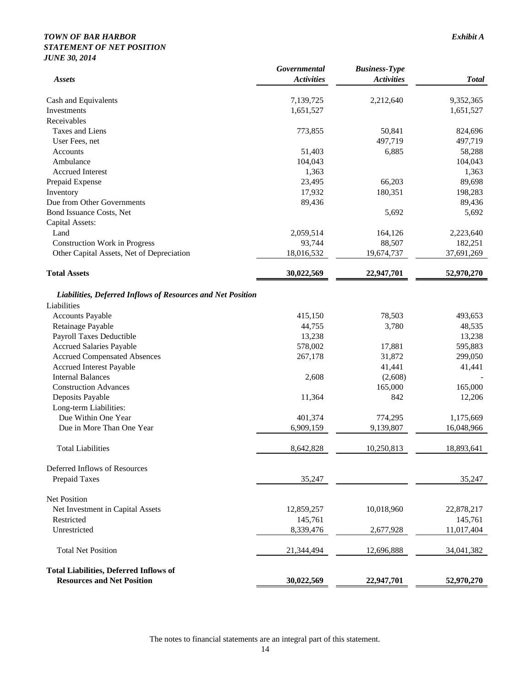### *TOWN OF BAR HARBOR Exhibit A STATEMENT OF NET POSITION JUNE 30, 2014*

|                                                                                    | Governmental      | <b>Business-Type</b> |              |
|------------------------------------------------------------------------------------|-------------------|----------------------|--------------|
| <b>Assets</b>                                                                      | <b>Activities</b> | <b>Activities</b>    | <b>Total</b> |
| Cash and Equivalents                                                               | 7,139,725         | 2,212,640            | 9,352,365    |
| Investments                                                                        | 1,651,527         |                      | 1,651,527    |
| Receivables                                                                        |                   |                      |              |
| Taxes and Liens                                                                    | 773,855           | 50,841               | 824,696      |
| User Fees, net                                                                     |                   | 497,719              | 497,719      |
| Accounts                                                                           | 51,403            | 6,885                | 58,288       |
| Ambulance                                                                          | 104,043           |                      | 104,043      |
| <b>Accrued Interest</b>                                                            | 1,363             |                      | 1,363        |
| Prepaid Expense                                                                    | 23,495            | 66,203               | 89,698       |
| Inventory                                                                          | 17,932            | 180,351              | 198,283      |
| Due from Other Governments                                                         | 89,436            |                      | 89,436       |
| Bond Issuance Costs, Net                                                           |                   | 5,692                | 5,692        |
| Capital Assets:                                                                    |                   |                      |              |
| Land                                                                               | 2,059,514         | 164,126              | 2,223,640    |
| <b>Construction Work in Progress</b>                                               | 93,744            | 88,507               | 182,251      |
| Other Capital Assets, Net of Depreciation                                          | 18,016,532        | 19,674,737           | 37,691,269   |
| <b>Total Assets</b>                                                                | 30,022,569        | 22,947,701           | 52,970,270   |
| Liabilities, Deferred Inflows of Resources and Net Position                        |                   |                      |              |
| Liabilities                                                                        |                   |                      |              |
| <b>Accounts Payable</b>                                                            | 415,150           | 78,503               | 493,653      |
| Retainage Payable                                                                  | 44,755            | 3,780                | 48,535       |
| Payroll Taxes Deductible                                                           | 13,238            |                      | 13,238       |
| <b>Accrued Salaries Payable</b>                                                    | 578,002           | 17,881               | 595,883      |
| <b>Accrued Compensated Absences</b>                                                | 267,178           | 31,872               | 299,050      |
| <b>Accrued Interest Payable</b>                                                    |                   | 41,441               | 41,441       |
| <b>Internal Balances</b>                                                           | 2,608             | (2,608)              |              |
| <b>Construction Advances</b>                                                       |                   | 165,000              | 165,000      |
| Deposits Payable                                                                   | 11,364            | 842                  | 12,206       |
| Long-term Liabilities:                                                             |                   |                      |              |
| Due Within One Year                                                                | 401,374           | 774,295              | 1,175,669    |
| Due in More Than One Year                                                          | 6,909,159         | 9,139,807            | 16,048,966   |
| <b>Total Liabilities</b>                                                           | 8,642,828         | 10,250,813           | 18,893,641   |
| Deferred Inflows of Resources                                                      |                   |                      |              |
| Prepaid Taxes                                                                      | 35,247            |                      | 35,247       |
| Net Position                                                                       |                   |                      |              |
| Net Investment in Capital Assets                                                   | 12,859,257        | 10,018,960           | 22,878,217   |
| Restricted                                                                         | 145,761           |                      | 145,761      |
| Unrestricted                                                                       | 8,339,476         | 2,677,928            | 11,017,404   |
| <b>Total Net Position</b>                                                          | 21,344,494        | 12,696,888           | 34,041,382   |
| <b>Total Liabilities, Deferred Inflows of</b><br><b>Resources and Net Position</b> | 30,022,569        | 22,947,701           | 52,970,270   |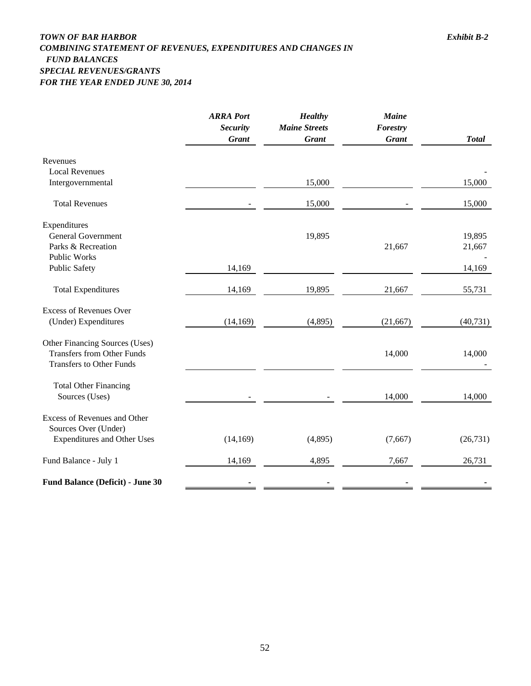### *TOWN OF BAR HARBOR Exhibit B-2 COMBINING STATEMENT OF REVENUES, EXPENDITURES AND CHANGES IN FUND BALANCES SPECIAL REVENUES/GRANTS FOR THE YEAR ENDED JUNE 30, 2014*

|                                     | <b>ARRA Port</b><br><b>Security</b><br><b>Grant</b> | <b>Healthy</b><br><b>Maine Streets</b><br><b>Grant</b> | <b>Maine</b><br>Forestry<br><b>Grant</b> | <b>Total</b> |
|-------------------------------------|-----------------------------------------------------|--------------------------------------------------------|------------------------------------------|--------------|
| Revenues                            |                                                     |                                                        |                                          |              |
| <b>Local Revenues</b>               |                                                     |                                                        |                                          |              |
| Intergovernmental                   |                                                     | 15,000                                                 |                                          | 15,000       |
| <b>Total Revenues</b>               |                                                     | 15,000                                                 |                                          | 15,000       |
| Expenditures                        |                                                     |                                                        |                                          |              |
| <b>General Government</b>           |                                                     | 19,895                                                 |                                          | 19,895       |
| Parks & Recreation                  |                                                     |                                                        | 21,667                                   | 21,667       |
| <b>Public Works</b>                 |                                                     |                                                        |                                          |              |
| <b>Public Safety</b>                | 14,169                                              |                                                        |                                          | 14,169       |
| <b>Total Expenditures</b>           | 14,169                                              | 19,895                                                 | 21,667                                   | 55,731       |
| <b>Excess of Revenues Over</b>      |                                                     |                                                        |                                          |              |
| (Under) Expenditures                | (14, 169)                                           | (4,895)                                                | (21, 667)                                | (40, 731)    |
| Other Financing Sources (Uses)      |                                                     |                                                        |                                          |              |
| <b>Transfers from Other Funds</b>   |                                                     |                                                        | 14,000                                   | 14,000       |
| <b>Transfers to Other Funds</b>     |                                                     |                                                        |                                          |              |
| <b>Total Other Financing</b>        |                                                     |                                                        |                                          |              |
| Sources (Uses)                      |                                                     |                                                        | 14,000                                   | 14,000       |
| <b>Excess of Revenues and Other</b> |                                                     |                                                        |                                          |              |
| Sources Over (Under)                |                                                     |                                                        |                                          |              |
| <b>Expenditures and Other Uses</b>  | (14, 169)                                           | (4,895)                                                | (7,667)                                  | (26, 731)    |
| Fund Balance - July 1               | 14,169                                              | 4,895                                                  | 7,667                                    | 26,731       |
| Fund Balance (Deficit) - June 30    |                                                     |                                                        |                                          |              |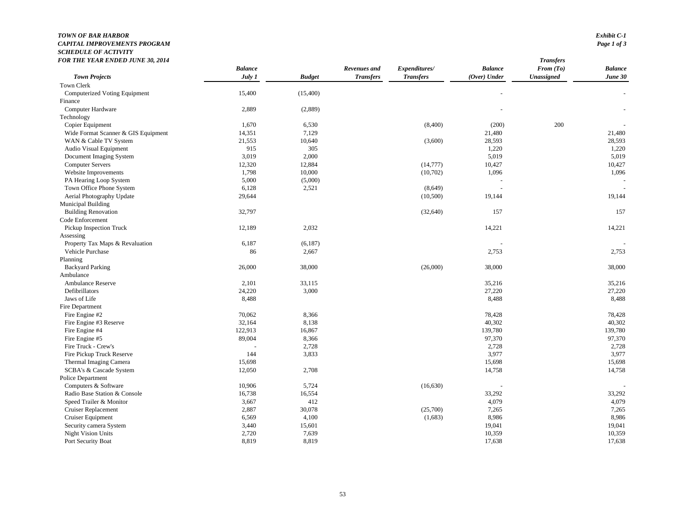#### *TOWN OF BAR HARBOR Exhibit C-1 CAPITAL IMPROVEMENTS PROGRAMSCHEDULE OF ACTIVITY*

| FOR THE YEAR ENDED JUNE 30, 2014    |                |               |                  |                  |                | <b>Transfers</b>  |                |
|-------------------------------------|----------------|---------------|------------------|------------------|----------------|-------------------|----------------|
|                                     | <b>Balance</b> |               | Revenues and     | Expenditures/    | <b>Balance</b> | From (To)         | <b>Balance</b> |
| <b>Town Projects</b>                | July 1         | <b>Budget</b> | <b>Transfers</b> | <b>Transfers</b> | (Over) Under   | <b>Unassigned</b> | June 30        |
| Town Clerk                          |                |               |                  |                  |                |                   |                |
| Computerized Voting Equipment       | 15,400         | (15,400)      |                  |                  |                |                   |                |
| Finance                             |                |               |                  |                  |                |                   |                |
| Computer Hardware                   | 2,889          | (2,889)       |                  |                  |                |                   |                |
| Technology                          |                |               |                  |                  |                |                   |                |
| Copier Equipment                    | 1,670          | 6,530         |                  | (8,400)          | (200)          | 200               |                |
| Wide Format Scanner & GIS Equipment | 14,351         | 7,129         |                  |                  | 21,480         |                   | 21,480         |
| WAN & Cable TV System               | 21,553         | 10,640        |                  | (3,600)          | 28,593         |                   | 28,593         |
| Audio Visual Equipment              | 915            | 305           |                  |                  | 1,220          |                   | 1,220          |
| Document Imaging System             | 3,019          | 2,000         |                  |                  | 5,019          |                   | 5,019          |
| <b>Computer Servers</b>             | 12,320         | 12,884        |                  | (14,777)         | 10,427         |                   | 10,427         |
| Website Improvements                | 1,798          | 10,000        |                  | (10,702)         | 1,096          |                   | 1,096          |
| PA Hearing Loop System              | 5,000          | (5,000)       |                  |                  |                |                   |                |
| Town Office Phone System            | 6,128          | 2,521         |                  | (8,649)          |                |                   |                |
| Aerial Photography Update           | 29,644         |               |                  | (10,500)         | 19,144         |                   | 19,144         |
| <b>Municipal Building</b>           |                |               |                  |                  |                |                   |                |
| <b>Building Renovation</b>          | 32,797         |               |                  | (32, 640)        | 157            |                   | 157            |
| Code Enforcement                    |                |               |                  |                  |                |                   |                |
| Pickup Inspection Truck             | 12,189         | 2,032         |                  |                  | 14,221         |                   | 14,221         |
| Assessing                           |                |               |                  |                  |                |                   |                |
| Property Tax Maps & Revaluation     | 6,187          | (6,187)       |                  |                  |                |                   |                |
| Vehicle Purchase                    | 86             | 2,667         |                  |                  | 2,753          |                   | 2,753          |
| Planning                            |                |               |                  |                  |                |                   |                |
| <b>Backyard Parking</b>             | 26,000         | 38,000        |                  | (26,000)         | 38,000         |                   | 38,000         |
| Ambulance                           |                |               |                  |                  |                |                   |                |
| Ambulance Reserve                   | 2,101          | 33,115        |                  |                  | 35,216         |                   | 35,216         |
| Defibrillators                      | 24,220         | 3,000         |                  |                  | 27,220         |                   | 27,220         |
| Jaws of Life                        | 8,488          |               |                  |                  | 8,488          |                   | 8,488          |
| Fire Department                     |                |               |                  |                  |                |                   |                |
| Fire Engine #2                      | 70,062         | 8,366         |                  |                  | 78,428         |                   | 78,428         |
| Fire Engine #3 Reserve              | 32,164         | 8,138         |                  |                  | 40,302         |                   | 40,302         |
| Fire Engine #4                      | 122,913        | 16,867        |                  |                  | 139,780        |                   | 139,780        |
| Fire Engine #5                      | 89,004         | 8,366         |                  |                  | 97,370         |                   | 97,370         |
| Fire Truck - Crew's                 |                | 2,728         |                  |                  | 2,728          |                   | 2,728          |
| Fire Pickup Truck Reserve           | 144            | 3,833         |                  |                  | 3,977          |                   | 3,977          |
| Thermal Imaging Camera              | 15,698         |               |                  |                  | 15,698         |                   | 15,698         |
| SCBA's & Cascade System             | 12,050         | 2,708         |                  |                  | 14,758         |                   | 14,758         |
| Police Department                   |                |               |                  |                  |                |                   |                |
| Computers & Software                | 10,906         | 5,724         |                  | (16, 630)        |                |                   |                |
| Radio Base Station & Console        | 16,738         | 16,554        |                  |                  | 33,292         |                   | 33,292         |
| Speed Trailer & Monitor             | 3,667          | 412           |                  |                  | 4,079          |                   | 4,079          |
| <b>Cruiser Replacement</b>          | 2,887          | 30,078        |                  | (25,700)         | 7,265          |                   | 7,265          |
| Cruiser Equipment                   | 6,569          | 4,100         |                  | (1,683)          | 8,986          |                   | 8,986          |
| Security camera System              | 3,440          | 15,601        |                  |                  | 19,041         |                   | 19,041         |
| <b>Night Vision Units</b>           | 2,720          | 7,639         |                  |                  | 10,359         |                   | 10,359         |
| Port Security Boat                  | 8,819          | 8,819         |                  |                  | 17,638         |                   | 17,638         |
|                                     |                |               |                  |                  |                |                   |                |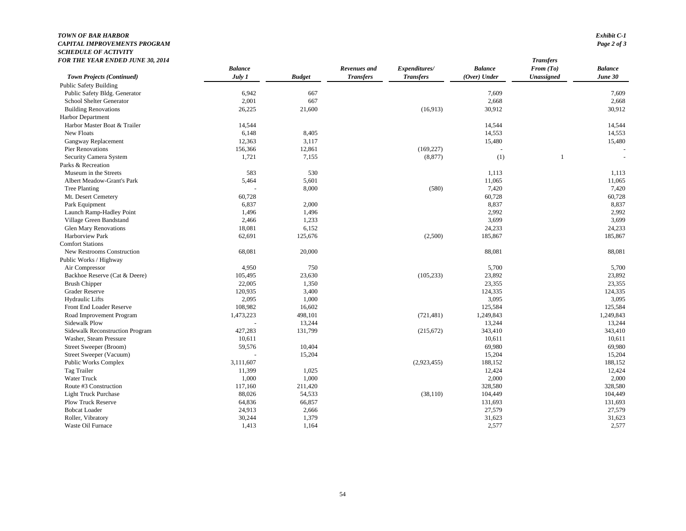#### *TOWN OF BAR HARBOR Exhibit C-1 CAPITAL IMPROVEMENTS PROGRAMSCHEDULE OF ACTIVITY*

| FOR THE YEAR ENDED JUNE 30, 2014 |                |               |                  |                  |                | <b>Transfers</b> |                |
|----------------------------------|----------------|---------------|------------------|------------------|----------------|------------------|----------------|
|                                  | <b>Balance</b> |               | Revenues and     | Expenditures/    | <b>Balance</b> | From $(To)$      | <b>Balance</b> |
| Town Projects (Continued)        | July 1         | <b>Budget</b> | <b>Transfers</b> | <b>Transfers</b> | (Over) Under   | Unassigned       | June 30        |
| <b>Public Safety Building</b>    |                |               |                  |                  |                |                  |                |
| Public Safety Bldg. Generator    | 6,942          | 667           |                  |                  | 7,609          |                  | 7,609          |
| School Shelter Generator         | 2,001          | 667           |                  |                  | 2,668          |                  | 2,668          |
| <b>Building Renovations</b>      | 26,225         | 21,600        |                  | (16,913)         | 30,912         |                  | 30,912         |
| Harbor Department                |                |               |                  |                  |                |                  |                |
| Harbor Master Boat & Trailer     | 14,544         |               |                  |                  | 14,544         |                  | 14,544         |
| New Floats                       | 6,148          | 8,405         |                  |                  | 14,553         |                  | 14,553         |
| Gangway Replacement              | 12,363         | 3,117         |                  |                  | 15,480         |                  | 15,480         |
| <b>Pier Renovations</b>          | 156,366        | 12,861        |                  | (169, 227)       |                |                  |                |
| Security Camera System           | 1,721          | 7,155         |                  | (8, 877)         | (1)            | 1                | $\sim$         |
| Parks & Recreation               |                |               |                  |                  |                |                  |                |
| Museum in the Streets            | 583            | 530           |                  |                  | 1,113          |                  | 1,113          |
| Albert Meadow-Grant's Park       | 5,464          | 5,601         |                  |                  | 11,065         |                  | 11,065         |
| Tree Planting                    |                | 8,000         |                  | (580)            | 7,420          |                  | 7,420          |
| Mt. Desert Cemetery              | 60,728         |               |                  |                  | 60,728         |                  | 60,728         |
| Park Equipment                   | 6,837          | 2,000         |                  |                  | 8,837          |                  | 8,837          |
| Launch Ramp-Hadley Point         | 1,496          | 1,496         |                  |                  | 2,992          |                  | 2,992          |
| Village Green Bandstand          | 2,466          | 1,233         |                  |                  | 3,699          |                  | 3,699          |
| <b>Glen Mary Renovations</b>     | 18,081         | 6,152         |                  |                  | 24,233         |                  | 24,233         |
| Harborview Park                  | 62,691         | 125,676       |                  | (2,500)          | 185,867        |                  | 185,867        |
| <b>Comfort Stations</b>          |                |               |                  |                  |                |                  |                |
| New Restrooms Construction       | 68,081         | 20,000        |                  |                  | 88,081         |                  | 88,081         |
| Public Works / Highway           |                |               |                  |                  |                |                  |                |
| Air Compressor                   | 4,950          | 750           |                  |                  | 5,700          |                  | 5,700          |
| Backhoe Reserve (Cat & Deere)    | 105,495        | 23,630        |                  | (105, 233)       | 23,892         |                  | 23,892         |
| <b>Brush Chipper</b>             | 22,005         | 1,350         |                  |                  | 23,355         |                  | 23,355         |
| <b>Grader Reserve</b>            | 120,935        | 3,400         |                  |                  | 124,335        |                  | 124,335        |
| <b>Hydraulic Lifts</b>           | 2,095          | 1,000         |                  |                  | 3,095          |                  | 3,095          |
| Front End Loader Reserve         | 108,982        | 16,602        |                  |                  | 125,584        |                  | 125,584        |
| Road Improvement Program         | 1,473,223      | 498,101       |                  | (721, 481)       | 1,249,843      |                  | 1,249,843      |
| Sidewalk Plow                    |                | 13,244        |                  |                  | 13,244         |                  | 13,244         |
| Sidewalk Reconstruction Program  | 427,283        | 131,799       |                  | (215, 672)       | 343,410        |                  | 343,410        |
| Washer, Steam Pressure           | 10,611         |               |                  |                  | 10,611         |                  | 10,611         |
| Street Sweeper (Broom)           | 59,576         | 10,404        |                  |                  | 69,980         |                  | 69,980         |
| Street Sweeper (Vacuum)          |                | 15,204        |                  |                  | 15,204         |                  | 15,204         |
| Public Works Complex             | 3,111,607      |               |                  | (2,923,455)      | 188,152        |                  | 188,152        |
| Tag Trailer                      | 11,399         | 1,025         |                  |                  | 12,424         |                  | 12,424         |
| <b>Water Truck</b>               | 1,000          | 1,000         |                  |                  | 2,000          |                  | 2,000          |
| Route #3 Construction            | 117,160        | 211,420       |                  |                  | 328,580        |                  | 328,580        |
| <b>Light Truck Purchase</b>      | 88,026         | 54,533        |                  | (38, 110)        | 104,449        |                  | 104,449        |
| <b>Plow Truck Reserve</b>        | 64,836         | 66,857        |                  |                  | 131,693        |                  | 131,693        |
| <b>Bobcat Loader</b>             | 24,913         | 2,666         |                  |                  | 27,579         |                  | 27,579         |
| Roller, Vibratory                | 30,244         | 1,379         |                  |                  | 31,623         |                  | 31,623         |
| Waste Oil Furnace                | 1,413          | 1,164         |                  |                  | 2,577          |                  | 2,577          |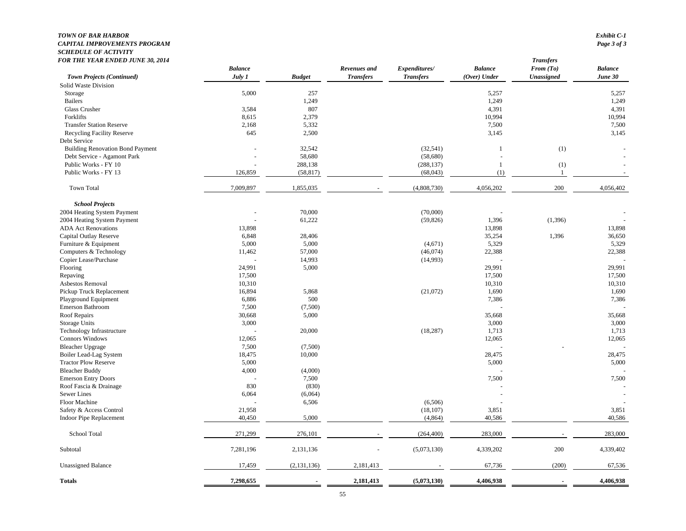#### *TOWN OF BAR HARBOR Exhibit C-1 CAPITAL IMPROVEMENTS PROGRAMSCHEDULE OF ACTIVITY*

| <b>FOR THE YEAR ENDED JUNE 30, 2014</b> | <b>Balance</b> |               | Revenues and     | Expenditures/    | <b>Balance</b> | <b>Transfers</b><br>From $(To)$ | $\label{1} \textit{Balance}$ |
|-----------------------------------------|----------------|---------------|------------------|------------------|----------------|---------------------------------|------------------------------|
| Town Projects (Continued)               | July 1         | <b>Budget</b> | <b>Transfers</b> | <b>Transfers</b> | $(Over)$ Under | Unassigned                      | June 30                      |
| Solid Waste Division                    |                |               |                  |                  |                |                                 |                              |
| Storage                                 | 5,000          | 257           |                  |                  | 5,257          |                                 | 5,257                        |
| <b>Bailers</b>                          |                | 1,249         |                  |                  | 1,249          |                                 | 1,249                        |
| Glass Crusher                           | 3,584          | 807           |                  |                  | 4,391          |                                 | 4,391                        |
| Forklifts                               | 8,615          | 2,379         |                  |                  | 10,994         |                                 | 10,994                       |
| <b>Transfer Station Reserve</b>         | 2,168          | 5,332         |                  |                  | 7,500          |                                 | 7,500                        |
| <b>Recycling Facility Reserve</b>       | 645            | 2,500         |                  |                  | 3,145          |                                 | 3,145                        |
| Debt Service                            |                |               |                  |                  |                |                                 |                              |
| <b>Building Renovation Bond Payment</b> |                | 32,542        |                  | (32, 541)        |                | (1)                             |                              |
| Debt Service - Agamont Park             |                | 58,680        |                  | (58, 680)        |                |                                 |                              |
| Public Works - FY 10                    |                | 288,138       |                  | (288, 137)       | $\overline{1}$ | (1)                             |                              |
| Public Works - FY 13                    | 126,859        | (58, 817)     |                  | (68,043)         | (1)            | $\overline{1}$                  |                              |
| <b>Town Total</b>                       | 7,009,897      | 1,855,035     |                  | (4,808,730)      | 4,056,202      | 200                             | 4,056,402                    |
| <b>School Projects</b>                  |                |               |                  |                  |                |                                 |                              |
| 2004 Heating System Payment             |                | 70,000        |                  | (70,000)         |                |                                 |                              |
| 2004 Heating System Payment             |                | 61,222        |                  | (59, 826)        | 1,396          | (1, 396)                        |                              |
| <b>ADA Act Renovations</b>              | 13,898         |               |                  |                  | 13,898         |                                 | 13,898                       |
| Capital Outlay Reserve                  | 6,848          | 28,406        |                  |                  | 35,254         | 1,396                           | 36,650                       |
| Furniture & Equipment                   | 5,000          | 5,000         |                  | (4,671)          | 5,329          |                                 | 5,329                        |
| Computers & Technology                  | 11,462         | 57,000        |                  | (46,074)         | 22,388         |                                 | 22,388                       |
| Copier Lease/Purchase                   |                | 14,993        |                  | (14,993)         |                |                                 |                              |
| Flooring                                | 24,991         | 5,000         |                  |                  | 29,991         |                                 | 29,991                       |
| Repaving                                | 17,500         |               |                  |                  | 17,500         |                                 | 17,500                       |
| Asbestos Removal                        | 10,310         |               |                  |                  | 10,310         |                                 | 10,310                       |
| Pickup Truck Replacement                | 16,894         | 5,868         |                  | (21,072)         | 1,690          |                                 | 1,690                        |
| Playground Equipment                    | 6,886          | 500           |                  |                  | 7,386          |                                 | 7,386                        |
| Emerson Bathroom                        | 7,500          | (7,500)       |                  |                  |                |                                 |                              |
| Roof Repairs                            | 30,668         | 5,000         |                  |                  | 35,668         |                                 | 35,668                       |
| Storage Units                           | 3,000          |               |                  |                  | 3,000          |                                 | 3,000                        |
| Technology Infrastructure               |                | 20,000        |                  | (18, 287)        | 1,713          |                                 | 1,713                        |
| Connors Windows                         | 12,065         |               |                  |                  | 12,065         |                                 | 12,065                       |
| <b>Bleacher Upgrage</b>                 | 7,500          | (7,500)       |                  |                  |                |                                 |                              |
| Boiler Lead-Lag System                  | 18,475         | 10,000        |                  |                  | 28,475         |                                 | 28,475                       |
| <b>Tractor Plow Reserve</b>             | 5,000          |               |                  |                  | 5,000          |                                 | 5,000                        |
| <b>Bleacher Buddy</b>                   | 4,000          | (4,000)       |                  |                  |                |                                 |                              |
| <b>Emerson Entry Doors</b>              |                | 7,500         |                  |                  | 7,500          |                                 | 7,500                        |
| Roof Fascia & Drainage                  | 830            | (830)         |                  |                  |                |                                 |                              |
| Sewer Lines                             | 6,064          | (6,064)       |                  |                  |                |                                 |                              |
| Floor Machine                           |                | 6,506         |                  | (6,506)          |                |                                 |                              |
| Safety & Access Control                 | 21,958         |               |                  | (18, 107)        | 3,851          |                                 | 3,851                        |
| <b>Indoor Pipe Replacement</b>          | 40,450         | 5,000         |                  | (4,864)          | 40,586         |                                 | 40,586                       |
| School Total                            | 271,299        | 276,101       |                  | (264, 400)       | 283,000        |                                 | 283,000                      |
| Subtotal                                | 7,281,196      | 2,131,136     |                  | (5,073,130)      | 4,339,202      | 200                             | 4,339,402                    |
| <b>Unassigned Balance</b>               | 17,459         | (2,131,136)   | 2,181,413        |                  | 67,736         | (200)                           | 67,536                       |
| <b>Totals</b>                           | 7,298,655      |               | 2,181,413        | (5,073,130)      | 4.406.938      |                                 | 4.406.938                    |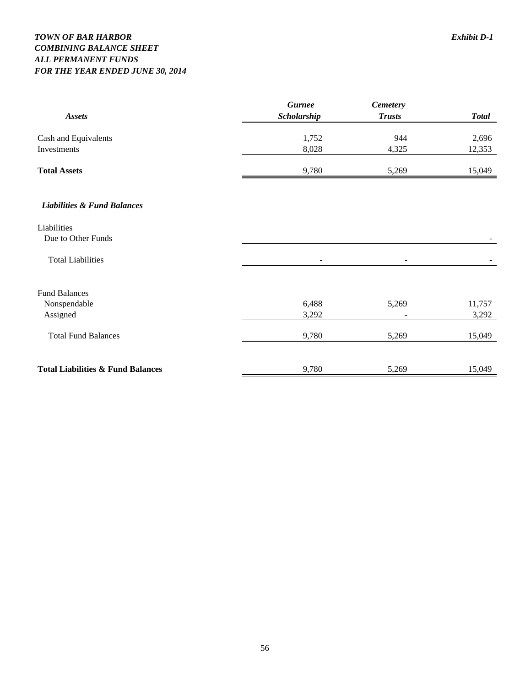### *TOWN OF BAR HARBOR Exhibit D-1 COMBINING BALANCE SHEET ALL PERMANENT FUNDS FOR THE YEAR ENDED JUNE 30, 2014*

|                                              | <b>Gurnee</b> | <b>Cemetery</b> |              |
|----------------------------------------------|---------------|-----------------|--------------|
| <b>Assets</b>                                | Scholarship   | <b>Trusts</b>   | <b>Total</b> |
| Cash and Equivalents                         | 1,752         | 944             | 2,696        |
| Investments                                  | 8,028         | 4,325           | 12,353       |
| <b>Total Assets</b>                          | 9,780         | 5,269           | 15,049       |
| <b>Liabilities &amp; Fund Balances</b>       |               |                 |              |
| Liabilities                                  |               |                 |              |
| Due to Other Funds                           |               |                 |              |
| <b>Total Liabilities</b>                     | ۰             |                 |              |
| <b>Fund Balances</b>                         |               |                 |              |
| Nonspendable                                 | 6,488         | 5,269           | 11,757       |
| Assigned                                     | 3,292         |                 | 3,292        |
| <b>Total Fund Balances</b>                   | 9,780         | 5,269           | 15,049       |
| <b>Total Liabilities &amp; Fund Balances</b> | 9,780         | 5,269           | 15,049       |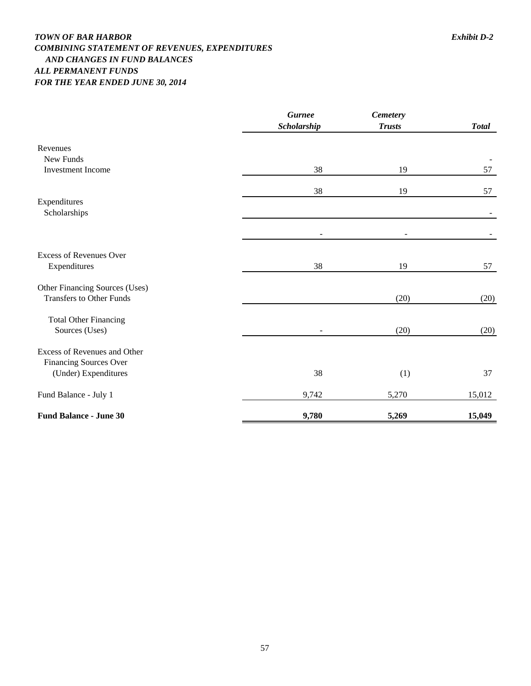### *TOWN OF BAR HARBOR Exhibit D-2 COMBINING STATEMENT OF REVENUES, EXPENDITURES AND CHANGES IN FUND BALANCES ALL PERMANENT FUNDS FOR THE YEAR ENDED JUNE 30, 2014*

|                                                               | <b>Gurnee</b><br>Scholarship | <b>Cemetery</b><br><b>Trusts</b> | <b>Total</b> |
|---------------------------------------------------------------|------------------------------|----------------------------------|--------------|
| Revenues                                                      |                              |                                  |              |
| New Funds                                                     |                              |                                  |              |
| <b>Investment Income</b>                                      | 38                           | 19                               | 57           |
|                                                               | 38                           | 19                               | 57           |
| Expenditures                                                  |                              |                                  |              |
| Scholarships                                                  |                              |                                  |              |
|                                                               | $\overline{a}$               |                                  |              |
| <b>Excess of Revenues Over</b>                                |                              |                                  |              |
| Expenditures                                                  | 38                           | 19                               | 57           |
| Other Financing Sources (Uses)                                |                              |                                  |              |
| <b>Transfers to Other Funds</b>                               |                              | (20)                             | (20)         |
| <b>Total Other Financing</b>                                  |                              |                                  |              |
| Sources (Uses)                                                |                              | (20)                             | (20)         |
| Excess of Revenues and Other<br><b>Financing Sources Over</b> |                              |                                  |              |
| (Under) Expenditures                                          | 38                           | (1)                              | 37           |
| Fund Balance - July 1                                         | 9,742                        | 5,270                            | 15,012       |
| <b>Fund Balance - June 30</b>                                 | 9,780                        | 5,269                            | 15,049       |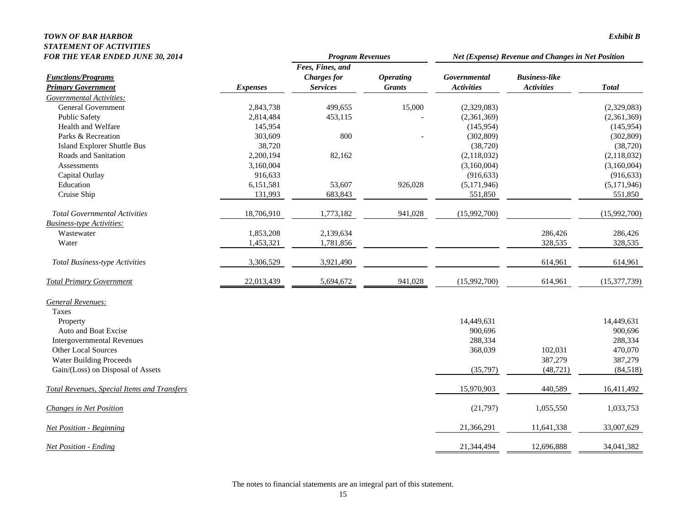#### *TOWN OF BAR HARBOR Exhibit B STATEMENT OF ACTIVITIES*

| <b>FOR THE YEAR ENDED JUNE 30, 2014</b>     |                 | <b>Program Revenues</b> |                  | Net (Expense) Revenue and Changes in Net Position |                      |                |
|---------------------------------------------|-----------------|-------------------------|------------------|---------------------------------------------------|----------------------|----------------|
|                                             |                 | Fees, Fines, and        |                  |                                                   |                      |                |
| <b>Functions/Programs</b>                   |                 | <b>Charges</b> for      | <b>Operating</b> | Governmental                                      | <b>Business-like</b> |                |
| <b>Primary Government</b>                   | <b>Expenses</b> | <b>Services</b>         | <b>Grants</b>    | <b>Activities</b>                                 | <b>Activities</b>    | <b>Total</b>   |
| Governmental Activities:                    |                 |                         |                  |                                                   |                      |                |
| <b>General Government</b>                   | 2,843,738       | 499,655                 | 15,000           | (2,329,083)                                       |                      | (2,329,083)    |
| Public Safety                               | 2,814,484       | 453,115                 |                  | (2,361,369)                                       |                      | (2,361,369)    |
| Health and Welfare                          | 145,954         |                         |                  | (145, 954)                                        |                      | (145, 954)     |
| Parks & Recreation                          | 303,609         | 800                     |                  | (302, 809)                                        |                      | (302, 809)     |
| Island Explorer Shuttle Bus                 | 38,720          |                         |                  | (38, 720)                                         |                      | (38, 720)      |
| Roads and Sanitation                        | 2,200,194       | 82,162                  |                  | (2,118,032)                                       |                      | (2,118,032)    |
| Assessments                                 | 3,160,004       |                         |                  | (3,160,004)                                       |                      | (3,160,004)    |
| Capital Outlay                              | 916,633         |                         |                  | (916, 633)                                        |                      | (916, 633)     |
| Education                                   | 6,151,581       | 53,607                  | 926,028          | (5,171,946)                                       |                      | (5,171,946)    |
| Cruise Ship                                 | 131,993         | 683,843                 |                  | 551,850                                           |                      | 551,850        |
| <b>Total Governmental Activities</b>        | 18,706,910      | 1,773,182               | 941,028          | (15,992,700)                                      |                      | (15,992,700)   |
| <b>Business-type Activities:</b>            |                 |                         |                  |                                                   |                      |                |
| Wastewater                                  | 1,853,208       | 2,139,634               |                  |                                                   | 286,426              | 286,426        |
| Water                                       | 1,453,321       | 1,781,856               |                  |                                                   | 328,535              | 328,535        |
| <b>Total Business-type Activities</b>       | 3,306,529       | 3,921,490               |                  |                                                   | 614,961              | 614,961        |
| <b>Total Primary Government</b>             | 22,013,439      | 5,694,672               | 941,028          | (15,992,700)                                      | 614,961              | (15, 377, 739) |
| <b>General Revenues:</b>                    |                 |                         |                  |                                                   |                      |                |
| Taxes                                       |                 |                         |                  |                                                   |                      |                |
| Property                                    |                 |                         |                  | 14,449,631                                        |                      | 14,449,631     |
| Auto and Boat Excise                        |                 |                         |                  | 900,696                                           |                      | 900,696        |
| <b>Intergovernmental Revenues</b>           |                 |                         |                  | 288,334                                           |                      | 288,334        |
| Other Local Sources                         |                 |                         |                  | 368,039                                           | 102,031              | 470,070        |
| <b>Water Building Proceeds</b>              |                 |                         |                  |                                                   | 387,279              | 387,279        |
| Gain/(Loss) on Disposal of Assets           |                 |                         |                  | (35,797)                                          | (48, 721)            | (84, 518)      |
| Total Revenues, Special Items and Transfers |                 |                         |                  | 15,970,903                                        | 440,589              | 16,411,492     |
| <b>Changes in Net Position</b>              |                 |                         |                  | (21,797)                                          | 1,055,550            | 1,033,753      |
| <b>Net Position - Beginning</b>             |                 |                         |                  | 21,366,291                                        | 11,641,338           | 33,007,629     |
| <b>Net Position - Ending</b>                |                 |                         |                  | 21,344,494                                        | 12,696,888           | 34,041,382     |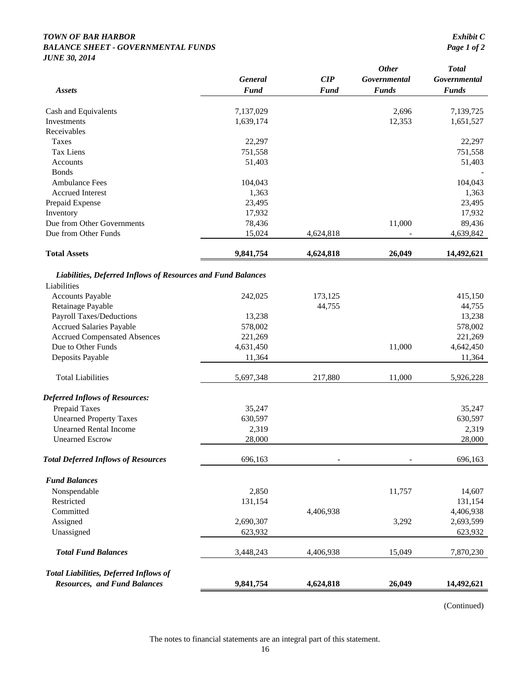#### *TOWN OF BAR HARBOR Exhibit C BALANCE SHEET - GOVERNMENTAL FUNDS Page 1 of 2 JUNE 30, 2014*

| <b>Assets</b>                                                | <b>General</b><br><b>Fund</b> | CIP<br><b>Fund</b> | <b>Other</b><br>Governmental<br><b>Funds</b> | <b>Total</b><br>Governmental<br><b>Funds</b> |
|--------------------------------------------------------------|-------------------------------|--------------------|----------------------------------------------|----------------------------------------------|
|                                                              |                               |                    |                                              |                                              |
| Cash and Equivalents                                         | 7,137,029                     |                    | 2,696                                        | 7,139,725                                    |
| Investments                                                  | 1,639,174                     |                    | 12,353                                       | 1,651,527                                    |
| Receivables                                                  |                               |                    |                                              |                                              |
| Taxes                                                        | 22,297                        |                    |                                              | 22,297                                       |
| <b>Tax Liens</b>                                             | 751,558                       |                    |                                              | 751,558                                      |
| Accounts                                                     | 51,403                        |                    |                                              | 51,403                                       |
| <b>Bonds</b>                                                 |                               |                    |                                              |                                              |
| <b>Ambulance Fees</b>                                        | 104,043                       |                    |                                              | 104,043                                      |
| <b>Accrued Interest</b>                                      | 1,363                         |                    |                                              | 1,363                                        |
| Prepaid Expense                                              | 23,495                        |                    |                                              | 23,495                                       |
| Inventory                                                    | 17,932                        |                    |                                              | 17,932                                       |
| Due from Other Governments                                   | 78,436                        |                    | 11,000                                       | 89,436                                       |
| Due from Other Funds                                         | 15,024                        | 4,624,818          |                                              | 4,639,842                                    |
| <b>Total Assets</b>                                          | 9,841,754                     | 4,624,818          | 26,049                                       | 14,492,621                                   |
| Liabilities, Deferred Inflows of Resources and Fund Balances |                               |                    |                                              |                                              |
| Liabilities                                                  |                               |                    |                                              |                                              |
| <b>Accounts Payable</b>                                      | 242,025                       | 173,125            |                                              | 415,150                                      |
| Retainage Payable                                            |                               | 44,755             |                                              | 44,755                                       |
| <b>Payroll Taxes/Deductions</b>                              | 13,238                        |                    |                                              | 13,238                                       |
| <b>Accrued Salaries Payable</b>                              | 578,002                       |                    |                                              | 578,002                                      |
| <b>Accrued Compensated Absences</b>                          | 221,269                       |                    |                                              | 221,269                                      |
| Due to Other Funds                                           | 4,631,450                     |                    | 11,000                                       | 4,642,450                                    |
| Deposits Payable                                             | 11,364                        |                    |                                              | 11,364                                       |
| <b>Total Liabilities</b>                                     | 5,697,348                     | 217,880            | 11,000                                       | 5,926,228                                    |
| <b>Deferred Inflows of Resources:</b>                        |                               |                    |                                              |                                              |
| Prepaid Taxes                                                | 35,247                        |                    |                                              | 35,247                                       |
| <b>Unearned Property Taxes</b>                               | 630,597                       |                    |                                              | 630,597                                      |
| <b>Unearned Rental Income</b>                                | 2,319                         |                    |                                              | 2,319                                        |
| <b>Unearned Escrow</b>                                       | 28,000                        |                    |                                              | 28,000                                       |
| <b>Total Deferred Inflows of Resources</b>                   | 696,163                       |                    |                                              | 696,163                                      |
| <b>Fund Balances</b>                                         |                               |                    |                                              |                                              |
| Nonspendable                                                 | 2,850                         |                    | 11,757                                       | 14,607                                       |
| Restricted                                                   | 131,154                       |                    |                                              | 131,154                                      |
| Committed                                                    |                               | 4,406,938          |                                              | 4,406,938                                    |
| Assigned                                                     | 2,690,307                     |                    | 3,292                                        | 2,693,599                                    |
| Unassigned                                                   | 623,932                       |                    |                                              | 623,932                                      |
| <b>Total Fund Balances</b>                                   | 3,448,243                     | 4,406,938          | 15,049                                       | 7,870,230                                    |
| <b>Total Liabilities, Deferred Inflows of</b>                |                               |                    |                                              |                                              |
| <b>Resources, and Fund Balances</b>                          | 9,841,754                     | 4,624,818          | 26,049                                       | 14,492,621                                   |

(Continued)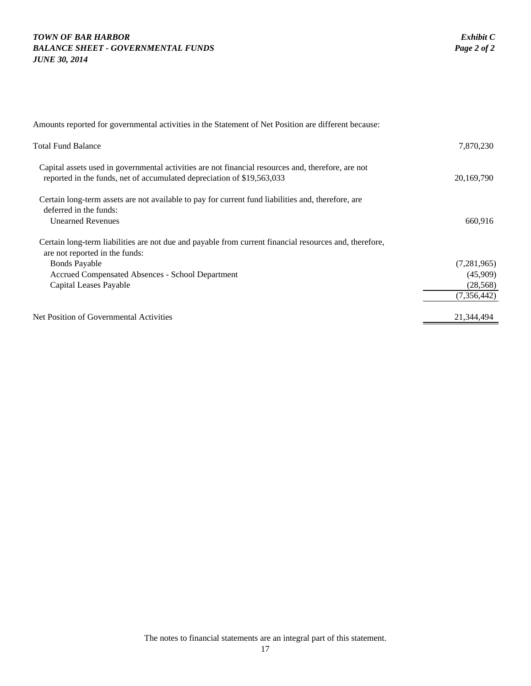### *TOWN OF BAR HARBOR Exhibit C BALANCE SHEET - GOVERNMENTAL FUNDS Page 2 of 2 JUNE 30, 2014*

| Amounts reported for governmental activities in the Statement of Net Position are different because:                                                                         |               |
|------------------------------------------------------------------------------------------------------------------------------------------------------------------------------|---------------|
| <b>Total Fund Balance</b>                                                                                                                                                    | 7,870,230     |
| Capital assets used in governmental activities are not financial resources and, therefore, are not<br>reported in the funds, net of accumulated depreciation of \$19,563,033 | 20,169,790    |
| Certain long-term assets are not available to pay for current fund liabilities and, therefore, are<br>deferred in the funds:<br><b>Unearned Revenues</b>                     | 660,916       |
| Certain long-term liabilities are not due and payable from current financial resources and, therefore,<br>are not reported in the funds:                                     |               |
| <b>Bonds Payable</b>                                                                                                                                                         | (7, 281, 965) |
| Accrued Compensated Absences - School Department                                                                                                                             | (45,909)      |
| Capital Leases Payable                                                                                                                                                       | (28, 568)     |
|                                                                                                                                                                              | (7, 356, 442) |
| Net Position of Governmental Activities                                                                                                                                      | 21,344,494    |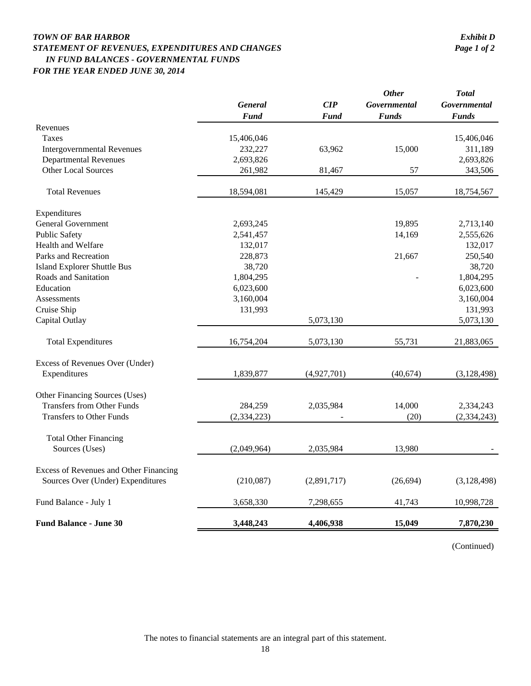### *TOWN OF BAR HARBOR Exhibit D STATEMENT OF REVENUES, EXPENDITURES AND CHANGES Page 1 of 2 IN FUND BALANCES - GOVERNMENTAL FUNDS FOR THE YEAR ENDED JUNE 30, 2014*

|                                        | <b>General</b> | CIP         | <b>Other</b><br>Governmental | <b>Total</b><br>Governmental |
|----------------------------------------|----------------|-------------|------------------------------|------------------------------|
|                                        | <b>Fund</b>    | Fund        | <b>Funds</b>                 | <b>Funds</b>                 |
| Revenues                               |                |             |                              |                              |
| <b>Taxes</b>                           | 15,406,046     |             |                              | 15,406,046                   |
| <b>Intergovernmental Revenues</b>      | 232,227        | 63,962      | 15,000                       | 311,189                      |
| <b>Departmental Revenues</b>           | 2,693,826      |             |                              | 2,693,826                    |
| <b>Other Local Sources</b>             | 261,982        | 81,467      | 57                           | 343,506                      |
| <b>Total Revenues</b>                  | 18,594,081     | 145,429     | 15,057                       | 18,754,567                   |
| Expenditures                           |                |             |                              |                              |
| <b>General Government</b>              | 2,693,245      |             | 19,895                       | 2,713,140                    |
| <b>Public Safety</b>                   | 2,541,457      |             | 14,169                       | 2,555,626                    |
| Health and Welfare                     | 132,017        |             |                              | 132,017                      |
| Parks and Recreation                   | 228,873        |             | 21,667                       | 250,540                      |
| <b>Island Explorer Shuttle Bus</b>     | 38,720         |             |                              | 38,720                       |
| Roads and Sanitation                   | 1,804,295      |             |                              | 1,804,295                    |
| Education                              | 6,023,600      |             |                              | 6,023,600                    |
| Assessments                            | 3,160,004      |             |                              | 3,160,004                    |
| Cruise Ship                            | 131,993        |             |                              | 131,993                      |
| Capital Outlay                         |                | 5,073,130   |                              | 5,073,130                    |
| <b>Total Expenditures</b>              | 16,754,204     | 5,073,130   | 55,731                       | 21,883,065                   |
| Excess of Revenues Over (Under)        |                |             |                              |                              |
| Expenditures                           | 1,839,877      | (4,927,701) | (40,674)                     | (3,128,498)                  |
| Other Financing Sources (Uses)         |                |             |                              |                              |
| <b>Transfers from Other Funds</b>      | 284,259        | 2,035,984   | 14,000                       | 2,334,243                    |
| <b>Transfers to Other Funds</b>        | (2, 334, 223)  |             | (20)                         | (2,334,243)                  |
| <b>Total Other Financing</b>           |                |             |                              |                              |
| Sources (Uses)                         | (2,049,964)    | 2,035,984   | 13,980                       |                              |
| Excess of Revenues and Other Financing |                |             |                              |                              |
| Sources Over (Under) Expenditures      | (210,087)      | (2,891,717) | (26, 694)                    | (3, 128, 498)                |
| Fund Balance - July 1                  | 3,658,330      | 7,298,655   | 41,743                       | 10,998,728                   |
| <b>Fund Balance - June 30</b>          | 3,448,243      | 4,406,938   | 15,049                       | 7,870,230                    |

(Continued)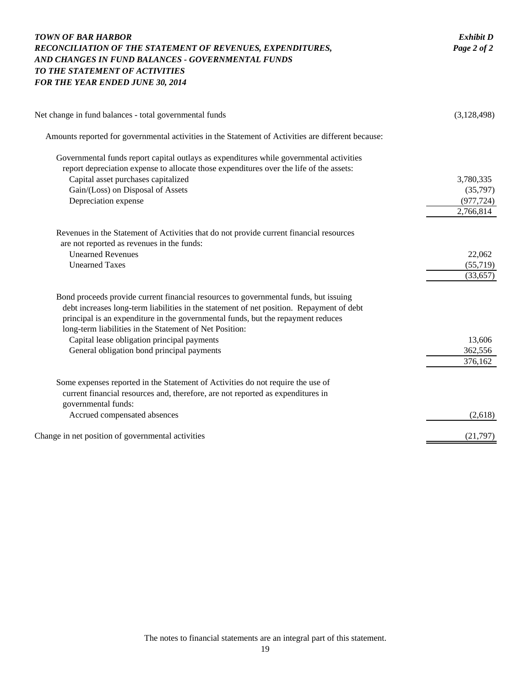| <b>TOWN OF BAR HARBOR</b><br>RECONCILIATION OF THE STATEMENT OF REVENUES, EXPENDITURES,<br>AND CHANGES IN FUND BALANCES - GOVERNMENTAL FUNDS<br>TO THE STATEMENT OF ACTIVITIES<br>FOR THE YEAR ENDED JUNE 30, 2014                                                                                                                                                                                                           | <b>Exhibit D</b><br>Page 2 of 2                  |
|------------------------------------------------------------------------------------------------------------------------------------------------------------------------------------------------------------------------------------------------------------------------------------------------------------------------------------------------------------------------------------------------------------------------------|--------------------------------------------------|
| Net change in fund balances - total governmental funds                                                                                                                                                                                                                                                                                                                                                                       | (3,128,498)                                      |
| Amounts reported for governmental activities in the Statement of Activities are different because:                                                                                                                                                                                                                                                                                                                           |                                                  |
| Governmental funds report capital outlays as expenditures while governmental activities<br>report depreciation expense to allocate those expenditures over the life of the assets:<br>Capital asset purchases capitalized<br>Gain/(Loss) on Disposal of Assets<br>Depreciation expense                                                                                                                                       | 3,780,335<br>(35,797)<br>(977, 724)<br>2,766,814 |
| Revenues in the Statement of Activities that do not provide current financial resources<br>are not reported as revenues in the funds:<br><b>Unearned Revenues</b><br><b>Unearned Taxes</b>                                                                                                                                                                                                                                   | 22,062<br>(55,719)<br>(33, 657)                  |
| Bond proceeds provide current financial resources to governmental funds, but issuing<br>debt increases long-term liabilities in the statement of net position. Repayment of debt<br>principal is an expenditure in the governmental funds, but the repayment reduces<br>long-term liabilities in the Statement of Net Position:<br>Capital lease obligation principal payments<br>General obligation bond principal payments | 13,606<br>362,556<br>376,162                     |
| Some expenses reported in the Statement of Activities do not require the use of<br>current financial resources and, therefore, are not reported as expenditures in<br>governmental funds:<br>Accrued compensated absences                                                                                                                                                                                                    | (2,618)                                          |
| Change in net position of governmental activities                                                                                                                                                                                                                                                                                                                                                                            | (21,797)                                         |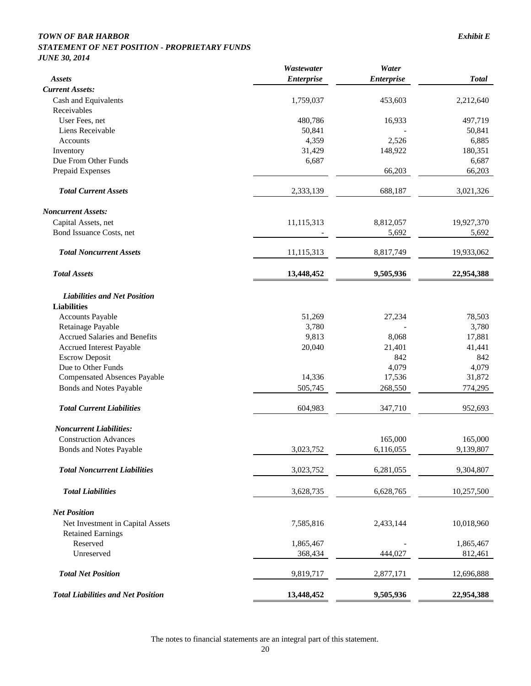### *TOWN OF BAR HARBOR Exhibit E*

#### *STATEMENT OF NET POSITION - PROPRIETARY FUNDS JUNE 30, 2014*

|                                           | Wastewater        | Water             |              |
|-------------------------------------------|-------------------|-------------------|--------------|
| Assets                                    | <b>Enterprise</b> | <b>Enterprise</b> | <b>Total</b> |
| <b>Current Assets:</b>                    |                   |                   |              |
| Cash and Equivalents                      | 1,759,037         | 453,603           | 2,212,640    |
| Receivables                               |                   |                   |              |
| User Fees, net                            | 480,786           | 16,933            | 497,719      |
| Liens Receivable                          | 50,841            |                   | 50,841       |
| Accounts                                  | 4,359             | 2,526             | 6,885        |
| Inventory                                 | 31,429            | 148,922           | 180,351      |
| Due From Other Funds                      | 6,687             |                   | 6,687        |
| Prepaid Expenses                          |                   | 66,203            | 66,203       |
| <b>Total Current Assets</b>               | 2,333,139         | 688,187           | 3,021,326    |
| <b>Noncurrent Assets:</b>                 |                   |                   |              |
| Capital Assets, net                       | 11,115,313        | 8,812,057         | 19,927,370   |
| Bond Issuance Costs, net                  |                   | 5,692             | 5,692        |
| <b>Total Noncurrent Assets</b>            | 11,115,313        | 8,817,749         | 19,933,062   |
| <b>Total Assets</b>                       | 13,448,452        | 9,505,936         | 22,954,388   |
| <b>Liabilities and Net Position</b>       |                   |                   |              |
| <b>Liabilities</b>                        |                   |                   |              |
| <b>Accounts Payable</b>                   | 51,269            | 27,234            | 78,503       |
| Retainage Payable                         | 3,780             |                   | 3,780        |
| <b>Accrued Salaries and Benefits</b>      | 9,813             | 8,068             | 17,881       |
| Accrued Interest Payable                  | 20,040            | 21,401            | 41,441       |
| <b>Escrow Deposit</b>                     |                   | 842               | 842          |
| Due to Other Funds                        |                   | 4,079             | 4,079        |
| <b>Compensated Absences Payable</b>       | 14,336            | 17,536            | 31,872       |
| <b>Bonds and Notes Payable</b>            | 505,745           | 268,550           | 774,295      |
| <b>Total Current Liabilities</b>          | 604,983           | 347,710           | 952,693      |
| <b>Noncurrent Liabilities:</b>            |                   |                   |              |
| <b>Construction Advances</b>              |                   | 165,000           | 165,000      |
| <b>Bonds and Notes Payable</b>            | 3,023,752         | 6,116,055         | 9,139,807    |
| <b>Total Noncurrent Liabilities</b>       | 3,023,752         | 6,281,055         | 9,304,807    |
| <b>Total Liabilities</b>                  | 3,628,735         | 6,628,765         | 10,257,500   |
| <b>Net Position</b>                       |                   |                   |              |
| Net Investment in Capital Assets          | 7,585,816         | 2,433,144         | 10,018,960   |
| <b>Retained Earnings</b>                  |                   |                   |              |
| Reserved                                  | 1,865,467         |                   | 1,865,467    |
| Unreserved                                | 368,434           | 444,027           | 812,461      |
| <b>Total Net Position</b>                 | 9,819,717         | 2,877,171         | 12,696,888   |
| <b>Total Liabilities and Net Position</b> | 13,448,452        | 9,505,936         | 22,954,388   |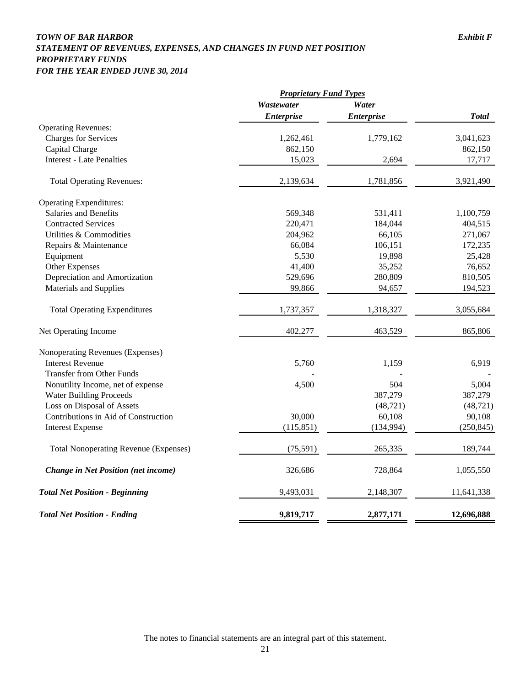### *TOWN OF BAR HARBOR Exhibit F STATEMENT OF REVENUES, EXPENSES, AND CHANGES IN FUND NET POSITION PROPRIETARY FUNDS FOR THE YEAR ENDED JUNE 30, 2014*

|                                              | <b>Proprietary Fund Types</b> |                   |              |
|----------------------------------------------|-------------------------------|-------------------|--------------|
|                                              | Wastewater                    | Water             |              |
|                                              | <b>Enterprise</b>             | <b>Enterprise</b> | <b>Total</b> |
| <b>Operating Revenues:</b>                   |                               |                   |              |
| <b>Charges for Services</b>                  | 1,262,461                     | 1,779,162         | 3,041,623    |
| Capital Charge                               | 862,150                       |                   | 862,150      |
| <b>Interest - Late Penalties</b>             | 15,023                        | 2,694             | 17,717       |
| <b>Total Operating Revenues:</b>             | 2,139,634                     | 1,781,856         | 3,921,490    |
| <b>Operating Expenditures:</b>               |                               |                   |              |
| Salaries and Benefits                        | 569,348                       | 531,411           | 1,100,759    |
| <b>Contracted Services</b>                   | 220,471                       | 184,044           | 404,515      |
| Utilities & Commodities                      | 204,962                       | 66,105            | 271,067      |
| Repairs & Maintenance                        | 66,084                        | 106,151           | 172,235      |
| Equipment                                    | 5,530                         | 19,898            | 25,428       |
| Other Expenses                               | 41,400                        | 35,252            | 76,652       |
| Depreciation and Amortization                | 529,696                       | 280,809           | 810,505      |
| Materials and Supplies                       | 99,866                        | 94,657            | 194,523      |
| <b>Total Operating Expenditures</b>          | 1,737,357                     | 1,318,327         | 3,055,684    |
| Net Operating Income                         | 402,277                       | 463,529           | 865,806      |
| Nonoperating Revenues (Expenses)             |                               |                   |              |
| <b>Interest Revenue</b>                      | 5,760                         | 1,159             | 6,919        |
| <b>Transfer from Other Funds</b>             |                               |                   |              |
| Nonutility Income, net of expense            | 4,500                         | 504               | 5,004        |
| <b>Water Building Proceeds</b>               |                               | 387,279           | 387,279      |
| Loss on Disposal of Assets                   |                               | (48, 721)         | (48, 721)    |
| Contributions in Aid of Construction         | 30,000                        | 60,108            | 90,108       |
| <b>Interest Expense</b>                      | (115, 851)                    | (134, 994)        | (250, 845)   |
| <b>Total Nonoperating Revenue (Expenses)</b> | (75,591)                      | 265,335           | 189,744      |
| Change in Net Position (net income)          | 326,686                       | 728,864           | 1,055,550    |
| <b>Total Net Position - Beginning</b>        | 9,493,031                     | 2,148,307         | 11,641,338   |
| <b>Total Net Position - Ending</b>           | 9,819,717                     | 2,877,171         | 12,696,888   |